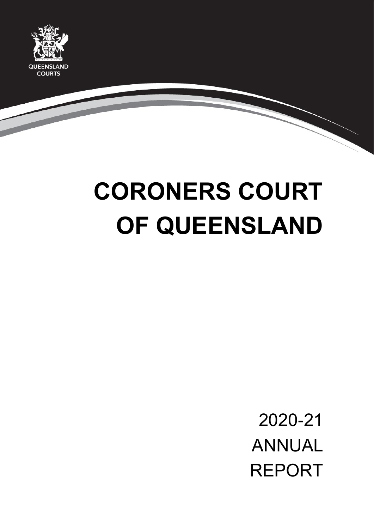

# **CORONERS COURT OF QUEENSLAND**

2020-21 ANNUAL REPORT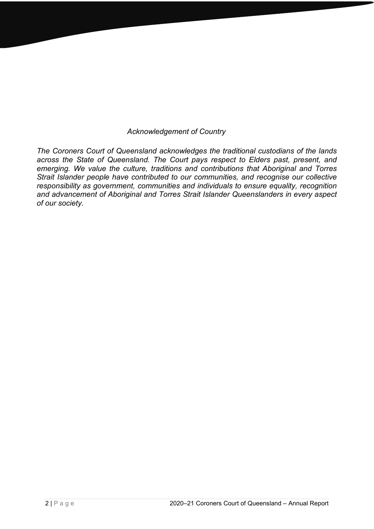#### *Acknowledgement of Country*

*The Coroners Court of Queensland acknowledges the traditional custodians of the lands across the State of Queensland. The Court pays respect to Elders past, present, and emerging. We value the culture, traditions and contributions that Aboriginal and Torres Strait Islander people have contributed to our communities, and recognise our collective responsibility as government, communities and individuals to ensure equality, recognition and advancement of Aboriginal and Torres Strait Islander Queenslanders in every aspect of our society.*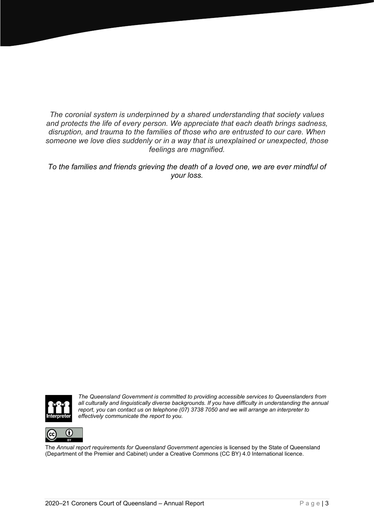*The coronial system is underpinned by a shared understanding that society values and protects the life of every person. We appreciate that each death brings sadness, disruption, and trauma to the families of those who are entrusted to our care. When someone we love dies suddenly or in a way that is unexplained or unexpected, those feelings are magnified.*

*To the families and friends grieving the death of a loved one, we are ever mindful of your loss.*



*The Queensland Government is committed to providing accessible services to Queenslanders from all culturally and linguistically diverse backgrounds. If you have difficulty in understanding the annual report, you can contact us on telephone (07) 3738 7050 and we will arrange an interpreter to effectively communicate the report to you.*



The *Annual report requirements for Queensland Government agencies* is licensed by the State of Queensland (Department of the Premier and Cabinet) under a Creative Commons (CC BY) 4.0 International licence.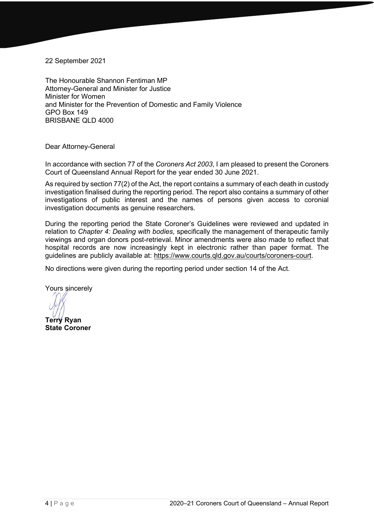22 September 2021

The Honourable Shannon Fentiman MP Attorney-General and Minister for Justice Minister for Women and Minister for the Prevention of Domestic and Family Violence GPO Box 149 BRISBANE QLD 4000

Dear Attorney-General

In accordance with section 77 of the *Coroners Act 2003*, I am pleased to present the Coroners Court of Queensland Annual Report for the year ended 30 June 2021.

As required by section 77(2) of the Act, the report contains a summary of each death in custody investigation finalised during the reporting period. The report also contains a summary of other investigations of public interest and the names of persons given access to coronial investigation documents as genuine researchers.

During the reporting period the State Coroner's Guidelines were reviewed and updated in relation to *Chapter 4: Dealing with bodies*, specifically the management of therapeutic family viewings and organ donors post-retrieval. Minor amendments were also made to reflect that hospital records are now increasingly kept in electronic rather than paper format. The guidelines are publicly available at: [https://www.courts.qld.gov.au/courts/coroners-court.](https://www.courts.qld.gov.au/courts/coroners-court)

No directions were given during the reporting period under section 14 of the Act.

Yours sincerely

**Terry Ryan**

**State Coroner**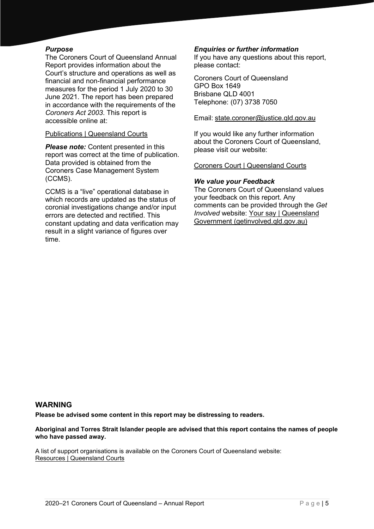#### *Purpose*

The Coroners Court of Queensland Annual Report provides information about the Court's structure and operations as well as financial and non-financial performance measures for the period 1 July 2020 to 30 June 2021. The report has been prepared in accordance with the requirements of the *Coroners Act 2003*. This report is accessible online at:

#### Publications | Queensland Courts

**Please note:** Content presented in this report was correct at the time of publication. Data provided is obtained from the Coroners Case Management System (CCMS).

CCMS is a "live" operational database in which records are updated as the status of coronial investigations change and/or input errors are detected and rectified. This constant updating and data verification may result in a slight variance of figures over time.

#### *Enquiries or further information*

If you have any questions about this report, please contact:

Coroners Court of Queensland GPO Box 1649 Brisbane QLD 4001 Telephone: (07) 3738 7050

Email: [state.coroner@justice.qld.gov.au](mailto:state.coroner@justice.qld.gov.au)

If you would like any further information about the Coroners Court of Queensland, please visit our website:

Coroners Court | Queensland Courts

#### *We value your Feedback*

The Coroners Court of Queensland values your feedback on this report. Any comments can be provided through the *Get Involved* website: Your say | Queensland Government (getinvolved.qld.gov.au)

#### **WARNING**

**Please be advised some content in this report may be distressing to readers.** 

**Aboriginal and Torres Strait Islander people are advised that this report contains the names of people who have passed away.** 

A list of support organisations is available on the Coroners Court of Queensland website: Resources | Queensland Courts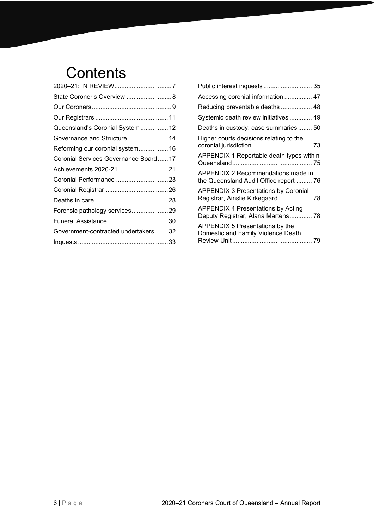# **Contents**

| State Coroner's Overview  8          |  |
|--------------------------------------|--|
|                                      |  |
|                                      |  |
| Queensland's Coronial System  12     |  |
| Governance and Structure  14         |  |
| Reforming our coronial system 16     |  |
| Coronial Services Governance Board17 |  |
|                                      |  |
|                                      |  |
|                                      |  |
|                                      |  |
| Forensic pathology services29        |  |
|                                      |  |
| Government-contracted undertakers32  |  |
|                                      |  |
|                                      |  |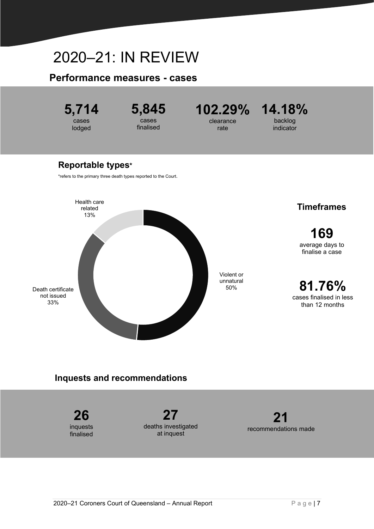# <span id="page-6-0"></span>2020–21: IN REVIEW

#### **Performance measures - cases**



#### **Inquests and recommendations**

**26** inquests finalised **27** deaths investigated at inquest **21** recommendations made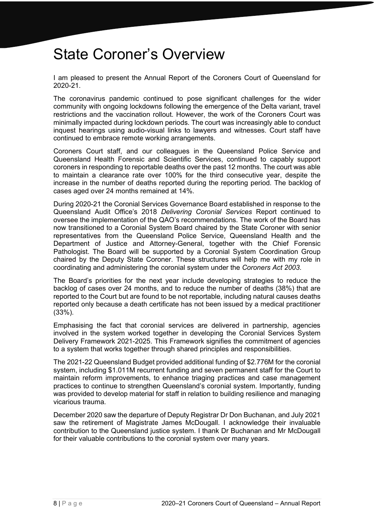# <span id="page-7-0"></span>State Coroner's Overview

I am pleased to present the Annual Report of the Coroners Court of Queensland for 2020-21.

The coronavirus pandemic continued to pose significant challenges for the wider community with ongoing lockdowns following the emergence of the Delta variant, travel restrictions and the vaccination rollout. However, the work of the Coroners Court was minimally impacted during lockdown periods. The court was increasingly able to conduct inquest hearings using audio-visual links to lawyers and witnesses. Court staff have continued to embrace remote working arrangements.

Coroners Court staff, and our colleagues in the Queensland Police Service and Queensland Health Forensic and Scientific Services, continued to capably support coroners in responding to reportable deaths over the past 12 months. The court was able to maintain a clearance rate over 100% for the third consecutive year, despite the increase in the number of deaths reported during the reporting period. The backlog of cases aged over 24 months remained at 14%.

During 2020-21 the Coronial Services Governance Board established in response to the Queensland Audit Office's 2018 *Delivering Coronial Services* Report continued to oversee the implementation of the QAO's recommendations. The work of the Board has now transitioned to a Coronial System Board chaired by the State Coroner with senior representatives from the Queensland Police Service, Queensland Health and the Department of Justice and Attorney-General, together with the Chief Forensic Pathologist. The Board will be supported by a Coronial System Coordination Group chaired by the Deputy State Coroner. These structures will help me with my role in coordinating and administering the coronial system under the *Coroners Act 2003*.

The Board's priorities for the next year include developing strategies to reduce the backlog of cases over 24 months, and to reduce the number of deaths (38%) that are reported to the Court but are found to be not reportable, including natural causes deaths reported only because a death certificate has not been issued by a medical practitioner (33%).

Emphasising the fact that coronial services are delivered in partnership, agencies involved in the system worked together in developing the Coronial Services System Delivery Framework 2021-2025. This Framework signifies the commitment of agencies to a system that works together through shared principles and responsibilities.

The 2021-22 Queensland Budget provided additional funding of \$2.776M for the coronial system, including \$1.011M recurrent funding and seven permanent staff for the Court to maintain reform improvements, to enhance triaging practices and case management practices to continue to strengthen Queensland's coronial system. Importantly, funding was provided to develop material for staff in relation to building resilience and managing vicarious trauma.

December 2020 saw the departure of Deputy Registrar Dr Don Buchanan, and July 2021 saw the retirement of Magistrate James McDougall. I acknowledge their invaluable contribution to the Queensland justice system. I thank Dr Buchanan and Mr McDougall for their valuable contributions to the coronial system over many years.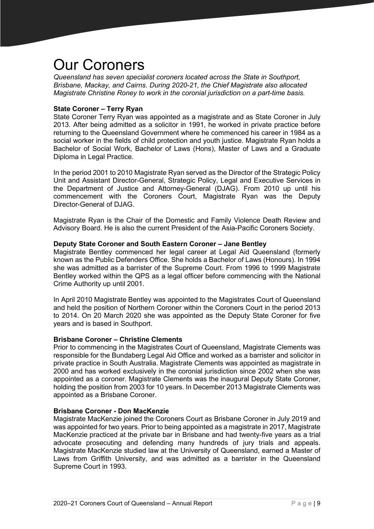# <span id="page-8-0"></span>Our Coroners

*Queensland has seven specialist coroners located across the State in Southport, Brisbane, Mackay, and Cairns. During 2020-21, the Chief Magistrate also allocated Magistrate Christine Roney to work in the coronial jurisdiction on a part-time basis.* 

#### **State Coroner – Terry Ryan**

State Coroner Terry Ryan was appointed as a magistrate and as State Coroner in July 2013. After being admitted as a solicitor in 1991, he worked in private practice before returning to the Queensland Government where he commenced his career in 1984 as a social worker in the fields of child protection and youth justice. Magistrate Ryan holds a Bachelor of Social Work, Bachelor of Laws (Hons), Master of Laws and a Graduate Diploma in Legal Practice.

In the period 2001 to 2010 Magistrate Ryan served as the Director of the Strategic Policy Unit and Assistant Director-General, Strategic Policy, Legal and Executive Services in the Department of Justice and Attorney-General (DJAG). From 2010 up until his commencement with the Coroners Court, Magistrate Ryan was the Deputy Director-General of DJAG.

Magistrate Ryan is the Chair of the Domestic and Family Violence Death Review and Advisory Board. He is also the current President of the Asia-Pacific Coroners Society.

#### **Deputy State Coroner and South Eastern Coroner – Jane Bentley**

Magistrate Bentley commenced her legal career at Legal Aid Queensland (formerly known as the Public Defenders Office. She holds a Bachelor of Laws (Honours). In 1994 she was admitted as a barrister of the Supreme Court. From 1996 to 1999 Magistrate Bentley worked within the QPS as a legal officer before commencing with the National Crime Authority up until 2001.

In April 2010 Magistrate Bentley was appointed to the Magistrates Court of Queensland and held the position of Northern Coroner within the Coroners Court in the period 2013 to 2014. On 20 March 2020 she was appointed as the Deputy State Coroner for five years and is based in Southport.

#### **Brisbane Coroner – Christine Clements**

Prior to commencing in the Magistrates Court of Queensland, Magistrate Clements was responsible for the Bundaberg Legal Aid Office and worked as a barrister and solicitor in private practice in South Australia. Magistrate Clements was appointed as magistrate in 2000 and has worked exclusively in the coronial jurisdiction since 2002 when she was appointed as a coroner. Magistrate Clements was the inaugural Deputy State Coroner, holding the position from 2003 for 10 years. In December 2013 Magistrate Clements was appointed as a Brisbane Coroner.

#### **Brisbane Coroner - Don MacKenzie**

Magistrate MacKenzie joined the Coroners Court as Brisbane Coroner in July 2019 and was appointed for two years. Prior to being appointed as a magistrate in 2017, Magistrate MacKenzie practiced at the private bar in Brisbane and had twenty-five years as a trial advocate prosecuting and defending many hundreds of jury trials and appeals. Magistrate MacKenzie studied law at the University of Queensland, earned a Master of Laws from Griffith University, and was admitted as a barrister in the Queensland Supreme Court in 1993.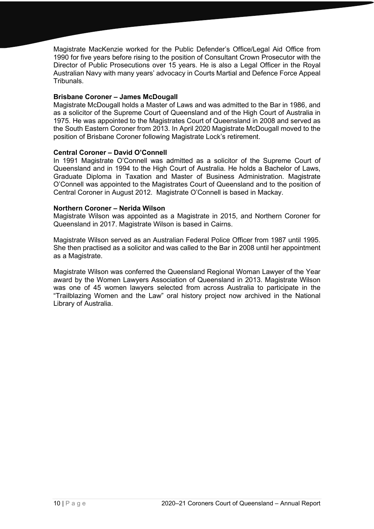Magistrate MacKenzie worked for the Public Defender's Office/Legal Aid Office from 1990 for five years before rising to the position of Consultant Crown Prosecutor with the Director of Public Prosecutions over 15 years. He is also a Legal Officer in the Royal Australian Navy with many years' advocacy in Courts Martial and Defence Force Appeal **Tribunals** 

#### **Brisbane Coroner – James McDougall**

Magistrate McDougall holds a Master of Laws and was admitted to the Bar in 1986, and as a solicitor of the Supreme Court of Queensland and of the High Court of Australia in 1975. He was appointed to the Magistrates Court of Queensland in 2008 and served as the South Eastern Coroner from 2013. In April 2020 Magistrate McDougall moved to the position of Brisbane Coroner following Magistrate Lock's retirement.

#### **Central Coroner – David O'Connell**

In 1991 Magistrate O'Connell was admitted as a solicitor of the Supreme Court of Queensland and in 1994 to the High Court of Australia. He holds a Bachelor of Laws, Graduate Diploma in Taxation and Master of Business Administration. Magistrate O'Connell was appointed to the Magistrates Court of Queensland and to the position of Central Coroner in August 2012. Magistrate O'Connell is based in Mackay.

#### **Northern Coroner – Nerida Wilson**

Magistrate Wilson was appointed as a Magistrate in 2015, and Northern Coroner for Queensland in 2017. Magistrate Wilson is based in Cairns.

Magistrate Wilson served as an Australian Federal Police Officer from 1987 until 1995. She then practised as a solicitor and was called to the Bar in 2008 until her appointment as a Magistrate.

Magistrate Wilson was conferred the Queensland Regional Woman Lawyer of the Year award by the Women Lawyers Association of Queensland in 2013. Magistrate Wilson was one of 45 women lawyers selected from across Australia to participate in the "Trailblazing Women and the Law" oral history project now archived in the National Library of Australia.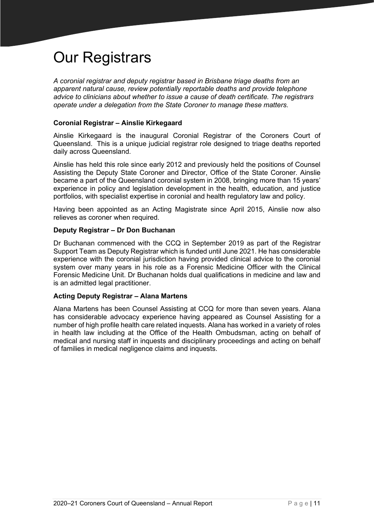# <span id="page-10-0"></span>Our Registrars

*A coronial registrar and deputy registrar based in Brisbane triage deaths from an apparent natural cause, review potentially reportable deaths and provide telephone advice to clinicians about whether to issue a cause of death certificate. The registrars operate under a delegation from the State Coroner to manage these matters.*

#### **Coronial Registrar – Ainslie Kirkegaard**

Ainslie Kirkegaard is the inaugural Coronial Registrar of the Coroners Court of Queensland. This is a unique judicial registrar role designed to triage deaths reported daily across Queensland.

Ainslie has held this role since early 2012 and previously held the positions of Counsel Assisting the Deputy State Coroner and Director, Office of the State Coroner. Ainslie became a part of the Queensland coronial system in 2008, bringing more than 15 years' experience in policy and legislation development in the health, education, and justice portfolios, with specialist expertise in coronial and health regulatory law and policy.

Having been appointed as an Acting Magistrate since April 2015, Ainslie now also relieves as coroner when required.

#### **Deputy Registrar – Dr Don Buchanan**

Dr Buchanan commenced with the CCQ in September 2019 as part of the Registrar Support Team as Deputy Registrar which is funded until June 2021. He has considerable experience with the coronial jurisdiction having provided clinical advice to the coronial system over many years in his role as a Forensic Medicine Officer with the Clinical Forensic Medicine Unit. Dr Buchanan holds dual qualifications in medicine and law and is an admitted legal practitioner.

#### **Acting Deputy Registrar – Alana Martens**

Alana Martens has been Counsel Assisting at CCQ for more than seven years. Alana has considerable advocacy experience having appeared as Counsel Assisting for a number of high profile health care related inquests. Alana has worked in a variety of roles in health law including at the Office of the Health Ombudsman, acting on behalf of medical and nursing staff in inquests and disciplinary proceedings and acting on behalf of families in medical negligence claims and inquests.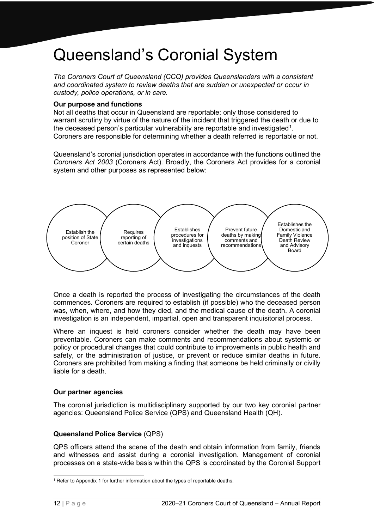# <span id="page-11-0"></span>Queensland's Coronial System

*The Coroners Court of Queensland (CCQ) provides Queenslanders with a consistent and coordinated system to review deaths that are sudden or unexpected or occur in custody, police operations, or in care.*

#### **Our purpose and functions**

Not all deaths that occur in Queensland are reportable; only those considered to warrant scrutiny by virtue of the nature of the incident that triggered the death or due to the deceased person's particular vulnerability are reportable and investigated<sup>[1](#page-11-1)</sup>. Coroners are responsible for determining whether a death referred is reportable or not.

Queensland's coronial jurisdiction operates in accordance with the functions outlined the *Coroners Act 2003* (Coroners Act). Broadly, the Coroners Act provides for a coronial system and other purposes as represented below:



Once a death is reported the process of investigating the circumstances of the death commences. Coroners are required to establish (if possible) who the deceased person was, when, where, and how they died, and the medical cause of the death. A coronial investigation is an independent, impartial, open and transparent inquisitorial process.

Where an inquest is held coroners consider whether the death may have been preventable. Coroners can make comments and recommendations about systemic or policy or procedural changes that could contribute to improvements in public health and safety, or the administration of justice, or prevent or reduce similar deaths in future. Coroners are prohibited from making a finding that someone be held criminally or civilly liable for a death.

#### **Our partner agencies**

The coronial jurisdiction is multidisciplinary supported by our two key coronial partner agencies: Queensland Police Service (QPS) and Queensland Health (QH).

#### **Queensland Police Service** (QPS)

QPS officers attend the scene of the death and obtain information from family, friends and witnesses and assist during a coronial investigation. Management of coronial processes on a state-wide basis within the QPS is coordinated by the Coronial Support

<span id="page-11-1"></span><sup>&</sup>lt;sup>1</sup> Refer to Appendix 1 for further information about the types of reportable deaths.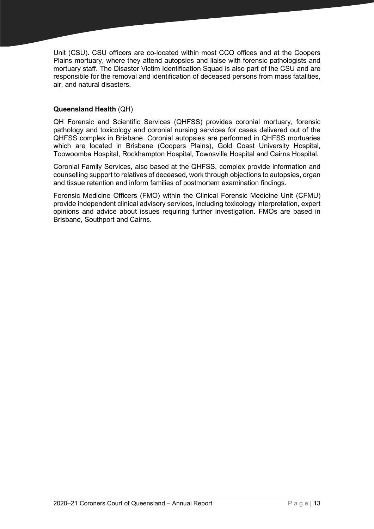Unit (CSU). CSU officers are co-located within most CCQ offices and at the Coopers Plains mortuary, where they attend autopsies and liaise with forensic pathologists and mortuary staff. The Disaster Victim Identification Squad is also part of the CSU and are responsible for the removal and identification of deceased persons from mass fatalities, air, and natural disasters.

#### **Queensland Health** (QH)

QH Forensic and Scientific Services (QHFSS) provides coronial mortuary, forensic pathology and toxicology and coronial nursing services for cases delivered out of the QHFSS complex in Brisbane. Coronial autopsies are performed in QHFSS mortuaries which are located in Brisbane (Coopers Plains), Gold Coast University Hospital, Toowoomba Hospital, Rockhampton Hospital, Townsville Hospital and Cairns Hospital.

Coronial Family Services, also based at the QHFSS, complex provide information and counselling support to relatives of deceased, work through objections to autopsies, organ and tissue retention and inform families of postmortem examination findings.

Forensic Medicine Officers (FMO) within the Clinical Forensic Medicine Unit (CFMU) provide independent clinical advisory services, including toxicology interpretation, expert opinions and advice about issues requiring further investigation. FMOs are based in Brisbane, Southport and Cairns.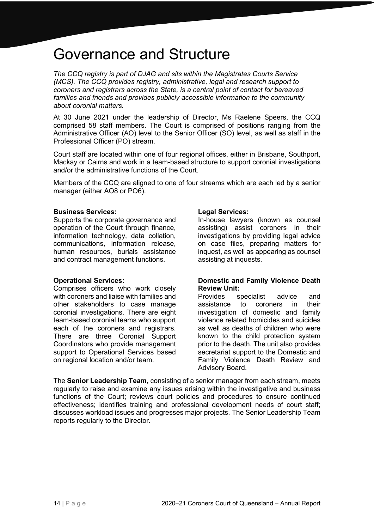### <span id="page-13-0"></span>Governance and Structure

*The CCQ registry is part of DJAG and sits within the Magistrates Courts Service (MCS). The CCQ provides registry, administrative, legal and research support to coroners and registrars across the State, is a central point of contact for bereaved families and friends and provides publicly accessible information to the community about coronial matters.* 

At 30 June 2021 under the leadership of Director, Ms Raelene Speers, the CCQ comprised 58 staff members. The Court is comprised of positions ranging from the Administrative Officer (AO) level to the Senior Officer (SO) level, as well as staff in the Professional Officer (PO) stream.

Court staff are located within one of four regional offices, either in Brisbane, Southport, Mackay or Cairns and work in a team-based structure to support coronial investigations and/or the administrative functions of the Court.

Members of the CCQ are aligned to one of four streams which are each led by a senior manager (either AO8 or PO6).

#### **Business Services:**

Supports the corporate governance and operation of the Court through finance, information technology, data collation, communications, information release, human resources, burials assistance and contract management functions.

#### **Operational Services:**

Comprises officers who work closely with coroners and liaise with families and other stakeholders to case manage coronial investigations. There are eight team-based coronial teams who support each of the coroners and registrars. There are three Coronial Support Coordinators who provide management support to Operational Services based on regional location and/or team.

#### **Legal Services:**

In-house lawyers (known as counsel assisting) assist coroners in their investigations by providing legal advice on case files, preparing matters for inquest, as well as appearing as counsel assisting at inquests.

#### **Domestic and Family Violence Death Review Unit:**

Provides specialist advice and assistance to coroners in their investigation of domestic and family violence related homicides and suicides as well as deaths of children who were known to the child protection system prior to the death. The unit also provides secretariat support to the Domestic and Family Violence Death Review and Advisory Board.

The **Senior Leadership Team,** consisting of a senior manager from each stream, meets regularly to raise and examine any issues arising within the investigative and business functions of the Court; reviews court policies and procedures to ensure continued effectiveness; identifies training and professional development needs of court staff; discusses workload issues and progresses major projects. The Senior Leadership Team reports regularly to the Director.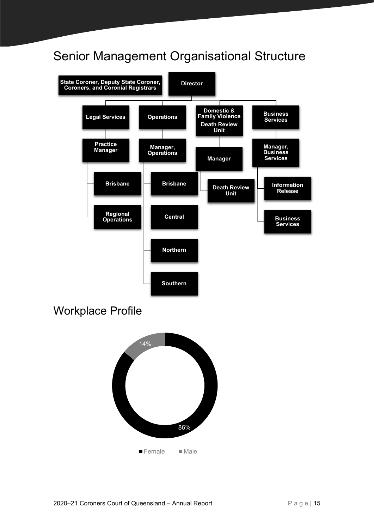### Senior Management Organisational Structure



Workplace Profile

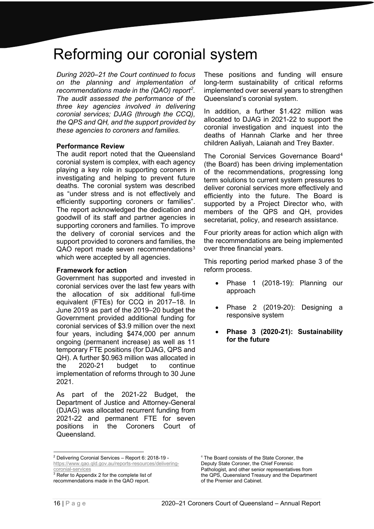### <span id="page-15-0"></span>Reforming our coronial system

*During 2020–21 the Court continued to focus on the planning and implementation of recommendations made in the (QAO) report[2](#page-15-1) . The audit assessed the performance of the three key agencies involved in delivering coronial services; DJAG (through the CCQ), the QPS and QH, and the support provided by these agencies to coroners and families.*

#### **Performance Review**

The audit report noted that the Queensland coronial system is complex, with each agency playing a key role in supporting coroners in investigating and helping to prevent future deaths. The coronial system was described as "under stress and is not effectively and efficiently supporting coroners or families". The report acknowledged the dedication and goodwill of its staff and partner agencies in supporting coroners and families. To improve the delivery of coronial services and the support provided to coroners and families, the QAO report made seven recommendations<sup>[3](#page-15-2)</sup> which were accepted by all agencies.

#### **Framework for action**

Government has supported and invested in coronial services over the last few years with the allocation of six additional full-time equivalent (FTEs) for CCQ in 2017–18. In June 2019 as part of the 2019–20 budget the Government provided additional funding for coronial services of \$3.9 million over the next four years, including \$474,000 per annum ongoing (permanent increase) as well as 11 temporary FTE positions (for DJAG, QPS and QH). A further \$0.963 million was allocated in the 2020-21 budget to continue implementation of reforms through to 30 June 2021.

As part of the 2021-22 Budget, the Department of Justice and Attorney-General (DJAG) was allocated recurrent funding from 2021-22 and permanent FTE for seven positions in the Coroners Court of Queensland.

<span id="page-15-1"></span><sup>2</sup> Delivering Coronial Services – Report 6: 2018-19 [https://www.qao.qld.gov.au/reports-resources/delivering](https://www.qao.qld.gov.au/reports-resources/delivering-coronial-services)[coronial-services](https://www.qao.qld.gov.au/reports-resources/delivering-coronial-services)

<span id="page-15-2"></span> $3$  Refer to Appendix 2 for the complete list of recommendations made in the QAO report.

These positions and funding will ensure long-term sustainability of critical reforms implemented over several years to strengthen Queensland's coronial system.

In addition, a further \$1.422 million was allocated to DJAG in 2021-22 to support the coronial investigation and inquest into the deaths of Hannah Clarke and her three children Aaliyah, Laianah and Trey Baxter.

The Coronial Services Governance Board[4](#page-15-1) (the Board) has been driving implementation of the recommendations, progressing long term solutions to current system pressures to deliver coronial services more effectively and efficiently into the future. The Board is supported by a Project Director who, with members of the QPS and QH, provides secretariat, policy, and research assistance.

Four priority areas for action which align with the recommendations are being implemented over three financial years.

This reporting period marked phase 3 of the reform process.

- Phase 1 (2018-19): Planning our approach
- Phase 2 (2019-20): Designing a responsive system
- **Phase 3 (2020-21): Sustainability for the future**

<sup>4</sup> The Board consists of the State Coroner, the Deputy State Coroner, the Chief Forensic Pathologist, and other senior representatives from the QPS, Queensland Treasury and the Department of the Premier and Cabinet.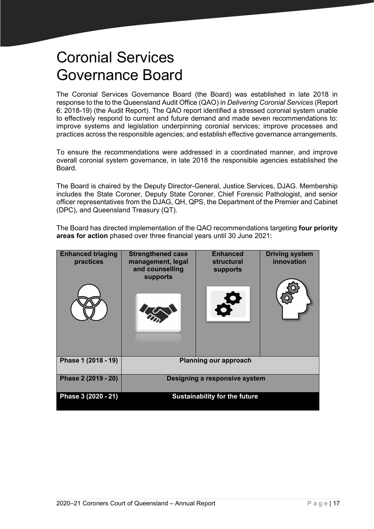# <span id="page-16-0"></span>Coronial Services Governance Board

The Coronial Services Governance Board (the Board) was established in late 2018 in response to the to the Queensland Audit Office (QAO) in *Delivering Coronial Services* (Report 6: 2018-19) (the Audit Report). The QAO report identified a stressed coronial system unable to effectively respond to current and future demand and made seven recommendations to: improve systems and legislation underpinning coronial services; improve processes and practices across the responsible agencies; and establish effective governance arrangements.

To ensure the recommendations were addressed in a coordinated manner, and improve overall coronial system governance, in late 2018 the responsible agencies established the Board.

The Board is chaired by the Deputy Director-General, Justice Services, DJAG. Membership includes the State Coroner, Deputy State Coroner, Chief Forensic Pathologist, and senior officer representatives from the DJAG, QH, QPS, the Department of the Premier and Cabinet (DPC), and Queensland Treasury (QT).

The Board has directed implementation of the QAO recommendations targeting **four priority areas for action** phased over three financial years until 30 June 2021:

| <b>Enhanced triaging</b><br>practices | <b>Strengthened case</b><br>management, legal<br>and counselling<br>supports | <b>Enhanced</b><br>structural<br>supports | <b>Driving system</b><br>innovation |  |
|---------------------------------------|------------------------------------------------------------------------------|-------------------------------------------|-------------------------------------|--|
| Phase 1 (2018 - 19)                   | <b>Planning our approach</b>                                                 |                                           |                                     |  |
| Phase 2 (2019 - 20)                   | Designing a responsive system                                                |                                           |                                     |  |
| Phase 3 (2020 - 21)                   | <b>Sustainability for the future</b>                                         |                                           |                                     |  |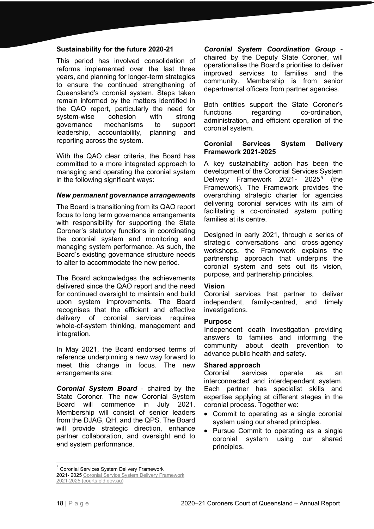#### **Sustainability for the future 2020-21**

This period has involved consolidation of reforms implemented over the last three years, and planning for longer-term strategies to ensure the continued strengthening of Queensland's coronial system. Steps taken remain informed by the matters identified in the QAO report, particularly the need for system-wise cohesion with strong governance mechanisms to support leadership, accountability, planning and reporting across the system.

With the QAO clear criteria, the Board has committed to a more integrated approach to managing and operating the coronial system in the following significant ways:

#### *New permanent governance arrangements*

The Board is transitioning from its QAO report focus to long term governance arrangements with responsibility for supporting the State Coroner's statutory functions in coordinating the coronial system and monitoring and managing system performance. As such, the Board's existing governance structure needs to alter to accommodate the new period.

The Board acknowledges the achievements delivered since the QAO report and the need for continued oversight to maintain and build upon system improvements. The Board recognises that the efficient and effective delivery of coronial services requires whole-of-system thinking, management and integration.

In May 2021, the Board endorsed terms of reference underpinning a new way forward to meet this change in focus. The new arrangements are:

*Coronial System Board* - chaired by the State Coroner. The new Coronial System Board will commence in July 2021. Membership will consist of senior leaders from the DJAG, QH, and the QPS. The Board will provide strategic direction, enhance partner collaboration, and oversight end to end system performance.

*Coronial System Coordination Group* chaired by the Deputy State Coroner, will operationalise the Board's priorities to deliver improved services to families and the community. Membership is from senior departmental officers from partner agencies.

Both entities support the State Coroner's functions regarding co-ordination, administration, and efficient operation of the coronial system.

#### **Coronial Services System Delivery Framework 2021-2025**

A key sustainability action has been the development of the Coronial Services System Delivery Framework 2021- 202[5](#page-17-0)<sup>5</sup> (the Framework). The Framework provides the overarching strategic charter for agencies delivering coronial services with its aim of facilitating a co-ordinated system putting families at its centre.

Designed in early 2021, through a series of strategic conversations and cross-agency workshops, the Framework explains the partnership approach that underpins the coronial system and sets out its vision, purpose, and partnership principles.

#### **Vision**

Coronial services that partner to deliver independent, family-centred, and timely investigations.

#### **Purpose**

Independent death investigation providing answers to families and informing the community about death prevention to advance public health and safety.

#### **Shared approach**

Coronial services operate as an interconnected and interdependent system. Each partner has specialist skills and expertise applying at different stages in the coronial process. Together we:

- Commit to operating as a single coronial system using our shared principles.
- Pursue Commit to operating as a single coronial system using our shared principles.

<span id="page-17-0"></span><sup>5</sup> Coronial Services System Delivery Framework

<sup>2021-</sup> 2025 Coronial Service System Delivery Framework 2021-2025 (courts.qld.gov.au)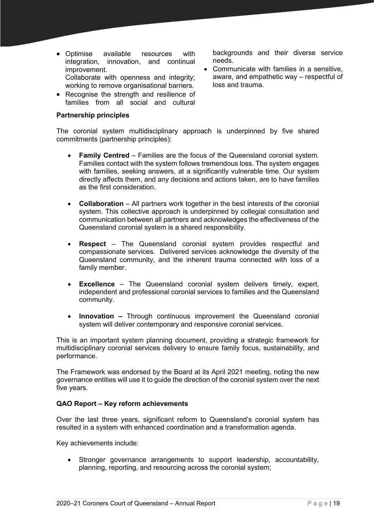- Optimise available resources with integration, innovation, and continual improvement. Collaborate with openness and integrity; working to remove organisational barriers.
- Recognise the strength and resilience of families from all social and cultural

#### **Partnership principles**

backgrounds and their diverse service needs.

• Communicate with families in a sensitive, aware, and empathetic way – respectful of loss and trauma.

The coronial system multidisciplinary approach is underpinned by five shared commitments (partnership principles):

- **Family Centred** Families are the focus of the Queensland coronial system. Families contact with the system follows tremendous loss. The system engages with families, seeking answers, at a significantly vulnerable time. Our system directly affects them, and any decisions and actions taken, are to have families as the first consideration.
- **Collaboration** All partners work together in the best interests of the coronial system. This collective approach is underpinned by collegial consultation and communication between all partners and acknowledges the effectiveness of the Queensland coronial system is a shared responsibility.
- **Respect** The Queensland coronial system provides respectful and compassionate services. Delivered services acknowledge the diversity of the Queensland community, and the inherent trauma connected with loss of a family member.
- **Excellence**  The Queensland coronial system delivers timely, expert, independent and professional coronial services to families and the Queensland community.
- **Innovation –** Through continuous improvement the Queensland coronial system will deliver contemporary and responsive coronial services.

This is an important system planning document, providing a strategic framework for multidisciplinary coronial services delivery to ensure family focus, sustainability, and performance.

The Framework was endorsed by the Board at its April 2021 meeting, noting the new governance entities will use it to guide the direction of the coronial system over the next five years.

#### **QAO Report – Key reform achievements**

Over the last three years, significant reform to Queensland's coronial system has resulted in a system with enhanced coordination and a transformation agenda.

Key achievements include:

• Stronger governance arrangements to support leadership, accountability, planning, reporting, and resourcing across the coronial system;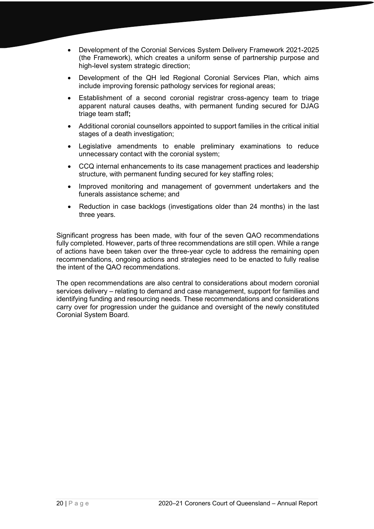- Development of the Coronial Services System Delivery Framework 2021-2025 (the Framework), which creates a uniform sense of partnership purpose and high-level system strategic direction;
- Development of the QH led Regional Coronial Services Plan, which aims include improving forensic pathology services for regional areas;
- Establishment of a second coronial registrar cross-agency team to triage apparent natural causes deaths, with permanent funding secured for DJAG triage team staff**;**
- Additional coronial counsellors appointed to support families in the critical initial stages of a death investigation;
- Legislative amendments to enable preliminary examinations to reduce unnecessary contact with the coronial system;
- CCQ internal enhancements to its case management practices and leadership structure, with permanent funding secured for key staffing roles;
- Improved monitoring and management of government undertakers and the funerals assistance scheme; and
- Reduction in case backlogs (investigations older than 24 months) in the last three years.

Significant progress has been made, with four of the seven QAO recommendations fully completed. However, parts of three recommendations are still open. While a range of actions have been taken over the three-year cycle to address the remaining open recommendations, ongoing actions and strategies need to be enacted to fully realise the intent of the QAO recommendations.

The open recommendations are also central to considerations about modern coronial services delivery – relating to demand and case management, support for families and identifying funding and resourcing needs. These recommendations and considerations carry over for progression under the guidance and oversight of the newly constituted Coronial System Board.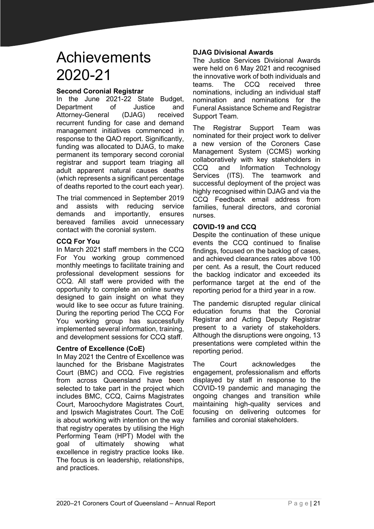# <span id="page-20-0"></span>Achievements 2020-21

#### **Second Coronial Registrar**

In the June 2021-22 State Budget, Department of Justice and Attorney-General (DJAG) received recurrent funding for case and demand management initiatives commenced in response to the QAO report. Significantly, funding was allocated to DJAG, to make permanent its temporary second coronial registrar and support team triaging all adult apparent natural causes deaths (which represents a significant percentage of deaths reported to the court each year).

The trial commenced in September 2019 and assists with reducing service demands and importantly, ensures bereaved families avoid unnecessary contact with the coronial system.

#### **CCQ For You**

In March 2021 staff members in the CCQ For You working group commenced monthly meetings to facilitate training and professional development sessions for CCQ. All staff were provided with the opportunity to complete an online survey designed to gain insight on what they would like to see occur as future training. During the reporting period The CCQ For You working group has successfully implemented several information, training, and development sessions for CCQ staff.

#### **Centre of Excellence (CoE)**

In May 2021 the Centre of Excellence was launched for the Brisbane Magistrates Court (BMC) and CCQ. Five registries from across Queensland have been selected to take part in the project which includes BMC, CCQ, Cairns Magistrates Court, Maroochydore Magistrates Court, and Ipswich Magistrates Court. The CoE is about working with intention on the way that registry operates by utilising the High Performing Team (HPT) Model with the goal of ultimately showing what excellence in registry practice looks like. The focus is on leadership, relationships, and practices.

#### **DJAG Divisional Awards**

The Justice Services Divisional Awards were held on 6 May 2021 and recognised the innovative work of both individuals and teams. The CCQ received three nominations, including an individual staff nomination and nominations for the Funeral Assistance Scheme and Registrar Support Team.

The Registrar Support Team was nominated for their project work to deliver a new version of the Coroners Case Management System (CCMS) working collaboratively with key stakeholders in CCQ and Information Technology Services (ITS). The teamwork and successful deployment of the project was highly recognised within DJAG and via the CCQ Feedback email address from families, funeral directors, and coronial nurses.

#### **COVID-19 and CCQ**

Despite the continuation of these unique events the CCQ continued to finalise findings, focused on the backlog of cases, and achieved clearances rates above 100 per cent. As a result, the Court reduced the backlog indicator and exceeded its performance target at the end of the reporting period for a third year in a row.

The pandemic disrupted regular clinical education forums that the Coronial Registrar and Acting Deputy Registrar present to a variety of stakeholders. Although the disruptions were ongoing, 13 presentations were completed within the reporting period.

The Court acknowledges the engagement, professionalism and efforts displayed by staff in response to the COVID-19 pandemic and managing the ongoing changes and transition while maintaining high-quality services and focusing on delivering outcomes for families and coronial stakeholders.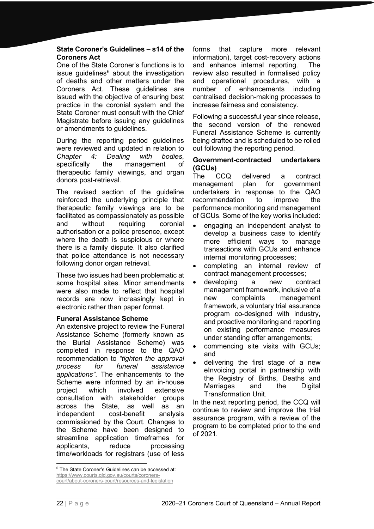#### **State Coroner's Guidelines – s14 of the Coroners Act**

One of the State Coroner's functions is to issue quidelines $6$  about the investigation of deaths and other matters under the Coroners Act. These guidelines are issued with the objective of ensuring best practice in the coronial system and the State Coroner must consult with the Chief Magistrate before issuing any guidelines or amendments to guidelines.

During the reporting period guidelines were reviewed and updated in relation to *Chapter 4: Dealing with bodies*, specifically the management of therapeutic family viewings, and organ donors post-retrieval.

The revised section of the guideline reinforced the underlying principle that therapeutic family viewings are to be facilitated as compassionately as possible and without requiring coronial authorisation or a police presence, except where the death is suspicious or where there is a family dispute. It also clarified that police attendance is not necessary following donor organ retrieval.

These two issues had been problematic at some hospital sites. Minor amendments were also made to reflect that hospital records are now increasingly kept in electronic rather than paper format.

#### **Funeral Assistance Scheme**

An extensive project to review the Funeral Assistance Scheme (formerly known as the Burial Assistance Scheme) was completed in response to the QAO recommendation to *"tighten the approval process for funeral assistance applications"*. The enhancements to the Scheme were informed by an in-house project which involved extensive consultation with stakeholder groups across the State, as well as an independent cost-benefit analysis commissioned by the Court. Changes to the Scheme have been designed to streamline application timeframes for applicants, reduce processing time/workloads for registrars (use of less

forms that capture more relevant information), target cost-recovery actions and enhance internal reporting. The review also resulted in formalised policy and operational procedures, with a number of enhancements including centralised decision-making processes to increase fairness and consistency.

Following a successful year since release, the second version of the renewed Funeral Assistance Scheme is currently being drafted and is scheduled to be rolled out following the reporting period.

#### **Government-contracted undertakers (GCUs)**

The CCQ delivered a contract<br>management plan for government management plan for government undertakers in response to the QAO recommendation to improve the performance monitoring and management of GCUs. Some of the key works included:

- engaging an independent analyst to develop a business case to identify more efficient ways to manage transactions with GCUs and enhance internal monitoring processes;
- completing an internal review of contract management processes;
- developing a new contract management framework, inclusive of a new complaints management framework, a voluntary trial assurance program co-designed with industry, and proactive monitoring and reporting on existing performance measures under standing offer arrangements;
- commencing site visits with GCUs; and
- delivering the first stage of a new eInvoicing portal in partnership with the Registry of Births, Deaths and Marriages and the Digital Transformation Unit.

In the next reporting period, the CCQ will continue to review and improve the trial assurance program, with a review of the program to be completed prior to the end of 2021.

<span id="page-21-0"></span><sup>&</sup>lt;sup>6</sup> The State Coroner's Guidelines can be accessed at: [https://www.courts.qld.gov.au/courts/coroners](https://www.courts.qld.gov.au/courts/coroners-court/about-coroners-court/resources-and-legislation)[court/about-coroners-court/resources-and-legislation](https://www.courts.qld.gov.au/courts/coroners-court/about-coroners-court/resources-and-legislation)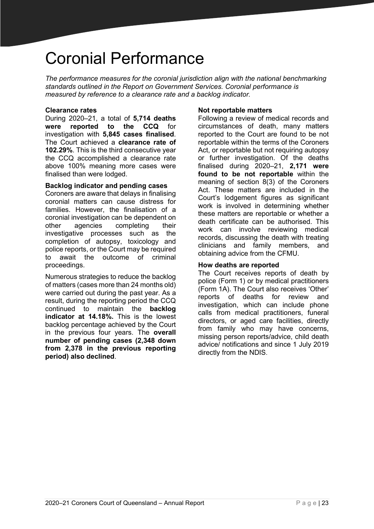# <span id="page-22-0"></span>Coronial Performance

*The performance measures for the coronial jurisdiction align with the national benchmarking standards outlined in the Report on Government Services. Coronial performance is measured by reference to a clearance rate and a backlog indicator.* 

#### **Clearance rates**

During 2020–21, a total of **5,714 deaths were reported to the CCQ** for investigation with **5,845 cases finalised**. The Court achieved a **clearance rate of 102.29%**. This is the third consecutive year the CCQ accomplished a clearance rate above 100% meaning more cases were finalised than were lodged.

#### **Backlog indicator and pending cases**

Coroners are aware that delays in finalising coronial matters can cause distress for families. However, the finalisation of a coronial investigation can be dependent on<br>other agencies completing their other agencies completing their investigative processes such as the completion of autopsy, toxicology and police reports, or the Court may be required to await the outcome of criminal proceedings.

Numerous strategies to reduce the backlog of matters (cases more than 24 months old) were carried out during the past year. As a result, during the reporting period the CCQ continued to maintain the **backlog indicator at 14.18%.** This is the lowest backlog percentage achieved by the Court in the previous four years. The **overall number of pending cases (2,348 down from 2,378 in the previous reporting period) also declined**.

#### **Not reportable matters**

Following a review of medical records and circumstances of death, many matters reported to the Court are found to be not reportable within the terms of the Coroners Act, or reportable but not requiring autopsy or further investigation. Of the deaths finalised during 2020–21, **2,171 were found to be not reportable** within the meaning of section 8(3) of the Coroners Act. These matters are included in the Court's lodgement figures as significant work is involved in determining whether these matters are reportable or whether a death certificate can be authorised. This work can involve reviewing medical records, discussing the death with treating clinicians and family members, and obtaining advice from the CFMU.

#### **How deaths are reported**

The Court receives reports of death by police (Form 1) or by medical practitioners (Form 1A). The Court also receives 'Other' reports of deaths for review and investigation, which can include phone calls from medical practitioners, funeral directors, or aged care facilities, directly from family who may have concerns, missing person reports/advice, child death advice/ notifications and since 1 July 2019 directly from the NDIS.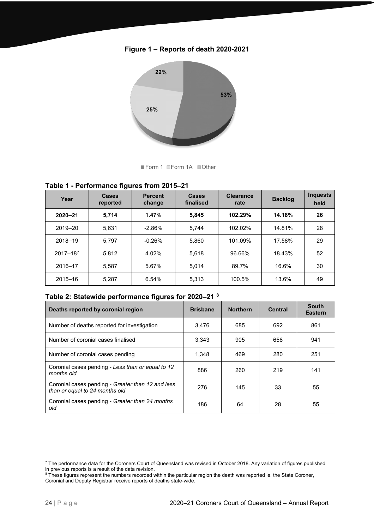



Form 1 Form 1A Other

#### **Table 1 - Performance figures from 2015–21**

| Year         | ◡<br><b>Cases</b><br>reported | <b>Percent</b><br>change | Cases<br>finalised | <b>Clearance</b><br>rate | <b>Backlog</b> | <b>Inquests</b><br>held |
|--------------|-------------------------------|--------------------------|--------------------|--------------------------|----------------|-------------------------|
| $2020 - 21$  | 5,714                         | 1.47%                    | 5,845              | 102.29%                  | 14.18%         | 26                      |
| 2019-20      | 5,631                         | $-2.86%$                 | 5.744              | 102.02%                  | 14.81%         | 28                      |
| 2018-19      | 5.797                         | $-0.26%$                 | 5,860              | 101.09%                  | 17.58%         | 29                      |
| $2017 - 187$ | 5,812                         | 4.02%                    | 5,618              | 96.66%                   | 18.43%         | 52                      |
| 2016-17      | 5.587                         | 5.67%                    | 5.014              | 89.7%                    | 16.6%          | 30                      |
| $2015 - 16$  | 5.287                         | 6.54%                    | 5.313              | 100.5%                   | 13.6%          | 49                      |

#### **Table 2: Statewide performance figures for 2020–21 [8](#page-23-1)**

| Deaths reported by coronial region                                                  | <b>Brisbane</b> | <b>Northern</b> | <b>Central</b> | <b>South</b><br><b>Eastern</b> |
|-------------------------------------------------------------------------------------|-----------------|-----------------|----------------|--------------------------------|
| Number of deaths reported for investigation                                         | 3.476           | 685             | 692            | 861                            |
| Number of coronial cases finalised                                                  | 3.343           | 905             | 656            | 941                            |
| Number of coronial cases pending                                                    | 1.348           | 469             | 280            | 251                            |
| Coronial cases pending - Less than or equal to 12<br>months old                     | 886             | 260             | 219            | 141                            |
| Coronial cases pending - Greater than 12 and less<br>than or equal to 24 months old | 276             | 145             | 33             | 55                             |
| Coronial cases pending - Greater than 24 months<br>old                              | 186             | 64              | 28             | 55                             |

<span id="page-23-0"></span><sup>&</sup>lt;sup>7</sup> The performance data for the Coroners Court of Queensland was revised in October 2018. Any variation of figures published In previous reports is a result of the data revision.<br><sup>8</sup> These figures represent the numbers recorded within the particular region the death was reported ie. the State Coroner,

<span id="page-23-1"></span>Coronial and Deputy Registrar receive reports of deaths state-wide.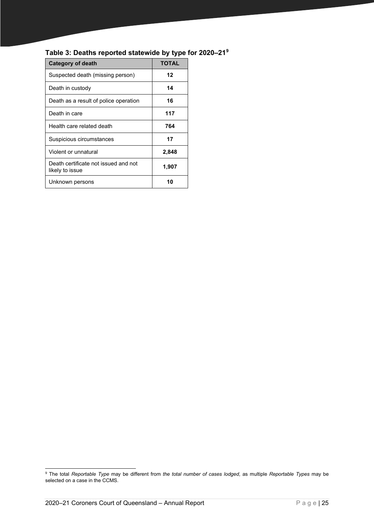| <b>Category of death</b>                                | <b>TOTAL</b> |
|---------------------------------------------------------|--------------|
| Suspected death (missing person)                        | 12           |
| Death in custody                                        | 14           |
| Death as a result of police operation                   | 16           |
| Death in care                                           | 117          |
| Health care related death                               | 764          |
| Suspicious circumstances                                | 17           |
| Violent or unnatural                                    | 2,848        |
| Death certificate not issued and not<br>likely to issue | 1,907        |
| Unknown persons                                         | 10           |

#### **Table 3: Deaths reported statewide by type for 2020–21[9](#page-24-0)**

<span id="page-24-0"></span><sup>9</sup> The total *Reportable Type* may be different from *the total number of cases lodged*, as multiple *Reportable Types* may be selected on a case in the CCMS.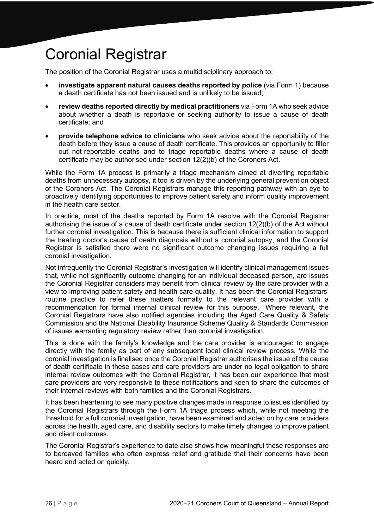# <span id="page-25-0"></span>Coronial Registrar

The position of the Coronial Registrar uses a multidisciplinary approach to:

- **investigate apparent natural causes deaths reported by police** (via Form 1) because a death certificate has not been issued and is unlikely to be issued;
- **review deaths reported directly by medical practitioners** via Form 1A who seek advice about whether a death is reportable or seeking authority to issue a cause of death certificate; and
- **provide telephone advice to clinicians** who seek advice about the reportability of the death before they issue a cause of death certificate. This provides an opportunity to filter out not-reportable deaths and to triage reportable deaths where a cause of death certificate may be authorised under section 12(2)(b) of the Coroners Act.

While the Form 1A process is primarily a triage mechanism aimed at diverting reportable deaths from unnecessary autopsy, it too is driven by the underlying general prevention object of the Coroners Act. The Coronial Registrars manage this reporting pathway with an eye to proactively identifying opportunities to improve patient safety and inform quality improvement in the health care sector.

In practice, most of the deaths reported by Form 1A resolve with the Coronial Registrar authorising the issue of a cause of death certificate under section 12(2)(b) of the Act without further coronial investigation. This is because there is sufficient clinical information to support the treating doctor's cause of death diagnosis without a coronial autopsy, and the Coronial Registrar is satisfied there were no significant outcome changing issues requiring a full coronial investigation.

Not infrequently the Coronial Registrar's investigation will identify clinical management issues that, while not significantly outcome changing for an individual deceased person, are issues the Coronial Registrar considers may benefit from clinical review by the care provider with a view to improving patient safety and health care quality. It has been the Coronial Registrars' routine practice to refer these matters formally to the relevant care provider with a recommendation for formal internal clinical review for this purpose. Where relevant, the Coronial Registrars have also notified agencies including the Aged Care Quality & Safety Commission and the National Disability Insurance Scheme Quality & Standards Commission of issues warranting regulatory review rather than coronial investigation.

This is done with the family's knowledge and the care provider is encouraged to engage directly with the family as part of any subsequent local clinical review process. While the coronial investigation is finalised once the Coronial Registrar authorises the issue of the cause of death certificate in these cases and care providers are under no legal obligation to share internal review outcomes with the Coronial Registrar, it has been our experience that most care providers are very responsive to these notifications and keen to share the outcomes of their internal reviews with both families and the Coronial Registrars.

It has been heartening to see many positive changes made in response to issues identified by the Coronial Registrars through the Form 1A triage process which, while not meeting the threshold for a full coronial investigation, have been examined and acted on by care providers across the health, aged care, and disability sectors to make timely changes to improve patient and client outcomes.

The Coronial Registrar's experience to date also shows how meaningful these responses are to bereaved families who often express relief and gratitude that their concerns have been heard and acted on quickly.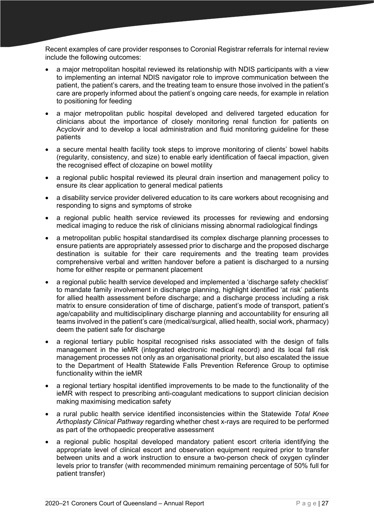Recent examples of care provider responses to Coronial Registrar referrals for internal review include the following outcomes:

- a major metropolitan hospital reviewed its relationship with NDIS participants with a view to implementing an internal NDIS navigator role to improve communication between the patient, the patient's carers, and the treating team to ensure those involved in the patient's care are properly informed about the patient's ongoing care needs, for example in relation to positioning for feeding
- a major metropolitan public hospital developed and delivered targeted education for clinicians about the importance of closely monitoring renal function for patients on Acyclovir and to develop a local administration and fluid monitoring guideline for these patients
- a secure mental health facility took steps to improve monitoring of clients' bowel habits (regularity, consistency, and size) to enable early identification of faecal impaction, given the recognised effect of clozapine on bowel motility
- a regional public hospital reviewed its pleural drain insertion and management policy to ensure its clear application to general medical patients
- a disability service provider delivered education to its care workers about recognising and responding to signs and symptoms of stroke
- a regional public health service reviewed its processes for reviewing and endorsing medical imaging to reduce the risk of clinicians missing abnormal radiological findings
- a metropolitan public hospital standardised its complex discharge planning processes to ensure patients are appropriately assessed prior to discharge and the proposed discharge destination is suitable for their care requirements and the treating team provides comprehensive verbal and written handover before a patient is discharged to a nursing home for either respite or permanent placement
- a regional public health service developed and implemented a 'discharge safety checklist' to mandate family involvement in discharge planning, highlight identified 'at risk' patients for allied health assessment before discharge; and a discharge process including a risk matrix to ensure consideration of time of discharge, patient's mode of transport, patient's age/capability and multidisciplinary discharge planning and accountability for ensuring all teams involved in the patient's care (medical/surgical, allied health, social work, pharmacy) deem the patient safe for discharge
- a regional tertiary public hospital recognised risks associated with the design of falls management in the ieMR (integrated electronic medical record) and its local fall risk management processes not only as an organisational priority, but also escalated the issue to the Department of Health Statewide Falls Prevention Reference Group to optimise functionality within the ieMR
- a regional tertiary hospital identified improvements to be made to the functionality of the ieMR with respect to prescribing anti-coagulant medications to support clinician decision making maximising medication safety
- a rural public health service identified inconsistencies within the Statewide *Total Knee Arthoplasty Clinical Pathway* regarding whether chest x-rays are required to be performed as part of the orthopaedic preoperative assessment
- a regional public hospital developed mandatory patient escort criteria identifying the appropriate level of clinical escort and observation equipment required prior to transfer between units and a work instruction to ensure a two-person check of oxygen cylinder levels prior to transfer (with recommended minimum remaining percentage of 50% full for patient transfer)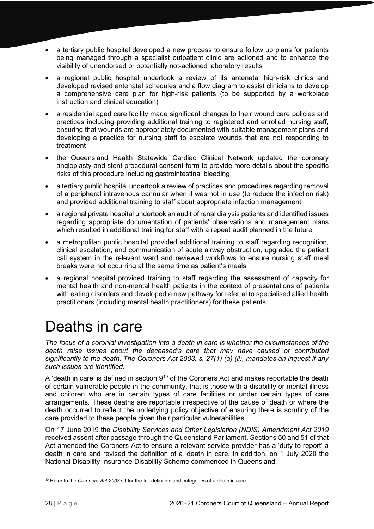- a tertiary public hospital developed a new process to ensure follow up plans for patients being managed through a specialist outpatient clinic are actioned and to enhance the visibility of unendorsed or potentially not-actioned laboratory results
- a regional public hospital undertook a review of its antenatal high-risk clinics and developed revised antenatal schedules and a flow diagram to assist clinicians to develop a comprehensive care plan for high-risk patients (to be supported by a workplace instruction and clinical education)
- a residential aged care facility made significant changes to their wound care policies and practices including providing additional training to registered and enrolled nursing staff, ensuring that wounds are appropriately documented with suitable management plans and developing a practice for nursing staff to escalate wounds that are not responding to treatment
- the Queensland Health Statewide Cardiac Clinical Network updated the coronary angioplasty and stent procedural consent form to provide more details about the specific risks of this procedure including gastrointestinal bleeding
- a tertiary public hospital undertook a review of practices and procedures regarding removal of a peripheral intravenous cannular when it was not in use (to reduce the infection risk) and provided additional training to staff about appropriate infection management
- a regional private hospital undertook an audit of renal dialysis patients and identified issues regarding appropriate documentation of patients' observations and management plans which resulted in additional training for staff with a repeat audit planned in the future
- a metropolitan public hospital provided additional training to staff regarding recognition, clinical escalation, and communication of acute airway obstruction, upgraded the patient call system in the relevant ward and reviewed workflows to ensure nursing staff meal breaks were not occurring at the same time as patient's meals
- a regional hospital provided training to staff regarding the assessment of capacity for mental health and non-mental health patients in the context of presentations of patients with eating disorders and developed a new pathway for referral to specialised allied health practitioners (including mental health practitioners) for these patients.

# <span id="page-27-0"></span>Deaths in care

*The focus of a coronial investigation into a death in care is whether the circumstances of the death raise issues about the deceased's care that may have caused or contributed significantly to the death. The Coroners Act 2003, s. 27(1) (a) (ii), mandates an inquest if any such issues are identified.*

A 'death in care' is defined in section 9<sup>[10](#page-27-1)</sup> of the Coroners Act and makes reportable the death of certain vulnerable people in the community, that is those with a disability or mental illness and children who are in certain types of care facilities or under certain types of care arrangements. These deaths are reportable irrespective of the cause of death or where the death occurred to reflect the underlying policy objective of ensuring there is scrutiny of the care provided to these people given their particular vulnerabilities.

On 17 June 2019 the *Disability Services and Other Legislation (NDIS) Amendment Act 2019* received assent after passage through the Queensland Parliament. Sections 50 and 51 of that Act amended the Coroners Act to ensure a relevant service provider has a 'duty to report' a death in care and revised the definition of a 'death in care. In addition, on 1 July 2020 the National Disability Insurance Disability Scheme commenced in Queensland.

<span id="page-27-1"></span><sup>10</sup> Refer to the *Coroners Act 2003* s9 for the full definition and categories of a death in care.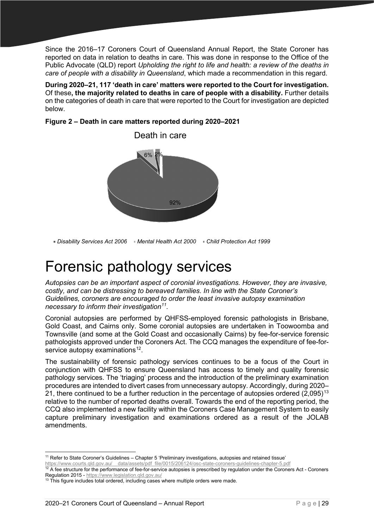Since the 2016–17 Coroners Court of Queensland Annual Report, the State Coroner has reported on data in relation to deaths in care. This was done in response to the Office of the Public Advocate (QLD) report *Upholding the right to life and health: a review of the deaths in care of people with a disability in Queensland*, which made a recommendation in this regard.

**During 2020–21, 117 'death in care' matters were reported to the Court for investigation.**  Of these**, the majority related to deaths in care of people with a disability.** Further details on the categories of death in care that were reported to the Court for investigation are depicted below.

#### **Figure 2 – Death in care matters reported during 2020–2021**



**Disability Services Act 2006 Mental Health Act 2000 Child Protection Act 1999** 

# <span id="page-28-0"></span>Forensic pathology services

*Autopsies can be an important aspect of coronial investigations. However, they are invasive, costly, and can be distressing to bereaved families. In line with the State Coroner's Guidelines, coroners are encouraged to order the least invasive autopsy examination necessary to inform their investigation[11.](#page-28-1)* 

Coronial autopsies are performed by QHFSS-employed forensic pathologists in Brisbane, Gold Coast, and Cairns only. Some coronial autopsies are undertaken in Toowoomba and Townsville (and some at the Gold Coast and occasionally Cairns) by fee-for-service forensic pathologists approved under the Coroners Act. The CCQ manages the expenditure of fee-forservice autopsy examinations<sup>12</sup>.

The sustainability of forensic pathology services continues to be a focus of the Court in conjunction with QHFSS to ensure Queensland has access to timely and quality forensic pathology services. The 'triaging' process and the introduction of the preliminary examination procedures are intended to divert cases from unnecessary autopsy. Accordingly, during 2020– 21, there continued to be a further reduction in the percentage of autopsies ordered  $(2.095)^{13}$  $(2.095)^{13}$  $(2.095)^{13}$ relative to the number of reported deaths overall. Towards the end of the reporting period, the CCQ also implemented a new facility within the Coroners Case Management System to easily capture preliminary investigation and examinations ordered as a result of the JOLAB amendments.

<span id="page-28-1"></span><sup>11</sup> Refer to State Coroner's Guidelines – Chapter 5 'Preliminary investigations, autopsies and retained tissue' [https://www.courts.qld.gov.au/\\_\\_data/assets/pdf\\_file/0015/206124/osc-state-coroners-guidelines-chapter-5.pdf](https://www.courts.qld.gov.au/__data/assets/pdf_file/0015/206124/osc-state-coroners-guidelines-chapter-5.pdf)

<span id="page-28-2"></span> $12$  A fee structure for the performance of fee-for-service autopsies is prescribed by regulation under the Coroners Act - Coroners Regulation 2015 - <https://www.legislation.qld.gov.au/>

<span id="page-28-3"></span><sup>&</sup>lt;sup>13</sup> This figure includes total ordered, including cases where multiple orders were made.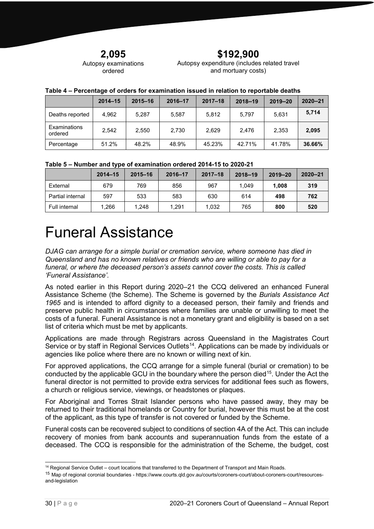**2,095**

#### Autopsy examinations ordered

**\$192,900** Autopsy expenditure (includes related travel and mortuary costs)

|                         | $2014 - 15$ | $2015 - 16$ | 2016-17 | $2017 - 18$ | $2018 - 19$ | $2019 - 20$ | $2020 - 21$ |
|-------------------------|-------------|-------------|---------|-------------|-------------|-------------|-------------|
| Deaths reported         | 4.962       | 5.287       | 5,587   | 5.812       | 5,797       | 5,631       | 5.714       |
| Examinations<br>ordered | 2.542       | 2.550       | 2.730   | 2.629       | 2.476       | 2.353       | 2.095       |
| Percentage              | 51.2%       | 48.2%       | 48.9%   | 45.23%      | 42.71%      | 41.78%      | 36.66%      |

#### **Table 4 – Percentage of orders for examination issued in relation to reportable deaths**

#### **Table 5 – Number and type of examination ordered 2014-15 to 2020-21**

|                  | $2014 - 15$ | $2015 - 16$ | 2016-17 | $2017 - 18$ | $2018 - 19$ | $2019 - 20$ | $2020 - 21$ |
|------------------|-------------|-------------|---------|-------------|-------------|-------------|-------------|
| External         | 679         | 769         | 856     | 967         | 1.049       | 1.008       | 319         |
| Partial internal | 597         | 533         | 583     | 630         | 614         | 498         | 762         |
| Full internal    | 1.266       | 1.248       | 1.291   | 1.032       | 765         | 800         | 520         |

### <span id="page-29-0"></span>Funeral Assistance

*DJAG can arrange for a simple burial or cremation service, where someone has died in Queensland and has no known relatives or friends who are willing or able to pay for a funeral, or where the deceased person's assets cannot cover the costs. This is called 'Funeral Assistance'.* 

As noted earlier in this Report during 2020–21 the CCQ delivered an enhanced Funeral Assistance Scheme (the Scheme). The Scheme is governed by the *Burials Assistance Act 1965* and is intended to afford dignity to a deceased person, their family and friends and preserve public health in circumstances where families are unable or unwilling to meet the costs of a funeral. Funeral Assistance is not a monetary grant and eligibility is based on a set list of criteria which must be met by applicants.

Applications are made through Registrars across Queensland in the Magistrates Court Service or by staff in Regional Services Outlets<sup>[14](#page-29-1)</sup>. Applications can be made by individuals or agencies like police where there are no known or willing next of kin.

For approved applications, the CCQ arrange for a simple funeral (burial or cremation) to be conducted by the applicable GCU in the boundary where the person died<sup>[15](#page-29-2)</sup>. Under the Act the funeral director is not permitted to provide extra services for additional fees such as flowers, a church or religious service, viewings, or headstones or plaques.

For Aboriginal and Torres Strait Islander persons who have passed away, they may be returned to their traditional homelands or Country for burial, however this must be at the cost of the applicant, as this type of transfer is not covered or funded by the Scheme.

Funeral costs can be recovered subject to conditions of section 4A of the Act. This can include recovery of monies from bank accounts and superannuation funds from the estate of a deceased. The CCQ is responsible for the administration of the Scheme, the budget, cost

<sup>&</sup>lt;sup>14</sup> Regional Service Outlet – court locations that transferred to the Department of Transport and Main Roads.

<span id="page-29-2"></span><span id="page-29-1"></span><sup>15</sup> Map of regional coronial boundaries - [https://www.courts.qld.gov.au/courts/coroners-court/about-coroners-court/resources](https://www.courts.qld.gov.au/courts/coroners-court/about-coroners-court/resources-and-legislation)[and-legislation](https://www.courts.qld.gov.au/courts/coroners-court/about-coroners-court/resources-and-legislation)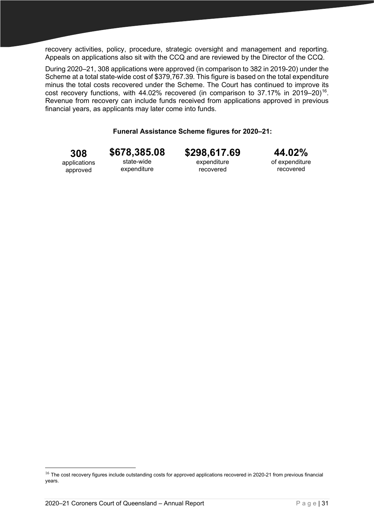recovery activities, policy, procedure, strategic oversight and management and reporting. Appeals on applications also sit with the CCQ and are reviewed by the Director of the CCQ.

During 2020–21, 308 applications were approved (in comparison to 382 in 2019-20) under the Scheme at a total state-wide cost of \$379,767.39. This figure is based on the total expenditure minus the total costs recovered under the Scheme. The Court has continued to improve its cost recovery functions, with 44.02% recovered (in comparison to 37.17% in 2019–20)<sup>[16](#page-30-0)</sup>. Revenue from recovery can include funds received from applications approved in previous financial years, as applicants may later come into funds.

#### **Funeral Assistance Scheme figures for 2020–21:**

**308** applications approved

**\$678,385.08** state-wide expenditure

**\$298,617.69** expenditure recovered

**44.02%** of expenditure

recovered

<span id="page-30-0"></span> $16$  The cost recovery figures include outstanding costs for approved applications recovered in 2020-21 from previous financial years.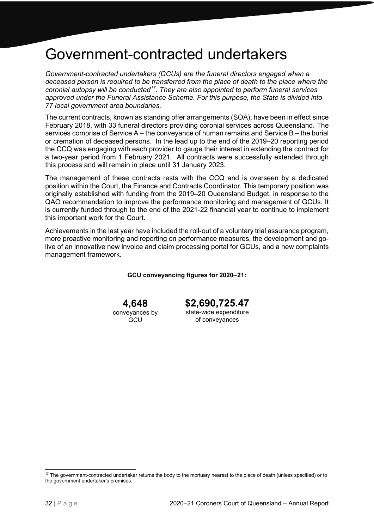### <span id="page-31-0"></span>Government-contracted undertakers

*Government-contracted undertakers (GCUs) are the funeral directors engaged when a deceased person is required to be transferred from the place of death to the place where the coronial autopsy will be conducted[17.](#page-31-1) They are also appointed to perform funeral services approved under the Funeral Assistance Scheme. For this purpose, the State is divided into 77 local government area boundaries.*

The current contracts, known as standing offer arrangements (SOA), have been in effect since February 2018, with 33 funeral directors providing coronial services across Queensland. The services comprise of Service A – the conveyance of human remains and Service B – the burial or cremation of deceased persons. In the lead up to the end of the 2019–20 reporting period the CCQ was engaging with each provider to gauge their interest in extending the contract for a two-year period from 1 February 2021. All contracts were successfully extended through this process and will remain in place until 31 January 2023.

The management of these contracts rests with the CCQ and is overseen by a dedicated position within the Court, the Finance and Contracts Coordinator. This temporary position was originally established with funding from the 2019–20 Queensland Budget, in response to the QAO recommendation to improve the performance monitoring and management of GCUs. It is currently funded through to the end of the 2021-22 financial year to continue to implement this important work for the Court.

Achievements in the last year have included the roll-out of a voluntary trial assurance program, more proactive monitoring and reporting on performance measures, the development and golive of an innovative new invoice and claim processing portal for GCUs, and a new complaints management framework.

**GCU conveyancing figures for 2020**–**21:**

**4,648**

conveyances by **GCU** 

**\$2,690,725.47**

state-wide expenditure of conveyances

<span id="page-31-1"></span><sup>&</sup>lt;sup>17</sup> The government-contracted undertaker returns the body to the mortuary nearest to the place of death (unless specified) or to the government undertaker's premises.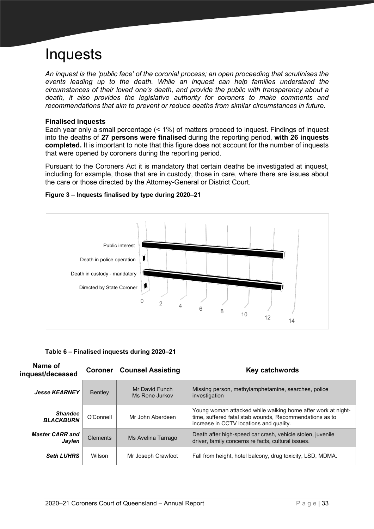# <span id="page-32-0"></span>Inquests

*An inquest is the 'public face' of the coronial process; an open proceeding that scrutinises the events leading up to the death. While an inquest can help families understand the circumstances of their loved one's death, and provide the public with transparency about a death, it also provides the legislative authority for coroners to make comments and recommendations that aim to prevent or reduce deaths from similar circumstances in future.* 

#### **Finalised inquests**

Each year only a small percentage (< 1%) of matters proceed to inquest. Findings of inquest into the deaths of **27 persons were finalised** during the reporting period, **with 26 inquests completed.** It is important to note that this figure does not account for the number of inquests that were opened by coroners during the reporting period.

Pursuant to the Coroners Act it is mandatory that certain deaths be investigated at inquest, including for example, those that are in custody, those in care, where there are issues about the care or those directed by the Attorney-General or District Court.



#### **Figure 3 – Inquests finalised by type during 2020–21**

**Table 6 – Finalised inquests during 2020–21**

| Name of<br>inquest/deceased        | <b>Coroner</b>  | <b>Counsel Assisting</b>         | Key catchwords                                                                                                                                                     |
|------------------------------------|-----------------|----------------------------------|--------------------------------------------------------------------------------------------------------------------------------------------------------------------|
| <b>Jesse KEARNEY</b>               | <b>Bentley</b>  | Mr David Funch<br>Ms Rene Jurkov | Missing person, methylamphetamine, searches, police<br>investigation                                                                                               |
| <b>Shandee</b><br><b>BLACKBURN</b> | O'Connell       | Mr John Aberdeen                 | Young woman attacked while walking home after work at night-<br>time, suffered fatal stab wounds, Recommendations as to<br>increase in CCTV locations and quality. |
| <b>Master CARR and</b><br>Jaylen   | <b>Clements</b> | Ms Avelina Tarrago               | Death after high-speed car crash, vehicle stolen, juvenile<br>driver, family concerns re facts, cultural issues.                                                   |
| <b>Seth LUHRS</b>                  | Wilson          | Mr Joseph Crawfoot               | Fall from height, hotel balcony, drug toxicity, LSD, MDMA.                                                                                                         |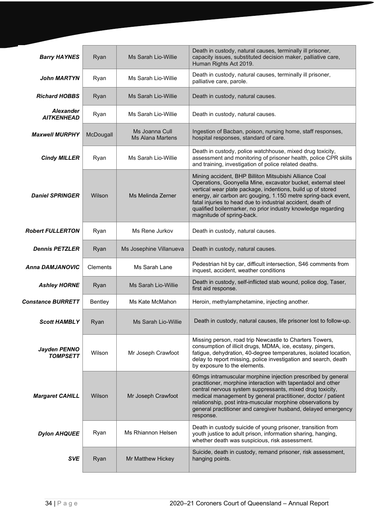| <b>Barry HAYNES</b>                   | Ryan      | Ms Sarah Lio-Willie                | Death in custody, natural causes, terminally ill prisoner,<br>capacity issues, substituted decision maker, palliative care,<br>Human Rights Act 2019.                                                                                                                                                                                                                                                                |
|---------------------------------------|-----------|------------------------------------|----------------------------------------------------------------------------------------------------------------------------------------------------------------------------------------------------------------------------------------------------------------------------------------------------------------------------------------------------------------------------------------------------------------------|
| <b>John MARTYN</b>                    | Ryan      | Ms Sarah Lio-Willie                | Death in custody, natural causes, terminally ill prisoner,<br>palliative care, parole.                                                                                                                                                                                                                                                                                                                               |
| <b>Richard HOBBS</b>                  | Ryan      | Ms Sarah Lio-Willie                | Death in custody, natural causes.                                                                                                                                                                                                                                                                                                                                                                                    |
| <b>Alexander</b><br><b>AITKENHEAD</b> | Ryan      | Ms Sarah Lio-Willie                | Death in custody, natural causes.                                                                                                                                                                                                                                                                                                                                                                                    |
| <b>Maxwell MURPHY</b>                 | McDougall | Ms Joanna Cull<br>Ms Alana Martens | Ingestion of Bacban, poison, nursing home, staff responses,<br>hospital responses, standard of care.                                                                                                                                                                                                                                                                                                                 |
| <b>Cindy MILLER</b>                   | Ryan      | Ms Sarah Lio-Willie                | Death in custody, police watchhouse, mixed drug toxicity,<br>assessment and monitoring of prisoner health, police CPR skills<br>and training, investigation of police related deaths.                                                                                                                                                                                                                                |
| <b>Daniel SPRINGER</b>                | Wilson    | Ms Melinda Zerner                  | Mining accident, BHP Billiton Mitsubishi Alliance Coal<br>Operations, Goonyella Mine, excavator bucket, external steel<br>vertical wear plate package, indentions, build up of stored<br>energy, air carbon arc gouging, 1.150 metre spring-back event,<br>fatal injuries to head due to industrial accident, death of<br>qualified boilermarker, no prior industry knowledge regarding<br>magnitude of spring-back. |
| <b>Robert FULLERTON</b>               | Ryan      | Ms Rene Jurkov                     | Death in custody, natural causes.                                                                                                                                                                                                                                                                                                                                                                                    |
| <b>Dennis PETZLER</b>                 | Ryan      | Ms Josephine Villanueva            | Death in custody, natural causes.                                                                                                                                                                                                                                                                                                                                                                                    |
|                                       |           |                                    |                                                                                                                                                                                                                                                                                                                                                                                                                      |
| <b>Anna DAMJANOVIC</b>                | Clements  | Ms Sarah Lane                      | Pedestrian hit by car, difficult intersection, S46 comments from<br>inquest, accident, weather conditions                                                                                                                                                                                                                                                                                                            |
| <b>Ashley HORNE</b>                   | Ryan      | Ms Sarah Lio-Willie                | Death in custody, self-inflicted stab wound, police dog, Taser,<br>first aid response.                                                                                                                                                                                                                                                                                                                               |
| <b>Constance BURRETT</b>              | Bentley   | Ms Kate McMahon                    | Heroin, methylamphetamine, injecting another.                                                                                                                                                                                                                                                                                                                                                                        |
| <b>Scott HAMBLY</b>                   | Ryan      | <b>Ms Sarah Lio-Willie</b>         | Death in custody, natural causes, life prisoner lost to follow-up.                                                                                                                                                                                                                                                                                                                                                   |
| Jayden PENNO<br><b>TOMPSETT</b>       | Wilson    | Mr Joseph Crawfoot                 | Missing person, road trip Newcastle to Charters Towers,<br>consumption of illicit drugs, MDMA, ice, ecstasy, pingers,<br>fatigue, dehydration, 40-degree temperatures, isolated location,<br>delay to report missing, police investigation and search, death<br>by exposure to the elements.                                                                                                                         |
| <b>Margaret CAHILL</b>                | Wilson    | Mr Joseph Crawfoot                 | 60mgs intramuscular morphine injection prescribed by general<br>practitioner, morphine interaction with tapentadol and other<br>central nervous system suppressants, mixed drug toxicity,<br>medical management by general practitioner, doctor / patient<br>relationship, post intra-muscular morphine observations by<br>general practitioner and caregiver husband, delayed emergency<br>response.                |
| <b>Dylon AHQUEE</b>                   | Ryan      | Ms Rhiannon Helsen                 | Death in custody suicide of young prisoner, transition from<br>youth justice to adult prison, information sharing, hanging,<br>whether death was suspicious, risk assessment.                                                                                                                                                                                                                                        |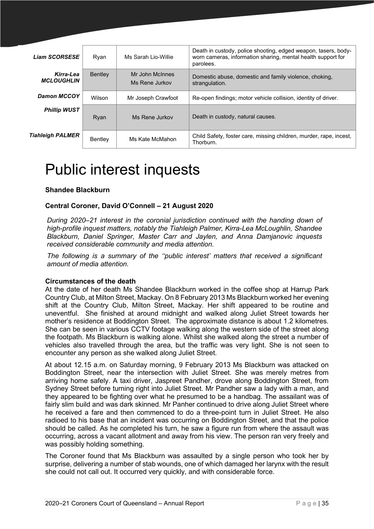| <b>Liam SCORSESE</b>           | Ryan    | Ms Sarah Lio-Willie               | Death in custody, police shooting, edged weapon, tasers, body-<br>worn cameras, information sharing, mental health support for<br>parolees. |
|--------------------------------|---------|-----------------------------------|---------------------------------------------------------------------------------------------------------------------------------------------|
| Kirra-Lea<br><b>MCLOUGHLIN</b> | Bentley | Mr John McInnes<br>Ms Rene Jurkov | Domestic abuse, domestic and family violence, choking,<br>strangulation.                                                                    |
| <b>Damon MCCOY</b>             | Wilson  | Mr Joseph Crawfoot                | Re-open findings; motor vehicle collision, identity of driver.                                                                              |
| <b>Phillip WUST</b>            | Ryan    | Ms Rene Jurkov                    | Death in custody, natural causes.                                                                                                           |
| Tiahleigh PALMER               | Bentley | Ms Kate McMahon                   | Child Safety, foster care, missing children, murder, rape, incest,<br>Thorburn.                                                             |

# <span id="page-34-0"></span>Public interest inquests

#### **Shandee Blackburn**

#### **Central Coroner, David O'Connell – 21 August 2020**

*During 2020–21 interest in the coronial jurisdiction continued with the handing down of high-profile inquest matters, notably the Tiahleigh Palmer, Kirra-Lea McLoughlin, Shandee Blackburn, Daniel Springer, Master Carr and Jaylen, and Anna Damjanovic inquests received considerable community and media attention.* 

*The following is a summary of the ''public interest' matters that received a significant amount of media attention.*

#### **Circumstances of the death**

At the date of her death Ms Shandee Blackburn worked in the coffee shop at Harrup Park Country Club, at Milton Street, Mackay. On 8 February 2013 Ms Blackburn worked her evening shift at the Country Club, Milton Street, Mackay. Her shift appeared to be routine and uneventful. She finished at around midnight and walked along Juliet Street towards her mother's residence at Boddington Street. The approximate distance is about 1.2 kilometres. She can be seen in various CCTV footage walking along the western side of the street along the footpath. Ms Blackburn is walking alone. Whilst she walked along the street a number of vehicles also travelled through the area, but the traffic was very light. She is not seen to encounter any person as she walked along Juliet Street.

At about 12.15 a.m. on Saturday morning, 9 February 2013 Ms Blackburn was attacked on Boddington Street, near the intersection with Juliet Street. She was merely metres from arriving home safely. A taxi driver, Jaspreet Pandher, drove along Boddington Street, from Sydney Street before turning right into Juliet Street. Mr Pandher saw a lady with a man, and they appeared to be fighting over what he presumed to be a handbag. The assailant was of fairly slim build and was dark skinned. Mr Panher continued to drive along Juliet Street where he received a fare and then commenced to do a three-point turn in Juliet Street. He also radioed to his base that an incident was occurring on Boddington Street, and that the police should be called. As he completed his turn, he saw a figure run from where the assault was occurring, across a vacant allotment and away from his view. The person ran very freely and was possibly holding something.

The Coroner found that Ms Blackburn was assaulted by a single person who took her by surprise, delivering a number of stab wounds, one of which damaged her larynx with the result she could not call out. It occurred very quickly, and with considerable force.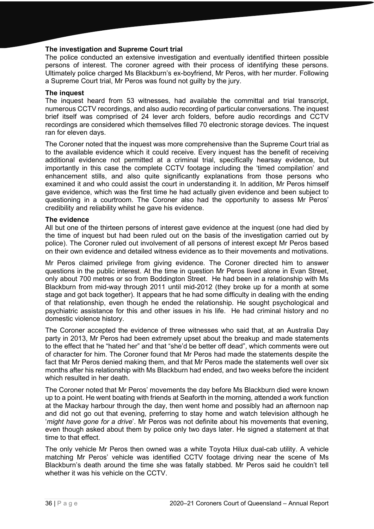#### **The investigation and Supreme Court trial**

The police conducted an extensive investigation and eventually identified thirteen possible persons of interest. The coroner agreed with their process of identifying these persons. Ultimately police charged Ms Blackburn's ex-boyfriend, Mr Peros, with her murder. Following a Supreme Court trial, Mr Peros was found not guilty by the jury.

#### **The inquest**

The inquest heard from 53 witnesses, had available the committal and trial transcript, numerous CCTV recordings, and also audio recording of particular conversations. The inquest brief itself was comprised of 24 lever arch folders, before audio recordings and CCTV recordings are considered which themselves filled 70 electronic storage devices. The inquest ran for eleven days.

The Coroner noted that the inquest was more comprehensive than the Supreme Court trial as to the available evidence which it could receive. Every inquest has the benefit of receiving additional evidence not permitted at a criminal trial, specifically hearsay evidence, but importantly in this case the complete CCTV footage including the 'timed compilation' and enhancement stills, and also quite significantly explanations from those persons who examined it and who could assist the court in understanding it. In addition, Mr Peros himself gave evidence, which was the first time he had actually given evidence and been subject to questioning in a courtroom. The Coroner also had the opportunity to assess Mr Peros' credibility and reliability whilst he gave his evidence.

#### **The evidence**

All but one of the thirteen persons of interest gave evidence at the inquest (one had died by the time of inquest but had been ruled out on the basis of the investigation carried out by police). The Coroner ruled out involvement of all persons of interest except Mr Peros based on their own evidence and detailed witness evidence as to their movements and motivations.

Mr Peros claimed privilege from giving evidence. The Coroner directed him to answer questions in the public interest. At the time in question Mr Peros lived alone in Evan Street, only about 700 metres or so from Boddington Street. He had been in a relationship with Ms Blackburn from mid-way through 2011 until mid-2012 (they broke up for a month at some stage and got back together). It appears that he had some difficulty in dealing with the ending of that relationship, even though he ended the relationship. He sought psychological and psychiatric assistance for this and other issues in his life. He had criminal history and no domestic violence history.

The Coroner accepted the evidence of three witnesses who said that, at an Australia Day party in 2013, Mr Peros had been extremely upset about the breakup and made statements to the effect that he "hated her" and that "she'd be better off dead", which comments were out of character for him. The Coroner found that Mr Peros had made the statements despite the fact that Mr Peros denied making them, and that Mr Peros made the statements well over six months after his relationship with Ms Blackburn had ended, and two weeks before the incident which resulted in her death.

The Coroner noted that Mr Peros' movements the day before Ms Blackburn died were known up to a point. He went boating with friends at Seaforth in the morning, attended a work function at the Mackay harbour through the day, then went home and possibly had an afternoon nap and did not go out that evening, preferring to stay home and watch television although he '*might have gone for a drive*'. Mr Peros was not definite about his movements that evening, even though asked about them by police only two days later. He signed a statement at that time to that effect.

The only vehicle Mr Peros then owned was a white Toyota Hilux dual-cab utility. A vehicle matching Mr Peros' vehicle was identified CCTV footage driving near the scene of Ms Blackburn's death around the time she was fatally stabbed. Mr Peros said he couldn't tell whether it was his vehicle on the CCTV.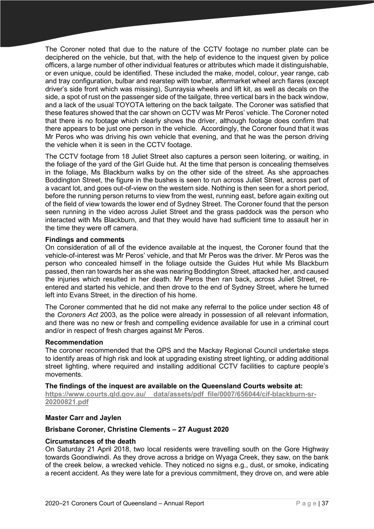The Coroner noted that due to the nature of the CCTV footage no number plate can be deciphered on the vehicle, but that, with the help of evidence to the inquest given by police officers, a large number of other individual features or attributes which made it distinguishable, or even unique, could be identified. These included the make, model, colour, year range, cab and tray configuration, bulbar and rearstep with towbar, aftermarket wheel arch flares (except driver's side front which was missing), Sunraysia wheels and lift kit, as well as decals on the side, a spot of rust on the passenger side of the tailgate, three vertical bars in the back window, and a lack of the usual TOYOTA lettering on the back tailgate. The Coroner was satisfied that these features showed that the car shown on CCTV was Mr Peros' vehicle. The Coroner noted that there is no footage which clearly shows the driver, although footage does confirm that there appears to be just one person in the vehicle. Accordingly, the Coroner found that it was Mr Peros who was driving his own vehicle that evening, and that he was the person driving the vehicle when it is seen in the CCTV footage.

The CCTV footage from 18 Juliet Street also captures a person seen loitering, or waiting, in the foliage of the yard of the Girl Guide hut. At the time that person is concealing themselves in the foliage, Ms Blackburn walks by on the other side of the street. As she approaches Boddington Street, the figure in the bushes is seen to run across Juliet Street, across part of a vacant lot, and goes out-of-view on the western side. Nothing is then seen for a short period, before the running person returns to view from the west, running east, before again exiting out of the field of view towards the lower end of Sydney Street. The Coroner found that the person seen running in the video across Juliet Street and the grass paddock was the person who interacted with Ms Blackburn, and that they would have had sufficient time to assault her in the time they were off camera.

# **Findings and comments**

On consideration of all of the evidence available at the inquest, the Coroner found that the vehicle-of-interest was Mr Peros' vehicle, and that Mr Peros was the driver. Mr Peros was the person who concealed himself in the foliage outside the Guides Hut while Ms Blackburn passed, then ran towards her as she was nearing Boddington Street, attacked her, and caused the injuries which resulted in her death. Mr Peros then ran back, across Juliet Street, reentered and started his vehicle, and then drove to the end of Sydney Street, where he turned left into Evans Street, in the direction of his home.

The Coroner commented that he did not make any referral to the police under section 48 of the *Coroners Act* 2003, as the police were already in possession of all relevant information, and there was no new or fresh and compelling evidence available for use in a criminal court and/or in respect of fresh charges against Mr Peros.

#### **Recommendation**

The coroner recommended that the QPS and the Mackay Regional Council undertake steps to identify areas of high risk and look at upgrading existing street lighting, or adding additional street lighting, where required and installing additional CCTV facilities to capture people's movements.

#### **The findings of the inquest are available on the Queensland Courts website at:**

https://www.courts.qld.gov.au/ data/assets/pdf file/0007/656044/cif-blackburn-sr-**[20200821.pdf](https://www.courts.qld.gov.au/__data/assets/pdf_file/0007/656044/cif-blackburn-sr-20200821.pdf)**

# **Master Carr and Jaylen**

# **Brisbane Coroner, Christine Clements – 27 August 2020**

#### **Circumstances of the death**

On Saturday 21 April 2018, two local residents were travelling south on the Gore Highway towards Goondiwindi. As they drove across a bridge on Wyaga Creek, they saw, on the bank of the creek below, a wrecked vehicle. They noticed no signs e.g., dust, or smoke, indicating a recent accident. As they were late for a previous commitment, they drove on, and were able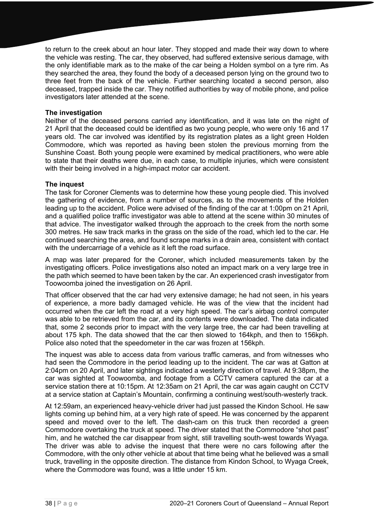to return to the creek about an hour later. They stopped and made their way down to where the vehicle was resting. The car, they observed, had suffered extensive serious damage, with the only identifiable mark as to the make of the car being a Holden symbol on a tyre rim. As they searched the area, they found the body of a deceased person lying on the ground two to three feet from the back of the vehicle. Further searching located a second person, also deceased, trapped inside the car. They notified authorities by way of mobile phone, and police investigators later attended at the scene.

## **The investigation**

Neither of the deceased persons carried any identification, and it was late on the night of 21 April that the deceased could be identified as two young people, who were only 16 and 17 years old. The car involved was identified by its registration plates as a light green Holden Commodore, which was reported as having been stolen the previous morning from the Sunshine Coast. Both young people were examined by medical practitioners, who were able to state that their deaths were due, in each case, to multiple injuries, which were consistent with their being involved in a high-impact motor car accident.

# **The inquest**

The task for Coroner Clements was to determine how these young people died. This involved the gathering of evidence, from a number of sources, as to the movements of the Holden leading up to the accident. Police were advised of the finding of the car at 1:00pm on 21 April, and a qualified police traffic investigator was able to attend at the scene within 30 minutes of that advice. The investigator walked through the approach to the creek from the north some 300 metres. He saw track marks in the grass on the side of the road, which led to the car. He continued searching the area, and found scrape marks in a drain area, consistent with contact with the undercarriage of a vehicle as it left the road surface.

A map was later prepared for the Coroner, which included measurements taken by the investigating officers. Police investigations also noted an impact mark on a very large tree in the path which seemed to have been taken by the car. An experienced crash investigator from Toowoomba joined the investigation on 26 April.

That officer observed that the car had very extensive damage; he had not seen, in his years of experience, a more badly damaged vehicle. He was of the view that the incident had occurred when the car left the road at a very high speed. The car's airbag control computer was able to be retrieved from the car, and its contents were downloaded. The data indicated that, some 2 seconds prior to impact with the very large tree, the car had been travelling at about 175 kph. The data showed that the car then slowed to 164kph, and then to 156kph. Police also noted that the speedometer in the car was frozen at 156kph.

The inquest was able to access data from various traffic cameras, and from witnesses who had seen the Commodore in the period leading up to the incident. The car was at Gatton at 2:04pm on 20 April, and later sightings indicated a westerly direction of travel. At 9:38pm, the car was sighted at Toowoomba, and footage from a CCTV camera captured the car at a service station there at 10:15pm. At 12:35am on 21 April, the car was again caught on CCTV at a service station at Captain's Mountain, confirming a continuing west/south-westerly track.

At 12:59am, an experienced heavy-vehicle driver had just passed the Kindon School. He saw lights coming up behind him, at a very high rate of speed. He was concerned by the apparent speed and moved over to the left. The dash-cam on this truck then recorded a green Commodore overtaking the truck at speed. The driver stated that the Commodore "shot past" him, and he watched the car disappear from sight, still travelling south-west towards Wyaga. The driver was able to advise the inquest that there were no cars following after the Commodore, with the only other vehicle at about that time being what he believed was a small truck, travelling in the opposite direction. The distance from Kindon School, to Wyaga Creek, where the Commodore was found, was a little under 15 km.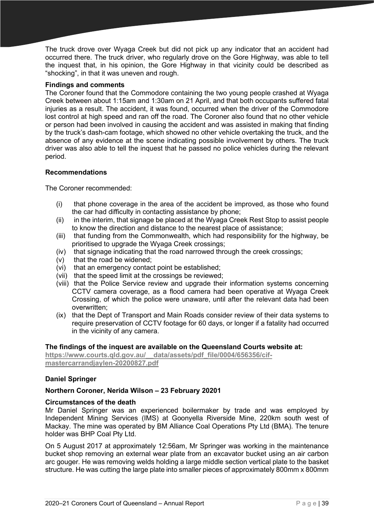The truck drove over Wyaga Creek but did not pick up any indicator that an accident had occurred there. The truck driver, who regularly drove on the Gore Highway, was able to tell the inquest that, in his opinion, the Gore Highway in that vicinity could be described as "shocking", in that it was uneven and rough.

# **Findings and comments**

The Coroner found that the Commodore containing the two young people crashed at Wyaga Creek between about 1:15am and 1:30am on 21 April, and that both occupants suffered fatal injuries as a result. The accident, it was found, occurred when the driver of the Commodore lost control at high speed and ran off the road. The Coroner also found that no other vehicle or person had been involved in causing the accident and was assisted in making that finding by the truck's dash-cam footage, which showed no other vehicle overtaking the truck, and the absence of any evidence at the scene indicating possible involvement by others. The truck driver was also able to tell the inquest that he passed no police vehicles during the relevant period.

# **Recommendations**

The Coroner recommended:

- (i) that phone coverage in the area of the accident be improved, as those who found the car had difficulty in contacting assistance by phone;
- (ii) in the interim, that signage be placed at the Wyaga Creek Rest Stop to assist people to know the direction and distance to the nearest place of assistance;
- (iii) that funding from the Commonwealth, which had responsibility for the highway, be prioritised to upgrade the Wyaga Creek crossings;
- (iv) that signage indicating that the road narrowed through the creek crossings;
- (v) that the road be widened;
- (vi) that an emergency contact point be established;
- (vii) that the speed limit at the crossings be reviewed;
- (viii) that the Police Service review and upgrade their information systems concerning CCTV camera coverage, as a flood camera had been operative at Wyaga Creek Crossing, of which the police were unaware, until after the relevant data had been overwritten;
- (ix) that the Dept of Transport and Main Roads consider review of their data systems to require preservation of CCTV footage for 60 days, or longer if a fatality had occurred in the vicinity of any camera.

#### **The findings of the inquest are available on the Queensland Courts website at:**

**[https://www.courts.qld.gov.au/\\_\\_data/assets/pdf\\_file/0004/656356/cif](https://www.courts.qld.gov.au/__data/assets/pdf_file/0004/656356/cif-mastercarrandjaylen-20200827.pdf)[mastercarrandjaylen-20200827.pdf](https://www.courts.qld.gov.au/__data/assets/pdf_file/0004/656356/cif-mastercarrandjaylen-20200827.pdf)**

# **Daniel Springer**

# **Northern Coroner, Nerida Wilson – 23 February 20201**

#### **Circumstances of the death**

Mr Daniel Springer was an experienced boilermaker by trade and was employed by Independent Mining Services (IMS) at Goonyella Riverside Mine, 220km south west of Mackay. The mine was operated by BM Alliance Coal Operations Pty Ltd (BMA). The tenure holder was BHP Coal Pty Ltd.

On 5 August 2017 at approximately 12:56am, Mr Springer was working in the maintenance bucket shop removing an external wear plate from an excavator bucket using an air carbon arc gouger. He was removing welds holding a large middle section vertical plate to the basket structure. He was cutting the large plate into smaller pieces of approximately 800mm x 800mm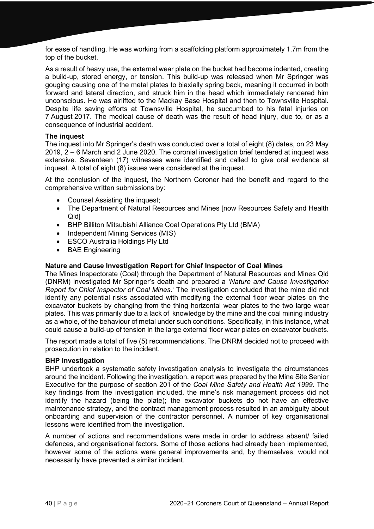for ease of handling. He was working from a scaffolding platform approximately 1.7m from the top of the bucket.

As a result of heavy use, the external wear plate on the bucket had become indented, creating a build-up, stored energy, or tension. This build-up was released when Mr Springer was gouging causing one of the metal plates to biaxially spring back, meaning it occurred in both forward and lateral direction, and struck him in the head which immediately rendered him unconscious. He was airlifted to the Mackay Base Hospital and then to Townsville Hospital. Despite life saving efforts at Townsville Hospital, he succumbed to his fatal injuries on 7 August 2017. The medical cause of death was the result of head injury, due to, or as a consequence of industrial accident.

# **The inquest**

The inquest into Mr Springer's death was conducted over a total of eight (8) dates, on 23 May 2019, 2 – 6 March and 2 June 2020. The coronial investigation brief tendered at inquest was extensive. Seventeen (17) witnesses were identified and called to give oral evidence at inquest. A total of eight (8) issues were considered at the inquest.

At the conclusion of the inquest, the Northern Coroner had the benefit and regard to the comprehensive written submissions by:

- Counsel Assisting the inquest;
- The Department of Natural Resources and Mines [now Resources Safety and Health Qld]
- BHP Billiton Mitsubishi Alliance Coal Operations Pty Ltd (BMA)
- Independent Mining Services (MIS)
- ESCO Australia Holdings Pty Ltd
- BAE Engineering

#### **Nature and Cause Investigation Report for Chief Inspector of Coal Mines**

The Mines Inspectorate (Coal) through the Department of Natural Resources and Mines Qld (DNRM) investigated Mr Springer's death and prepared a *'Nature and Cause Investigation Report for Chief Inspector of Coal Mines*.' The investigation concluded that the mine did not identify any potential risks associated with modifying the external floor wear plates on the excavator buckets by changing from the thing horizontal wear plates to the two large wear plates. This was primarily due to a lack of knowledge by the mine and the coal mining industry as a whole, of the behaviour of metal under such conditions. Specifically, in this instance, what could cause a build-up of tension in the large external floor wear plates on excavator buckets.

The report made a total of five (5) recommendations. The DNRM decided not to proceed with prosecution in relation to the incident.

#### **BHP Investigation**

BHP undertook a systematic safety investigation analysis to investigate the circumstances around the incident. Following the investigation, a report was prepared by the Mine Site Senior Executive for the purpose of section 201 of the *Coal Mine Safety and Health Act 1999.* The key findings from the investigation included, the mine's risk management process did not identify the hazard (being the plate); the excavator buckets do not have an effective maintenance strategy, and the contract management process resulted in an ambiguity about onboarding and supervision of the contractor personnel. A number of key organisational lessons were identified from the investigation.

A number of actions and recommendations were made in order to address absent/ failed defences, and organisational factors. Some of those actions had already been implemented, however some of the actions were general improvements and, by themselves, would not necessarily have prevented a similar incident.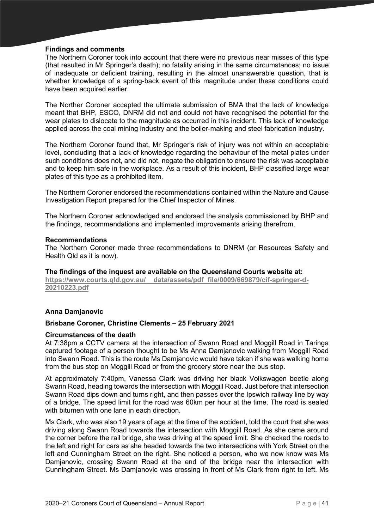# **Findings and comments**

The Northern Coroner took into account that there were no previous near misses of this type (that resulted in Mr Springer's death); no fatality arising in the same circumstances; no issue of inadequate or deficient training, resulting in the almost unanswerable question, that is whether knowledge of a spring-back event of this magnitude under these conditions could have been acquired earlier.

The Norther Coroner accepted the ultimate submission of BMA that the lack of knowledge meant that BHP, ESCO, DNRM did not and could not have recognised the potential for the wear plates to dislocate to the magnitude as occurred in this incident. This lack of knowledge applied across the coal mining industry and the boiler-making and steel fabrication industry.

The Northern Coroner found that, Mr Springer's risk of injury was not within an acceptable level, concluding that a lack of knowledge regarding the behaviour of the metal plates under such conditions does not, and did not, negate the obligation to ensure the risk was acceptable and to keep him safe in the workplace. As a result of this incident, BHP classified large wear plates of this type as a prohibited item.

The Northern Coroner endorsed the recommendations contained within the Nature and Cause Investigation Report prepared for the Chief Inspector of Mines.

The Northern Coroner acknowledged and endorsed the analysis commissioned by BHP and the findings, recommendations and implemented improvements arising therefrom.

#### **Recommendations**

The Northern Coroner made three recommendations to DNRM (or Resources Safety and Health Qld as it is now).

**The findings of the inquest are available on the Queensland Courts website at: [https://www.courts.qld.gov.au/\\_\\_data/assets/pdf\\_file/0009/669879/cif-springer-d-](https://www.courts.qld.gov.au/__data/assets/pdf_file/0009/669879/cif-springer-d-20210223.pdf)[20210223.pdf](https://www.courts.qld.gov.au/__data/assets/pdf_file/0009/669879/cif-springer-d-20210223.pdf)**

#### **Anna Damjanovic**

#### **Brisbane Coroner, Christine Clements – 25 February 2021**

#### **Circumstances of the death**

At 7:38pm a CCTV camera at the intersection of Swann Road and Moggill Road in Taringa captured footage of a person thought to be Ms Anna Damjanovic walking from Moggill Road into Swann Road. This is the route Ms Damjanovic would have taken if she was walking home from the bus stop on Moggill Road or from the grocery store near the bus stop.

At approximately 7:40pm, Vanessa Clark was driving her black Volkswagen beetle along Swann Road, heading towards the intersection with Moggill Road. Just before that intersection Swann Road dips down and turns right, and then passes over the Ipswich railway line by way of a bridge. The speed limit for the road was 60km per hour at the time. The road is sealed with bitumen with one lane in each direction.

Ms Clark, who was also 19 years of age at the time of the accident, told the court that she was driving along Swann Road towards the intersection with Moggill Road. As she came around the corner before the rail bridge, she was driving at the speed limit. She checked the roads to the left and right for cars as she headed towards the two intersections with York Street on the left and Cunningham Street on the right. She noticed a person, who we now know was Ms Damjanovic, crossing Swann Road at the end of the bridge near the intersection with Cunningham Street. Ms Damjanovic was crossing in front of Ms Clark from right to left. Ms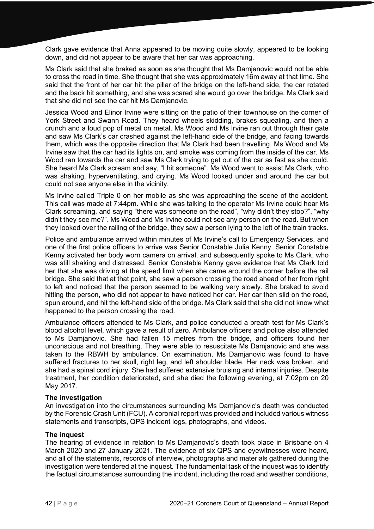Clark gave evidence that Anna appeared to be moving quite slowly, appeared to be looking down, and did not appear to be aware that her car was approaching.

Ms Clark said that she braked as soon as she thought that Ms Damjanovic would not be able to cross the road in time. She thought that she was approximately 16m away at that time. She said that the front of her car hit the pillar of the bridge on the left-hand side, the car rotated and the back hit something, and she was scared she would go over the bridge. Ms Clark said that she did not see the car hit Ms Damjanovic.

Jessica Wood and Elinor Irvine were sitting on the patio of their townhouse on the corner of York Street and Swann Road. They heard wheels skidding, brakes squealing, and then a crunch and a loud pop of metal on metal. Ms Wood and Ms Irvine ran out through their gate and saw Ms Clark's car crashed against the left-hand side of the bridge, and facing towards them, which was the opposite direction that Ms Clark had been travelling. Ms Wood and Ms Irvine saw that the car had its lights on, and smoke was coming from the inside of the car. Ms Wood ran towards the car and saw Ms Clark trying to get out of the car as fast as she could. She heard Ms Clark scream and say, "I hit someone". Ms Wood went to assist Ms Clark, who was shaking, hyperventilating, and crying. Ms Wood looked under and around the car but could not see anyone else in the vicinity.

Ms Irvine called Triple 0 on her mobile as she was approaching the scene of the accident. This call was made at 7:44pm. While she was talking to the operator Ms Irvine could hear Ms Clark screaming, and saying "there was someone on the road", "why didn't they stop?", "why didn't they see me?". Ms Wood and Ms Irvine could not see any person on the road. But when they looked over the railing of the bridge, they saw a person lying to the left of the train tracks.

Police and ambulance arrived within minutes of Ms Irvine's call to Emergency Services, and one of the first police officers to arrive was Senior Constable Julia Kenny. Senior Constable Kenny activated her body worn camera on arrival, and subsequently spoke to Ms Clark, who was still shaking and distressed. Senior Constable Kenny gave evidence that Ms Clark told her that she was driving at the speed limit when she came around the corner before the rail bridge. She said that at that point, she saw a person crossing the road ahead of her from right to left and noticed that the person seemed to be walking very slowly. She braked to avoid hitting the person, who did not appear to have noticed her car. Her car then slid on the road, spun around, and hit the left-hand side of the bridge. Ms Clark said that she did not know what happened to the person crossing the road.

Ambulance officers attended to Ms Clark, and police conducted a breath test for Ms Clark's blood alcohol level, which gave a result of zero. Ambulance officers and police also attended to Ms Damjanovic. She had fallen 15 metres from the bridge, and officers found her unconscious and not breathing. They were able to resuscitate Ms Damjanovic and she was taken to the RBWH by ambulance. On examination, Ms Damjanovic was found to have suffered fractures to her skull, right leg, and left shoulder blade. Her neck was broken, and she had a spinal cord injury. She had suffered extensive bruising and internal injuries. Despite treatment, her condition deteriorated, and she died the following evening, at 7:02pm on 20 May 2017.

#### **The investigation**

An investigation into the circumstances surrounding Ms Damjanovic's death was conducted by the Forensic Crash Unit (FCU). A coronial report was provided and included various witness statements and transcripts, QPS incident logs, photographs, and videos.

#### **The inquest**

The hearing of evidence in relation to Ms Damjanovic's death took place in Brisbane on 4 March 2020 and 27 January 2021. The evidence of six QPS and eyewitnesses were heard, and all of the statements, records of interview, photographs and materials gathered during the investigation were tendered at the inquest. The fundamental task of the inquest was to identify the factual circumstances surrounding the incident, including the road and weather conditions,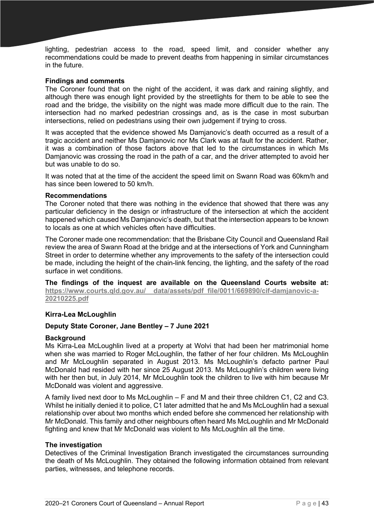lighting, pedestrian access to the road, speed limit, and consider whether any recommendations could be made to prevent deaths from happening in similar circumstances in the future.

# **Findings and comments**

The Coroner found that on the night of the accident, it was dark and raining slightly, and although there was enough light provided by the streetlights for them to be able to see the road and the bridge, the visibility on the night was made more difficult due to the rain. The intersection had no marked pedestrian crossings and, as is the case in most suburban intersections, relied on pedestrians using their own judgement if trying to cross.

It was accepted that the evidence showed Ms Damjanovic's death occurred as a result of a tragic accident and neither Ms Damjanovic nor Ms Clark was at fault for the accident. Rather, it was a combination of those factors above that led to the circumstances in which Ms Damjanovic was crossing the road in the path of a car, and the driver attempted to avoid her but was unable to do so.

It was noted that at the time of the accident the speed limit on Swann Road was 60km/h and has since been lowered to 50 km/h.

#### **Recommendations**

The Coroner noted that there was nothing in the evidence that showed that there was any particular deficiency in the design or infrastructure of the intersection at which the accident happened which caused Ms Damjanovic's death, but that the intersection appears to be known to locals as one at which vehicles often have difficulties.

The Coroner made one recommendation: that the Brisbane City Council and Queensland Rail review the area of Swann Road at the bridge and at the intersections of York and Cunningham Street in order to determine whether any improvements to the safety of the intersection could be made, including the height of the chain-link fencing, the lighting, and the safety of the road surface in wet conditions.

**The findings of the inquest are available on the Queensland Courts website at: [https://www.courts.qld.gov.au/\\_\\_data/assets/pdf\\_file/0011/669890/cif-damjanovic-a-](https://www.courts.qld.gov.au/__data/assets/pdf_file/0011/669890/cif-damjanovic-a-20210225.pdf)[20210225.pdf](https://www.courts.qld.gov.au/__data/assets/pdf_file/0011/669890/cif-damjanovic-a-20210225.pdf)**

# **Kirra-Lea McLoughlin**

# **Deputy State Coroner, Jane Bentley – 7 June 2021**

#### **Background**

Ms Kirra-Lea McLoughlin lived at a property at Wolvi that had been her matrimonial home when she was married to Roger McLoughlin, the father of her four children. Ms McLoughlin and Mr McLoughlin separated in August 2013. Ms McLoughlin's defacto partner Paul McDonald had resided with her since 25 August 2013. Ms McLoughlin's children were living with her then but, in July 2014, Mr McLoughlin took the children to live with him because Mr McDonald was violent and aggressive.

A family lived next door to Ms McLoughlin – F and M and their three children C1, C2 and C3. Whilst he initially denied it to police, C1 later admitted that he and Ms McLoughlin had a sexual relationship over about two months which ended before she commenced her relationship with Mr McDonald. This family and other neighbours often heard Ms McLoughlin and Mr McDonald fighting and knew that Mr McDonald was violent to Ms McLoughlin all the time.

### **The investigation**

Detectives of the Criminal Investigation Branch investigated the circumstances surrounding the death of Ms McLoughlin. They obtained the following information obtained from relevant parties, witnesses, and telephone records.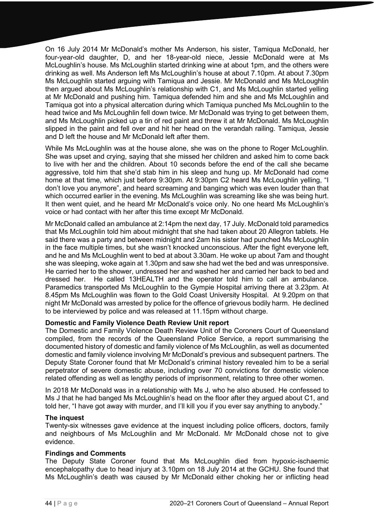On 16 July 2014 Mr McDonald's mother Ms Anderson, his sister, Tamiqua McDonald, her four-year-old daughter, D, and her 18-year-old niece, Jessie McDonald were at Ms McLoughlin's house. Ms McLoughlin started drinking wine at about 1pm, and the others were drinking as well. Ms Anderson left Ms McLoughlin's house at about 7.10pm. At about 7.30pm Ms McLoughlin started arguing with Tamiqua and Jessie. Mr McDonald and Ms McLoughlin then argued about Ms McLoughlin's relationship with C1, and Ms McLoughlin started yelling at Mr McDonald and pushing him. Tamiqua defended him and she and Ms McLoughlin and Tamiqua got into a physical altercation during which Tamiqua punched Ms McLoughlin to the head twice and Ms McLoughlin fell down twice. Mr McDonald was trying to get between them, and Ms McLoughlin picked up a tin of red paint and threw it at Mr McDonald. Ms McLoughlin slipped in the paint and fell over and hit her head on the verandah railing. Tamiqua, Jessie and D left the house and Mr McDonald left after them.

While Ms McLoughlin was at the house alone, she was on the phone to Roger McLoughlin. She was upset and crying, saying that she missed her children and asked him to come back to live with her and the children. About 10 seconds before the end of the call she became aggressive, told him that she'd stab him in his sleep and hung up. Mr McDonald had come home at that time, which just before 9:30pm. At 9:30pm C2 heard Ms McLoughlin yelling, "I don't love you anymore", and heard screaming and banging which was even louder than that which occurred earlier in the evening. Ms McLoughlin was screaming like she was being hurt. It then went quiet, and he heard Mr McDonald's voice only. No one heard Ms McLoughlin's voice or had contact with her after this time except Mr McDonald.

Mr McDonald called an ambulance at 2:14pm the next day, 17 July. McDonald told paramedics that Ms McLoughlin told him about midnight that she had taken about 20 Allegron tablets. He said there was a party and between midnight and 2am his sister had punched Ms McLoughlin in the face multiple times, but she wasn't knocked unconscious. After the fight everyone left, and he and Ms McLoughlin went to bed at about 3.30am. He woke up about 7am and thought she was sleeping, woke again at 1.30pm and saw she had wet the bed and was unresponsive. He carried her to the shower, undressed her and washed her and carried her back to bed and dressed her. He called 13HEALTH and the operator told him to call an ambulance. Paramedics transported Ms McLoughlin to the Gympie Hospital arriving there at 3.23pm. At 8.45pm Ms McLoughlin was flown to the Gold Coast University Hospital. At 9.20pm on that night Mr McDonald was arrested by police for the offence of grievous bodily harm. He declined to be interviewed by police and was released at 11.15pm without charge.

# **Domestic and Family Violence Death Review Unit report**

The Domestic and Family Violence Death Review Unit of the Coroners Court of Queensland compiled, from the records of the Queensland Police Service, a report summarising the documented history of domestic and family violence of Ms McLoughlin, as well as documented domestic and family violence involving Mr McDonald's previous and subsequent partners. The Deputy State Coroner found that Mr McDonald's criminal history revealed him to be a serial perpetrator of severe domestic abuse, including over 70 convictions for domestic violence related offending as well as lengthy periods of imprisonment, relating to three other women.

In 2018 Mr McDonald was in a relationship with Ms J, who he also abused. He confessed to Ms J that he had banged Ms McLoughlin's head on the floor after they argued about C1, and told her, "I have got away with murder, and I'll kill you if you ever say anything to anybody."

#### **The inquest**

Twenty-six witnesses gave evidence at the inquest including police officers, doctors, family and neighbours of Ms McLoughlin and Mr McDonald. Mr McDonald chose not to give evidence.

#### **Findings and Comments**

The Deputy State Coroner found that Ms McLoughlin died from hypoxic-ischaemic encephalopathy due to head injury at 3.10pm on 18 July 2014 at the GCHU. She found that Ms McLoughlin's death was caused by Mr McDonald either choking her or inflicting head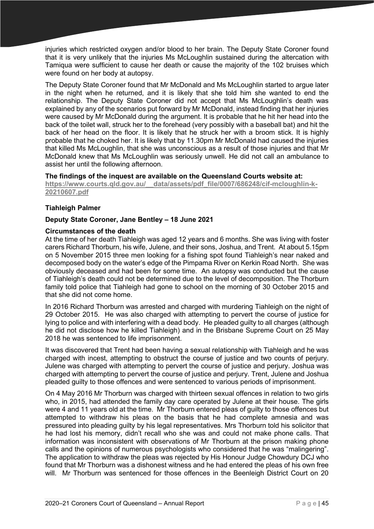injuries which restricted oxygen and/or blood to her brain. The Deputy State Coroner found that it is very unlikely that the injuries Ms McLoughlin sustained during the altercation with Tamiqua were sufficient to cause her death or cause the majority of the 102 bruises which were found on her body at autopsy.

The Deputy State Coroner found that Mr McDonald and Ms McLoughlin started to argue later in the night when he returned, and it is likely that she told him she wanted to end the relationship. The Deputy State Coroner did not accept that Ms McLoughlin's death was explained by any of the scenarios put forward by Mr McDonald, instead finding that her injuries were caused by Mr McDonald during the argument. It is probable that he hit her head into the back of the toilet wall, struck her to the forehead (very possibly with a baseball bat) and hit the back of her head on the floor. It is likely that he struck her with a broom stick. It is highly probable that he choked her. It is likely that by 11.30pm Mr McDonald had caused the injuries that killed Ms McLoughlin, that she was unconscious as a result of those injuries and that Mr McDonald knew that Ms McLoughlin was seriously unwell. He did not call an ambulance to assist her until the following afternoon.

# **The findings of the inquest are available on the Queensland Courts website at:**

**[https://www.courts.qld.gov.au/\\_\\_data/assets/pdf\\_file/0007/686248/cif-mcloughlin-k-](https://www.courts.qld.gov.au/__data/assets/pdf_file/0007/686248/cif-mcloughlin-k-20210607.pdf)[20210607.pdf](https://www.courts.qld.gov.au/__data/assets/pdf_file/0007/686248/cif-mcloughlin-k-20210607.pdf)**

# **Tiahleigh Palmer**

# **Deputy State Coroner, Jane Bentley – 18 June 2021**

# **Circumstances of the death**

At the time of her death Tiahleigh was aged 12 years and 6 months. She was living with foster carers Richard Thorburn, his wife, Julene, and their sons, Joshua, and Trent. At about 5.15pm on 5 November 2015 three men looking for a fishing spot found Tiahleigh's near naked and decomposed body on the water's edge of the Pimpama River on Kerkin Road North. She was obviously deceased and had been for some time. An autopsy was conducted but the cause of Tiahleigh's death could not be determined due to the level of decomposition. The Thorburn family told police that Tiahleigh had gone to school on the morning of 30 October 2015 and that she did not come home.

In 2016 Richard Thorburn was arrested and charged with murdering Tiahleigh on the night of 29 October 2015. He was also charged with attempting to pervert the course of justice for lying to police and with interfering with a dead body. He pleaded guilty to all charges (although he did not disclose how he killed Tiahleigh) and in the Brisbane Supreme Court on 25 May 2018 he was sentenced to life imprisonment.

It was discovered that Trent had been having a sexual relationship with Tiahleigh and he was charged with incest, attempting to obstruct the course of justice and two counts of perjury. Julene was charged with attempting to pervert the course of justice and perjury. Joshua was charged with attempting to pervert the course of justice and perjury. Trent, Julene and Joshua pleaded guilty to those offences and were sentenced to various periods of imprisonment.

On 4 May 2016 Mr Thorburn was charged with thirteen sexual offences in relation to two girls who, in 2015, had attended the family day care operated by Julene at their house. The girls were 4 and 11 years old at the time. Mr Thorburn entered pleas of guilty to those offences but attempted to withdraw his pleas on the basis that he had complete amnesia and was pressured into pleading guilty by his legal representatives. Mrs Thorburn told his solicitor that he had lost his memory, didn't recall who she was and could not make phone calls. That information was inconsistent with observations of Mr Thorburn at the prison making phone calls and the opinions of numerous psychologists who considered that he was "malingering". The application to withdraw the pleas was rejected by His Honour Judge Chowdury DCJ who found that Mr Thorburn was a dishonest witness and he had entered the pleas of his own free will. Mr Thorburn was sentenced for those offences in the Beenleigh District Court on 20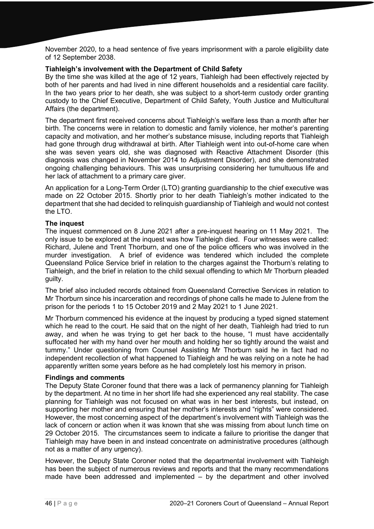November 2020, to a head sentence of five years imprisonment with a parole eligibility date of 12 September 2038.

## **Tiahleigh's involvement with the Department of Child Safety**

By the time she was killed at the age of 12 years, Tiahleigh had been effectively rejected by both of her parents and had lived in nine different households and a residential care facility. In the two years prior to her death, she was subject to a short-term custody order granting custody to the Chief Executive, Department of Child Safety, Youth Justice and Multicultural Affairs (the department).

The department first received concerns about Tiahleigh's welfare less than a month after her birth. The concerns were in relation to domestic and family violence, her mother's parenting capacity and motivation, and her mother's substance misuse, including reports that Tiahleigh had gone through drug withdrawal at birth. After Tiahleigh went into out-of-home care when she was seven years old, she was diagnosed with Reactive Attachment Disorder (this diagnosis was changed in November 2014 to Adjustment Disorder), and she demonstrated ongoing challenging behaviours. This was unsurprising considering her tumultuous life and her lack of attachment to a primary care giver.

An application for a Long-Term Order (LTO) granting guardianship to the chief executive was made on 22 October 2015. Shortly prior to her death Tiahleigh's mother indicated to the department that she had decided to relinquish guardianship of Tiahleigh and would not contest the LTO.

# **The inquest**

The inquest commenced on 8 June 2021 after a pre-inquest hearing on 11 May 2021. The only issue to be explored at the inquest was how Tiahleigh died. Four witnesses were called: Richard, Julene and Trent Thorburn, and one of the police officers who was involved in the murder investigation. A brief of evidence was tendered which included the complete Queensland Police Service brief in relation to the charges against the Thorburn's relating to Tiahleigh, and the brief in relation to the child sexual offending to which Mr Thorburn pleaded guilty.

The brief also included records obtained from Queensland Corrective Services in relation to Mr Thorburn since his incarceration and recordings of phone calls he made to Julene from the prison for the periods 1 to 15 October 2019 and 2 May 2021 to 1 June 2021.

Mr Thorburn commenced his evidence at the inquest by producing a typed signed statement which he read to the court. He said that on the night of her death, Tiahleigh had tried to run away, and when he was trying to get her back to the house, "I must have accidentally suffocated her with my hand over her mouth and holding her so tightly around the waist and tummy." Under questioning from Counsel Assisting Mr Thorburn said he in fact had no independent recollection of what happened to Tiahleigh and he was relying on a note he had apparently written some years before as he had completely lost his memory in prison.

#### **Findings and comments**

The Deputy State Coroner found that there was a lack of permanency planning for Tiahleigh by the department. At no time in her short life had she experienced any real stability. The case planning for Tiahleigh was not focused on what was in her best interests, but instead, on supporting her mother and ensuring that her mother's interests and "rights" were considered. However, the most concerning aspect of the department's involvement with Tiahleigh was the lack of concern or action when it was known that she was missing from about lunch time on 29 October 2015. The circumstances seem to indicate a failure to prioritise the danger that Tiahleigh may have been in and instead concentrate on administrative procedures (although not as a matter of any urgency).

However, the Deputy State Coroner noted that the departmental involvement with Tiahleigh has been the subject of numerous reviews and reports and that the many recommendations made have been addressed and implemented – by the department and other involved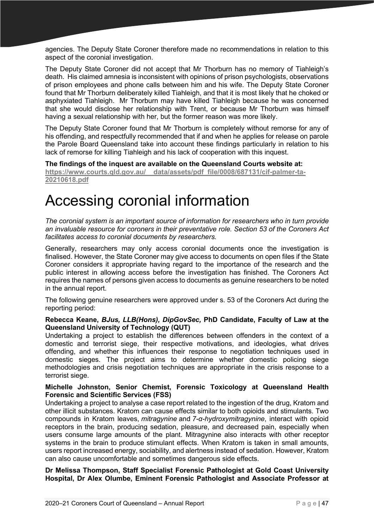agencies. The Deputy State Coroner therefore made no recommendations in relation to this aspect of the coronial investigation.

The Deputy State Coroner did not accept that Mr Thorburn has no memory of Tiahleigh's death. His claimed amnesia is inconsistent with opinions of prison psychologists, observations of prison employees and phone calls between him and his wife. The Deputy State Coroner found that Mr Thorburn deliberately killed Tiahleigh, and that it is most likely that he choked or asphyxiated Tiahleigh. Mr Thorburn may have killed Tiahleigh because he was concerned that she would disclose her relationship with Trent, or because Mr Thorburn was himself having a sexual relationship with her, but the former reason was more likely.

The Deputy State Coroner found that Mr Thorburn is completely without remorse for any of his offending, and respectfully recommended that if and when he applies for release on parole the Parole Board Queensland take into account these findings particularly in relation to his lack of remorse for killing Tiahleigh and his lack of cooperation with this inquest.

**The findings of the inquest are available on the Queensland Courts website at: [https://www.courts.qld.gov.au/\\_\\_data/assets/pdf\\_file/0008/687131/cif-palmer-ta-](https://www.courts.qld.gov.au/__data/assets/pdf_file/0008/687131/cif-palmer-ta-20210618.pdf)[20210618.pdf](https://www.courts.qld.gov.au/__data/assets/pdf_file/0008/687131/cif-palmer-ta-20210618.pdf)**

# Accessing coronial information

*The coronial system is an important source of information for researchers who in turn provide an invaluable resource for coroners in their preventative role. Section 53 of the Coroners Act facilitates access to coronial documents by researchers.* 

Generally, researchers may only access coronial documents once the investigation is finalised. However, the State Coroner may give access to documents on open files if the State Coroner considers it appropriate having regard to the importance of the research and the public interest in allowing access before the investigation has finished. The Coroners Act requires the names of persons given access to documents as genuine researchers to be noted in the annual report.

The following genuine researchers were approved under s. 53 of the Coroners Act during the reporting period:

# **Rebecca Keane,** *BJus, LLB(Hons), DipGovSec,* **PhD Candidate, Faculty of Law at the Queensland University of Technology (QUT)**

Undertaking a project to establish the differences between offenders in the context of a domestic and terrorist siege, their respective motivations, and ideologies, what drives offending, and whether this influences their response to negotiation techniques used in domestic sieges. The project aims to determine whether domestic policing siege methodologies and crisis negotiation techniques are appropriate in the crisis response to a terrorist siege.

# **Michelle Johnston, Senior Chemist, Forensic Toxicology at Queensland Health Forensic and Scientific Services (FSS)**

Undertaking a project to analyse a case report related to the ingestion of the drug, Kratom and other illicit substances. Kratom can cause effects similar to both opioids and stimulants. Two compounds in Kratom leaves, *mitragynine* and *7-α-hydroxymitragynine*, interact with opioid receptors in the brain, producing sedation, pleasure, and decreased pain, especially when users consume large amounts of the plant. Mitragynine also interacts with other receptor systems in the brain to produce stimulant effects. When Kratom is taken in small amounts, users report increased energy, sociability, and alertness instead of sedation. However, Kratom can also cause uncomfortable and sometimes dangerous side effects.

# **Dr Melissa Thompson, Staff Specialist Forensic Pathologist at Gold Coast University Hospital, Dr Alex Olumbe, Eminent Forensic Pathologist and Associate Professor at**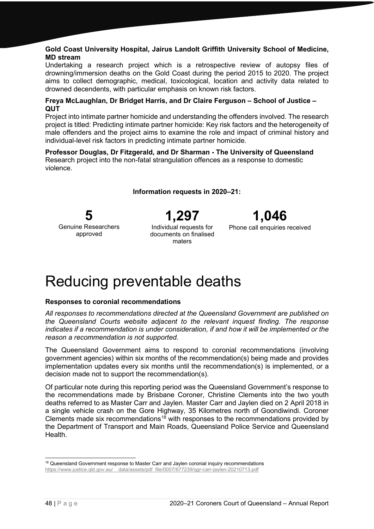# **Gold Coast University Hospital, Jairus Landolt Griffith University School of Medicine, MD stream**

Undertaking a research project which is a retrospective review of autopsy files of drowning/immersion deaths on the Gold Coast during the period 2015 to 2020. The project aims to collect demographic, medical, toxicological, location and activity data related to drowned decendents, with particular emphasis on known risk factors.

# **Freya McLaughlan, Dr Bridget Harris, and Dr Claire Ferguson – School of Justice – QUT**

Project into intimate partner homicide and understanding the offenders involved. The research project is titled: Predicting intimate partner homicide: Key risk factors and the heterogeneity of male offenders and the project aims to examine the role and impact of criminal history and individual-level risk factors in predicting intimate partner homicide.

#### **Professor Douglas, Dr Fitzgerald, and Dr Sharman - The University of Queensland** Research project into the non-fatal strangulation offences as a response to domestic violence.

**1,297** Individual requests for documents on finalised

maters

**Information requests in 2020–21:** 

**1,046**

Phone call enquiries received

**5** Genuine Researchers approved

Reducing preventable deaths

# **Responses to coronial recommendations**

*All responses to recommendations directed at the Queensland Government are published on the Queensland Courts website adjacent to the relevant inquest finding. The response indicates if a recommendation is under consideration, if and how it will be implemented or the reason a recommendation is not supported.* 

The Queensland Government aims to respond to coronial recommendations (involving government agencies) within six months of the recommendation(s) being made and provides implementation updates every six months until the recommendation(s) is implemented, or a decision made not to support the recommendation(s).

Of particular note during this reporting period was the Queensland Government's response to the recommendations made by Brisbane Coroner, Christine Clements into the two youth deaths referred to as Master Carr and Jaylen. Master Carr and Jaylen died on 2 April 2018 in a single vehicle crash on the Gore Highway, 35 Kilometres north of Goondiwindi. Coroner Clements made six recommendations<sup>[18](#page-47-0)</sup> with responses to the recommendations provided by the Department of Transport and Main Roads, Queensland Police Service and Queensland **Health** 

<span id="page-47-0"></span><sup>&</sup>lt;sup>18</sup> Queensland Government response to Master Carr and Jaylen coronial inquiry recommendations [https://www.justice.qld.gov.au/\\_\\_data/assets/pdf\\_file/0007/677239/qgr-carr-jaylen-20210713.pdf](https://www.justice.qld.gov.au/__data/assets/pdf_file/0007/677239/qgr-carr-jaylen-20211220.pdf)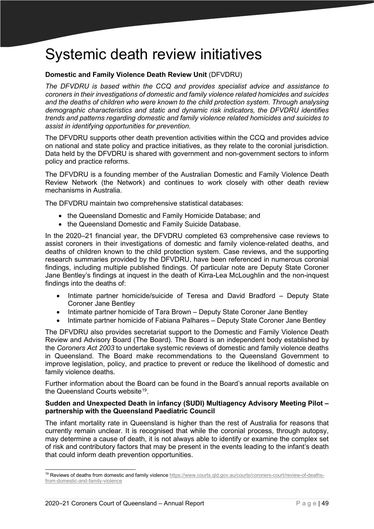# Systemic death review initiatives

# **Domestic and Family Violence Death Review Unit** (DFVDRU)

*The DFVDRU is based within the CCQ and provides specialist advice and assistance to coroners in their investigations of domestic and family violence related homicides and suicides and the deaths of children who were known to the child protection system. Through analysing demographic characteristics and static and dynamic risk indicators, the DFVDRU identifies trends and patterns regarding domestic and family violence related homicides and suicides to assist in identifying opportunities for prevention.*

The DFVDRU supports other death prevention activities within the CCQ and provides advice on national and state policy and practice initiatives, as they relate to the coronial jurisdiction. Data held by the DFVDRU is shared with government and non-government sectors to inform policy and practice reforms.

The DFVDRU is a founding member of the Australian Domestic and Family Violence Death Review Network (the Network) and continues to work closely with other death review mechanisms in Australia.

The DFVDRU maintain two comprehensive statistical databases:

- the Queensland Domestic and Family Homicide Database; and
- the Queensland Domestic and Family Suicide Database.

In the 2020–21 financial year, the DFVDRU completed 63 comprehensive case reviews to assist coroners in their investigations of domestic and family violence-related deaths, and deaths of children known to the child protection system. Case reviews, and the supporting research summaries provided by the DFVDRU, have been referenced in numerous coronial findings, including multiple published findings. Of particular note are Deputy State Coroner Jane Bentley's findings at inquest in the death of Kirra-Lea McLoughlin and the non-inquest findings into the deaths of:

- Intimate partner homicide/suicide of Teresa and David Bradford Deputy State Coroner Jane Bentley
- Intimate partner homicide of Tara Brown Deputy State Coroner Jane Bentley
- Intimate partner homicide of Fabiana Palhares Deputy State Coroner Jane Bentley

The DFVDRU also provides secretariat support to the Domestic and Family Violence Death Review and Advisory Board (The Board). The Board is an independent body established by the *Coroners Act 2003* to undertake systemic reviews of domestic and family violence deaths in Queensland. The Board make recommendations to the Queensland Government to improve legislation, policy, and practice to prevent or reduce the likelihood of domestic and family violence deaths.

Further information about the Board can be found in the Board's annual reports available on the Queensland Courts website<sup>19</sup>.

# **Sudden and Unexpected Death in infancy (SUDI) Multiagency Advisory Meeting Pilot – partnership with the Queensland Paediatric Council**

The infant mortality rate in Queensland is higher than the rest of Australia for reasons that currently remain unclear. It is recognised that while the coronial process, through autopsy, may determine a cause of death, it is not always able to identify or examine the complex set of risk and contributory factors that may be present in the events leading to the infant's death that could inform death prevention opportunities.

<span id="page-48-0"></span><sup>&</sup>lt;sup>19</sup> Reviews of deaths from domestic and family violence [https://www.courts.qld.gov.au/courts/coroners-court/review-of-deaths](https://www.courts.qld.gov.au/courts/coroners-court/review-of-deaths-from-domestic-and-family-violence)[from-domestic-and-family-violence](https://www.courts.qld.gov.au/courts/coroners-court/review-of-deaths-from-domestic-and-family-violence)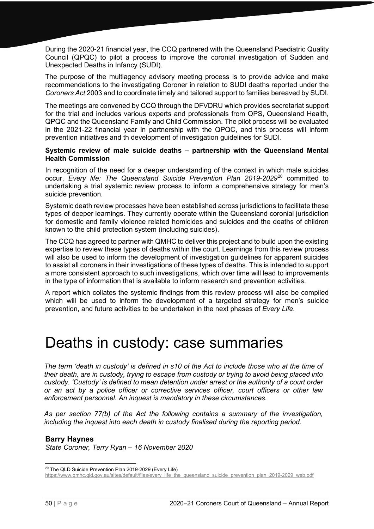During the 2020-21 financial year, the CCQ partnered with the Queensland Paediatric Quality Council (QPQC) to pilot a process to improve the coronial investigation of Sudden and Unexpected Deaths in Infancy (SUDI).

The purpose of the multiagency advisory meeting process is to provide advice and make recommendations to the investigating Coroner in relation to SUDI deaths reported under the *Coroners Act* 2003 and to coordinate timely and tailored support to families bereaved by SUDI.

The meetings are convened by CCQ through the DFVDRU which provides secretariat support for the trial and includes various experts and professionals from QPS, Queensland Health, QPQC and the Queensland Family and Child Commission. The pilot process will be evaluated in the 2021-22 financial year in partnership with the QPQC, and this process will inform prevention initiatives and th development of investigation guidelines for SUDI.

# **Systemic review of male suicide deaths – partnership with the Queensland Mental Health Commission**

In recognition of the need for a deeper understanding of the context in which male suicides occur, *Every life: The Queensland Suicide Prevention Plan 2019-2029*[20](#page-49-0) committed to undertaking a trial systemic review process to inform a comprehensive strategy for men's suicide prevention.

Systemic death review processes have been established across jurisdictions to facilitate these types of deeper learnings. They currently operate within the Queensland coronial jurisdiction for domestic and family violence related homicides and suicides and the deaths of children known to the child protection system (including suicides).

The CCQ has agreed to partner with QMHC to deliver this project and to build upon the existing expertise to review these types of deaths within the court. Learnings from this review process will also be used to inform the development of investigation guidelines for apparent suicides to assist all coroners in their investigations of these types of deaths. This is intended to support a more consistent approach to such investigations, which over time will lead to improvements in the type of information that is available to inform research and prevention activities.

A report which collates the systemic findings from this review process will also be compiled which will be used to inform the development of a targeted strategy for men's suicide prevention, and future activities to be undertaken in the next phases of *Every Life*.

# Deaths in custody: case summaries

*The term 'death in custody' is defined in s10 of the Act to include those who at the time of their death, are in custody, trying to escape from custody or trying to avoid being placed into custody. 'Custody' is defined to mean detention under arrest or the authority of a court order or an act by a police officer or corrective services officer, court officers or other law enforcement personnel. An inquest is mandatory in these circumstances.* 

*As per section 77(b) of the Act the following contains a summary of the investigation, including the inquest into each death in custody finalised during the reporting period.* 

#### **Barry Haynes**

*State Coroner, Terry Ryan – 16 November 2020*

<span id="page-49-0"></span><sup>20</sup> The QLD Suicide Prevention Plan 2019-2029 (Every Life)

[https://www.qmhc.qld.gov.au/sites/default/files/every\\_life\\_the\\_queensland\\_suicide\\_prevention\\_plan\\_2019-2029\\_web.pdf](https://www.qmhc.qld.gov.au/sites/default/files/every_life_the_queensland_suicide_prevention_plan_2019-2029_web.pdf)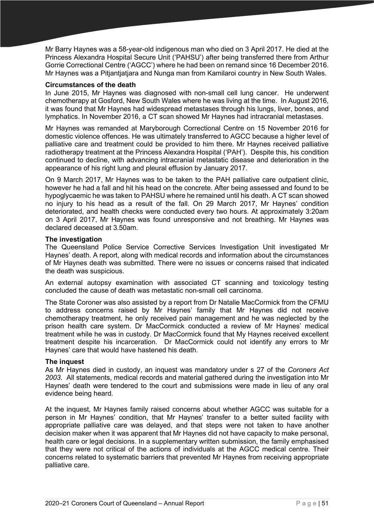Mr Barry Haynes was a 58-year-old indigenous man who died on 3 April 2017. He died at the Princess Alexandra Hospital Secure Unit ('PAHSU') after being transferred there from Arthur Gorrie Correctional Centre ('AGCC') where he had been on remand since 16 December 2016. Mr Haynes was a Pitjantjatjara and Nunga man from Kamilaroi country in New South Wales.

# **Circumstances of the death**

In June 2015, Mr Haynes was diagnosed with non-small cell lung cancer. He underwent chemotherapy at Gosford, New South Wales where he was living at the time. In August 2016, it was found that Mr Haynes had widespread metastases through his lungs, liver, bones, and lymphatics. In November 2016, a CT scan showed Mr Haynes had intracranial metastases.

Mr Haynes was remanded at Maryborough Correctional Centre on 15 November 2016 for domestic violence offences. He was ultimately transferred to AGCC because a higher level of palliative care and treatment could be provided to him there. Mr Haynes received palliative radiotherapy treatment at the Princess Alexandra Hospital ('PAH'). Despite this, his condition continued to decline, with advancing intracranial metastatic disease and deterioration in the appearance of his right lung and pleural effusion by January 2017.

On 9 March 2017, Mr Haynes was to be taken to the PAH palliative care outpatient clinic, however he had a fall and hit his head on the concrete. After being assessed and found to be hypoglycaemic he was taken to PAHSU where he remained until his death. A CT scan showed no injury to his head as a result of the fall. On 29 March 2017, Mr Haynes' condition deteriorated, and health checks were conducted every two hours. At approximately 3:20am on 3 April 2017, Mr Haynes was found unresponsive and not breathing. Mr Haynes was declared deceased at 3.50am.

# **The investigation**

The Queensland Police Service Corrective Services Investigation Unit investigated Mr Haynes' death. A report, along with medical records and information about the circumstances of Mr Haynes death was submitted. There were no issues or concerns raised that indicated the death was suspicious.

An external autopsy examination with associated CT scanning and toxicology testing concluded the cause of death was metastatic non-small cell carcinoma.

The State Coroner was also assisted by a report from Dr Natalie MacCormick from the CFMU to address concerns raised by Mr Haynes' family that Mr Haynes did not receive chemotherapy treatment, he only received pain management and he was neglected by the prison health care system. Dr MacCormick conducted a review of Mr Haynes' medical treatment while he was in custody. Dr MacCormick found that My Haynes received excellent treatment despite his incarceration. Dr MacCormick could not identify any errors to Mr Haynes' care that would have hastened his death.

# **The inquest**

As Mr Haynes died in custody, an inquest was mandatory under s 27 of the *Coroners Act 2003*. All statements, medical records and material gathered during the investigation into Mr Haynes' death were tendered to the court and submissions were made in lieu of any oral evidence being heard.

At the inquest, Mr Haynes family raised concerns about whether AGCC was suitable for a person in Mr Haynes' condition, that Mr Haynes' transfer to a better suited facility with appropriate palliative care was delayed, and that steps were not taken to have another decision maker when it was apparent that Mr Haynes did not have capacity to make personal, health care or legal decisions. In a supplementary written submission, the family emphasised that they were not critical of the actions of individuals at the AGCC medical centre. Their concerns related to systematic barriers that prevented Mr Haynes from receiving appropriate palliative care.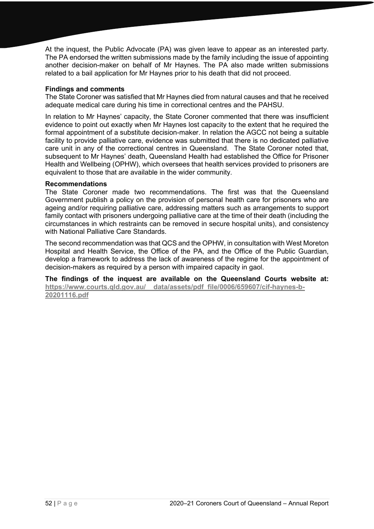At the inquest, the Public Advocate (PA) was given leave to appear as an interested party*.*  The PA endorsed the written submissions made by the family including the issue of appointing another decision-maker on behalf of Mr Haynes. The PA also made written submissions related to a bail application for Mr Haynes prior to his death that did not proceed.

# **Findings and comments**

The State Coroner was satisfied that Mr Haynes died from natural causes and that he received adequate medical care during his time in correctional centres and the PAHSU.

In relation to Mr Haynes' capacity, the State Coroner commented that there was insufficient evidence to point out exactly when Mr Haynes lost capacity to the extent that he required the formal appointment of a substitute decision-maker. In relation the AGCC not being a suitable facility to provide palliative care, evidence was submitted that there is no dedicated palliative care unit in any of the correctional centres in Queensland. The State Coroner noted that, subsequent to Mr Haynes' death, Queensland Health had established the Office for Prisoner Health and Wellbeing (OPHW), which oversees that health services provided to prisoners are equivalent to those that are available in the wider community.

# **Recommendations**

The State Coroner made two recommendations. The first was that the Queensland Government publish a policy on the provision of personal health care for prisoners who are ageing and/or requiring palliative care, addressing matters such as arrangements to support family contact with prisoners undergoing palliative care at the time of their death (including the circumstances in which restraints can be removed in secure hospital units), and consistency with National Palliative Care Standards.

The second recommendation was that QCS and the OPHW, in consultation with West Moreton Hospital and Health Service, the Office of the PA, and the Office of the Public Guardian, develop a framework to address the lack of awareness of the regime for the appointment of decision-makers as required by a person with impaired capacity in gaol.

**The findings of the inquest are available on the Queensland Courts website at: [https://www.courts.qld.gov.au/\\_\\_data/assets/pdf\\_file/0006/659607/cif-haynes-b-](https://www.courts.qld.gov.au/__data/assets/pdf_file/0006/659607/cif-haynes-b-20201116.pdf)[20201116.pdf](https://www.courts.qld.gov.au/__data/assets/pdf_file/0006/659607/cif-haynes-b-20201116.pdf)**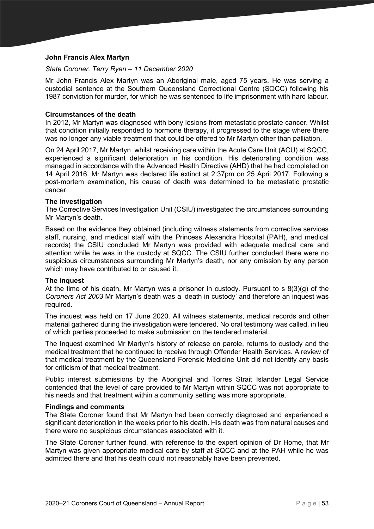# **John Francis Alex Martyn**

#### *State Coroner, Terry Ryan – 11 December 2020*

Mr John Francis Alex Martyn was an Aboriginal male, aged 75 years. He was serving a custodial sentence at the Southern Queensland Correctional Centre (SQCC) following his 1987 conviction for murder, for which he was sentenced to life imprisonment with hard labour.

#### **Circumstances of the death**

In 2012, Mr Martyn was diagnosed with bony lesions from metastatic prostate cancer. Whilst that condition initially responded to hormone therapy, it progressed to the stage where there was no longer any viable treatment that could be offered to Mr Martyn other than palliation.

On 24 April 2017, Mr Martyn, whilst receiving care within the Acute Care Unit (ACU) at SQCC, experienced a significant deterioration in his condition. His deteriorating condition was managed in accordance with the Advanced Health Directive (AHD) that he had completed on 14 April 2016. Mr Martyn was declared life extinct at 2:37pm on 25 April 2017. Following a post-mortem examination, his cause of death was determined to be metastatic prostatic cancer.

#### **The investigation**

The Corrective Services Investigation Unit (CSIU) investigated the circumstances surrounding Mr Martyn's death.

Based on the evidence they obtained (including witness statements from corrective services staff, nursing, and medical staff with the Princess Alexandra Hospital (PAH), and medical records) the CSIU concluded Mr Martyn was provided with adequate medical care and attention while he was in the custody at SQCC. The CSIU further concluded there were no suspicious circumstances surrounding Mr Martyn's death, nor any omission by any person which may have contributed to or caused it.

#### **The inquest**

At the time of his death, Mr Martyn was a prisoner in custody*.* Pursuant to s 8(3)(g) of the *Coroners Act 2003* Mr Martyn's death was a 'death in custody' and therefore an inquest was required.

The inquest was held on 17 June 2020. All witness statements, medical records and other material gathered during the investigation were tendered. No oral testimony was called, in lieu of which parties proceeded to make submission on the tendered material.

The Inquest examined Mr Martyn's history of release on parole, returns to custody and the medical treatment that he continued to receive through Offender Health Services. A review of that medical treatment by the Queensland Forensic Medicine Unit did not identify any basis for criticism of that medical treatment.

Public interest submissions by the Aboriginal and Torres Strait Islander Legal Service contended that the level of care provided to Mr Martyn within SQCC was not appropriate to his needs and that treatment within a community setting was more appropriate.

#### **Findings and comments**

The State Coroner found that Mr Martyn had been correctly diagnosed and experienced a significant deterioration in the weeks prior to his death. His death was from natural causes and there were no suspicious circumstances associated with it.

The State Coroner further found, with reference to the expert opinion of Dr Home, that Mr Martyn was given appropriate medical care by staff at SQCC and at the PAH while he was admitted there and that his death could not reasonably have been prevented.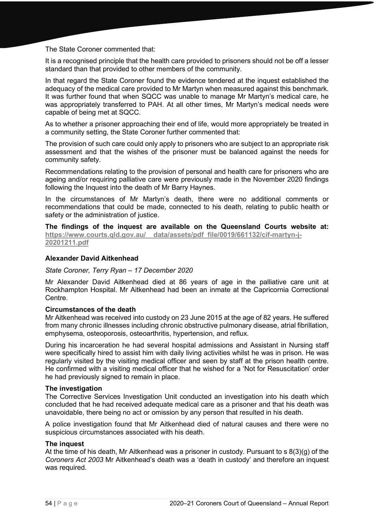The State Coroner commented that:

It is a recognised principle that the health care provided to prisoners should not be off a lesser standard than that provided to other members of the community.

In that regard the State Coroner found the evidence tendered at the inquest established the adequacy of the medical care provided to Mr Martyn when measured against this benchmark. It was further found that when SQCC was unable to manage Mr Martyn's medical care, he was appropriately transferred to PAH. At all other times, Mr Martyn's medical needs were capable of being met at SQCC.

As to whether a prisoner approaching their end of life, would more appropriately be treated in a community setting, the State Coroner further commented that:

The provision of such care could only apply to prisoners who are subject to an appropriate risk assessment and that the wishes of the prisoner must be balanced against the needs for community safety.

Recommendations relating to the provision of personal and health care for prisoners who are ageing and/or requiring palliative care were previously made in the November 2020 findings following the Inquest into the death of Mr Barry Haynes.

In the circumstances of Mr Martyn's death, there were no additional comments or recommendations that could be made, connected to his death, relating to public health or safety or the administration of justice.

**The findings of the inquest are available on the Queensland Courts website at:**  https://www.courts.qld.gov.au/ data/assets/pdf file/0019/661132/cif-martyn-j-**[20201211.pdf](https://www.courts.qld.gov.au/__data/assets/pdf_file/0019/661132/cif-martyn-j-20201211.pdf)**

# **Alexander David Aitkenhead**

#### *State Coroner, Terry Ryan – 17 December 2020*

Mr Alexander David Aitkenhead died at 86 years of age in the palliative care unit at Rockhampton Hospital. Mr Aitkenhead had been an inmate at the Capricornia Correctional Centre*.*

#### **Circumstances of the death**

Mr Aitkenhead was received into custody on 23 June 2015 at the age of 82 years. He suffered from many chronic illnesses including chronic obstructive pulmonary disease, atrial fibrillation, emphysema, osteoporosis, osteoarthritis, hypertension, and reflux.

During his incarceration he had several hospital admissions and Assistant in Nursing staff were specifically hired to assist him with daily living activities whilst he was in prison. He was regularly visited by the visiting medical officer and seen by staff at the prison health centre. He confirmed with a visiting medical officer that he wished for a 'Not for Resuscitation' order he had previously signed to remain in place.

#### **The investigation**

The Corrective Services Investigation Unit conducted an investigation into his death which concluded that he had received adequate medical care as a prisoner and that his death was unavoidable, there being no act or omission by any person that resulted in his death.

A police investigation found that Mr Aitkenhead died of natural causes and there were no suspicious circumstances associated with his death.

#### **The inquest**

At the time of his death, Mr Aitkenhead was a prisoner in custody*.* Pursuant to s 8(3)(g) of the *Coroners Act 2003* Mr Aitkenhead's death was a 'death in custody' and therefore an inquest was required.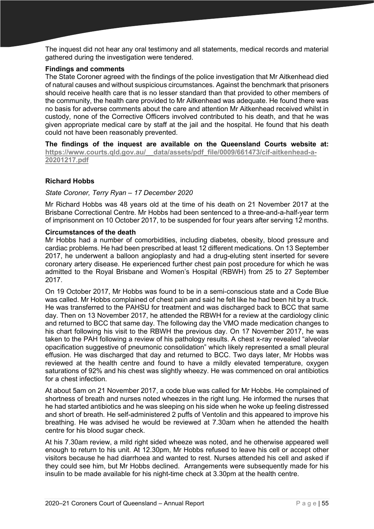The inquest did not hear any oral testimony and all statements, medical records and material gathered during the investigation were tendered.

## **Findings and comments**

The State Coroner agreed with the findings of the police investigation that Mr Aitkenhead died of natural causes and without suspicious circumstances. Against the benchmark that prisoners should receive health care that is no lesser standard than that provided to other members of the community, the health care provided to Mr Aitkenhead was adequate. He found there was no basis for adverse comments about the care and attention Mr Aitkenhead received whilst in custody, none of the Corrective Officers involved contributed to his death, and that he was given appropriate medical care by staff at the jail and the hospital. He found that his death could not have been reasonably prevented.

**The findings of the inquest are available on the Queensland Courts website at: [https://www.courts.qld.gov.au/\\_\\_data/assets/pdf\\_file/0009/661473/cif-aitkenhead-a-](https://www.courts.qld.gov.au/__data/assets/pdf_file/0009/661473/cif-aitkenhead-a-20201217.pdf)[20201217.pdf](https://www.courts.qld.gov.au/__data/assets/pdf_file/0009/661473/cif-aitkenhead-a-20201217.pdf)**

# **Richard Hobbs**

# *State Coroner, Terry Ryan – 17 December 2020*

Mr Richard Hobbs was 48 years old at the time of his death on 21 November 2017 at the Brisbane Correctional Centre. Mr Hobbs had been sentenced to a three-and-a-half-year term of imprisonment on 10 October 2017, to be suspended for four years after serving 12 months.

# **Circumstances of the death**

Mr Hobbs had a number of comorbidities, including diabetes, obesity, blood pressure and cardiac problems. He had been prescribed at least 12 different medications. On 13 September 2017, he underwent a balloon angioplasty and had a drug-eluting stent inserted for severe coronary artery disease. He experienced further chest pain post procedure for which he was admitted to the Royal Brisbane and Women's Hospital (RBWH) from 25 to 27 September 2017.

On 19 October 2017, Mr Hobbs was found to be in a semi-conscious state and a Code Blue was called. Mr Hobbs complained of chest pain and said he felt like he had been hit by a truck. He was transferred to the PAHSU for treatment and was discharged back to BCC that same day. Then on 13 November 2017, he attended the RBWH for a review at the cardiology clinic and returned to BCC that same day. The following day the VMO made medication changes to his chart following his visit to the RBWH the previous day. On 17 November 2017, he was taken to the PAH following a review of his pathology results. A chest x-ray revealed "alveolar opacification suggestive of pneumonic consolidation" which likely represented a small pleural effusion. He was discharged that day and returned to BCC. Two days later, Mr Hobbs was reviewed at the health centre and found to have a mildly elevated temperature, oxygen saturations of 92% and his chest was slightly wheezy. He was commenced on oral antibiotics for a chest infection.

At about 5am on 21 November 2017, a code blue was called for Mr Hobbs. He complained of shortness of breath and nurses noted wheezes in the right lung. He informed the nurses that he had started antibiotics and he was sleeping on his side when he woke up feeling distressed and short of breath. He self-administered 2 puffs of Ventolin and this appeared to improve his breathing. He was advised he would be reviewed at 7.30am when he attended the health centre for his blood sugar check.

At his 7.30am review, a mild right sided wheeze was noted, and he otherwise appeared well enough to return to his unit. At 12.30pm, Mr Hobbs refused to leave his cell or accept other visitors because he had diarrhoea and wanted to rest. Nurses attended his cell and asked if they could see him, but Mr Hobbs declined. Arrangements were subsequently made for his insulin to be made available for his night-time check at 3.30pm at the health centre.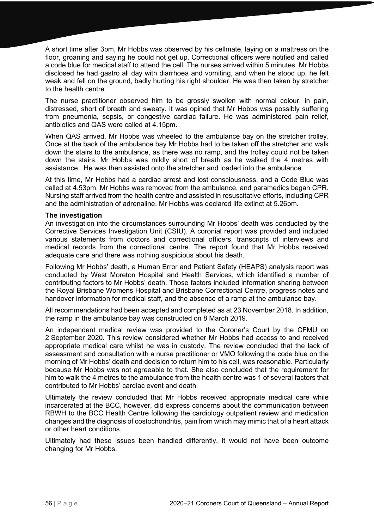A short time after 3pm, Mr Hobbs was observed by his cellmate, laying on a mattress on the floor, groaning and saying he could not get up. Correctional officers were notified and called a code blue for medical staff to attend the cell. The nurses arrived within 5 minutes. Mr Hobbs disclosed he had gastro all day with diarrhoea and vomiting, and when he stood up, he felt weak and fell on the ground, badly hurting his right shoulder. He was then taken by stretcher to the health centre.

The nurse practitioner observed him to be grossly swollen with normal colour, in pain, distressed, short of breath and sweaty. It was opined that Mr Hobbs was possibly suffering from pneumonia, sepsis, or congestive cardiac failure. He was administered pain relief, antibiotics and QAS were called at 4.15pm.

When QAS arrived, Mr Hobbs was wheeled to the ambulance bay on the stretcher trolley. Once at the back of the ambulance bay Mr Hobbs had to be taken off the stretcher and walk down the stairs to the ambulance, as there was no ramp, and the trolley could not be taken down the stairs. Mr Hobbs was mildly short of breath as he walked the 4 metres with assistance. He was then assisted onto the stretcher and loaded into the ambulance.

At this time, Mr Hobbs had a cardiac arrest and lost consciousness, and a Code Blue was called at 4.53pm. Mr Hobbs was removed from the ambulance, and paramedics began CPR. Nursing staff arrived from the health centre and assisted in resuscitative efforts, including CPR and the administration of adrenaline. Mr Hobbs was declared life extinct at 5.26pm.

# **The investigation**

An investigation into the circumstances surrounding Mr Hobbs' death was conducted by the Corrective Services Investigation Unit (CSIU). A coronial report was provided and included various statements from doctors and correctional officers, transcripts of interviews and medical records from the correctional centre. The report found that Mr Hobbs received adequate care and there was nothing suspicious about his death.

Following Mr Hobbs' death, a Human Error and Patient Safety (HEAPS) analysis report was conducted by West Moreton Hospital and Health Services, which identified a number of contributing factors to Mr Hobbs' death. Those factors included information sharing between the Royal Brisbane Womens Hospital and Brisbane Correctional Centre, progress notes and handover information for medical staff, and the absence of a ramp at the ambulance bay.

All recommendations had been accepted and completed as at 23 November 2018. In addition, the ramp in the ambulance bay was constructed on 8 March 2019.

An independent medical review was provided to the Coroner's Court by the CFMU on 2 September 2020. This review considered whether Mr Hobbs had access to and received appropriate medical care whilst he was in custody. The review concluded that the lack of assessment and consultation with a nurse practitioner or VMO following the code blue on the morning of Mr Hobbs' death and decision to return him to his cell, was reasonable. Particularly because Mr Hobbs was not agreeable to that. She also concluded that the requirement for him to walk the 4 metres to the ambulance from the health centre was 1 of several factors that contributed to Mr Hobbs' cardiac event and death.

Ultimately the review concluded that Mr Hobbs received appropriate medical care while incarcerated at the BCC, however, did express concerns about the communication between RBWH to the BCC Health Centre following the cardiology outpatient review and medication changes and the diagnosis of costochondritis, pain from which may mimic that of a heart attack or other heart conditions.

Ultimately had these issues been handled differently, it would not have been outcome changing for Mr Hobbs.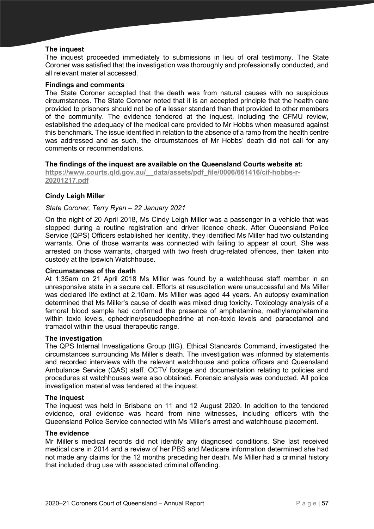# **The inquest**

The inquest proceeded immediately to submissions in lieu of oral testimony. The State Coroner was satisfied that the investigation was thoroughly and professionally conducted, and all relevant material accessed.

#### **Findings and comments**

The State Coroner accepted that the death was from natural causes with no suspicious circumstances. The State Coroner noted that it is an accepted principle that the health care provided to prisoners should not be of a lesser standard than that provided to other members of the community. The evidence tendered at the inquest, including the CFMU review, established the adequacy of the medical care provided to Mr Hobbs when measured against this benchmark. The issue identified in relation to the absence of a ramp from the health centre was addressed and as such, the circumstances of Mr Hobbs' death did not call for any comments or recommendations.

# **The findings of the inquest are available on the Queensland Courts website at:**

**[https://www.courts.qld.gov.au/\\_\\_data/assets/pdf\\_file/0006/661416/cif-hobbs-r-](https://www.courts.qld.gov.au/__data/assets/pdf_file/0006/661416/cif-hobbs-r-20201217.pdf)[20201217.pdf](https://www.courts.qld.gov.au/__data/assets/pdf_file/0006/661416/cif-hobbs-r-20201217.pdf)**

# **Cindy Leigh Miller**

# *State Coroner, Terry Ryan – 22 January 2021*

On the night of 20 April 2018, Ms Cindy Leigh Miller was a passenger in a vehicle that was stopped during a routine registration and driver licence check. After Queensland Police Service (QPS) Officers established her identity, they identified Ms Miller had two outstanding warrants. One of those warrants was connected with failing to appear at court. She was arrested on those warrants, charged with two fresh drug-related offences, then taken into custody at the Ipswich Watchhouse.

#### **Circumstances of the death**

At 1:35am on 21 April 2018 Ms Miller was found by a watchhouse staff member in an unresponsive state in a secure cell. Efforts at resuscitation were unsuccessful and Ms Miller was declared life extinct at 2.10am. Ms Miller was aged 44 years. An autopsy examination determined that Ms Miller's cause of death was mixed drug toxicity. Toxicology analysis of a femoral blood sample had confirmed the presence of amphetamine, methylamphetamine within toxic levels, ephedrine/pseudoephedrine at non-toxic levels and paracetamol and tramadol within the usual therapeutic range.

#### **The investigation**

The QPS Internal Investigations Group (IIG), Ethical Standards Command, investigated the circumstances surrounding Ms Miller's death. The investigation was informed by statements and recorded interviews with the relevant watchhouse and police officers and Queensland Ambulance Service (QAS) staff. CCTV footage and documentation relating to policies and procedures at watchhouses were also obtained. Forensic analysis was conducted. All police investigation material was tendered at the inquest.

#### **The inquest**

The inquest was held in Brisbane on 11 and 12 August 2020. In addition to the tendered evidence, oral evidence was heard from nine witnesses, including officers with the Queensland Police Service connected with Ms Miller's arrest and watchhouse placement.

#### **The evidence**

Mr Miller's medical records did not identify any diagnosed conditions. She last received medical care in 2014 and a review of her PBS and Medicare information determined she had not made any claims for the 12 months preceding her death. Ms Miller had a criminal history that included drug use with associated criminal offending.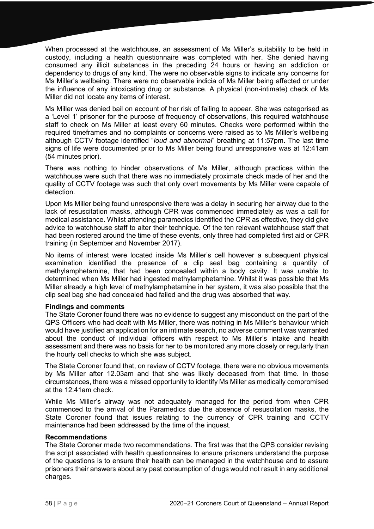When processed at the watchhouse, an assessment of Ms Miller's suitability to be held in custody, including a health questionnaire was completed with her. She denied having consumed any illicit substances in the preceding 24 hours or having an addiction or dependency to drugs of any kind. The were no observable signs to indicate any concerns for Ms Miller's wellbeing. There were no observable indicia of Ms Miller being affected or under the influence of any intoxicating drug or substance. A physical (non-intimate) check of Ms Miller did not locate any items of interest.

Ms Miller was denied bail on account of her risk of failing to appear. She was categorised as a 'Level 1' prisoner for the purpose of frequency of observations, this required watchhouse staff to check on Ms Miller at least every 60 minutes. Checks were performed within the required timeframes and no complaints or concerns were raised as to Ms Miller's wellbeing although CCTV footage identified "*loud and abnormal*" breathing at 11:57pm. The last time signs of life were documented prior to Ms Miller being found unresponsive was at 12:41am (54 minutes prior).

There was nothing to hinder observations of Ms Miller, although practices within the watchhouse were such that there was no immediately proximate check made of her and the quality of CCTV footage was such that only overt movements by Ms Miller were capable of detection.

Upon Ms Miller being found unresponsive there was a delay in securing her airway due to the lack of resuscitation masks, although CPR was commenced immediately as was a call for medical assistance. Whilst attending paramedics identified the CPR as effective, they did give advice to watchhouse staff to alter their technique. Of the ten relevant watchhouse staff that had been rostered around the time of these events, only three had completed first aid or CPR training (in September and November 2017).

No items of interest were located inside Ms Miller's cell however a subsequent physical examination identified the presence of a clip seal bag containing a quantity of methylamphetamine, that had been concealed within a body cavity. It was unable to determined when Ms Miller had ingested methylamphetamine. Whilst it was possible that Ms Miller already a high level of methylamphetamine in her system, it was also possible that the clip seal bag she had concealed had failed and the drug was absorbed that way.

#### **Findings and comments**

The State Coroner found there was no evidence to suggest any misconduct on the part of the QPS Officers who had dealt with Ms Miller, there was nothing in Ms Miller's behaviour which would have justified an application for an intimate search, no adverse comment was warranted about the conduct of individual officers with respect to Ms Miller's intake and health assessment and there was no basis for her to be monitored any more closely or regularly than the hourly cell checks to which she was subject.

The State Coroner found that, on review of CCTV footage, there were no obvious movements by Ms Miller after 12.03am and that she was likely deceased from that time. In those circumstances, there was a missed opportunity to identify Ms Miller as medically compromised at the 12:41am check.

While Ms Miller's airway was not adequately managed for the period from when CPR commenced to the arrival of the Paramedics due the absence of resuscitation masks, the State Coroner found that issues relating to the currency of CPR training and CCTV maintenance had been addressed by the time of the inquest.

#### **Recommendations**

The State Coroner made two recommendations. The first was that the QPS consider revising the script associated with health questionnaires to ensure prisoners understand the purpose of the questions is to ensure their health can be managed in the watchhouse and to assure prisoners their answers about any past consumption of drugs would not result in any additional charges.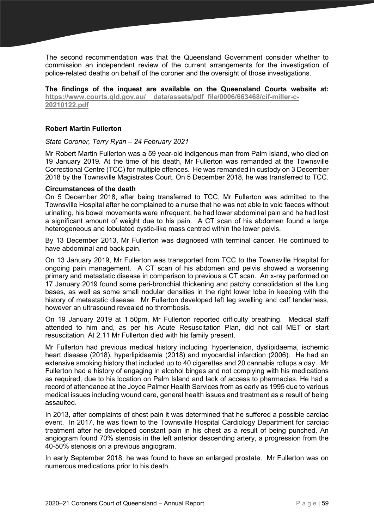The second recommendation was that the Queensland Government consider whether to commission an independent review of the current arrangements for the investigation of police-related deaths on behalf of the coroner and the oversight of those investigations.

**The findings of the inquest are available on the Queensland Courts website at:** https://www.courts.gld.gov.au/ data/assets/pdf file/0006/663468/cif-miller-c-**[20210122.pdf](https://www.courts.qld.gov.au/__data/assets/pdf_file/0006/663468/cif-miller-c-20210122.pdf)**

# **Robert Martin Fullerton**

#### *State Coroner, Terry Ryan – 24 February 2021*

Mr Robert Martin Fullerton was a 59 year-old indigenous man from Palm Island, who died on 19 January 2019. At the time of his death, Mr Fullerton was remanded at the Townsville Correctional Centre (TCC) for multiple offences. He was remanded in custody on 3 December 2018 by the Townsville Magistrates Court. On 5 December 2018, he was transferred to TCC.

# **Circumstances of the death**

On 5 December 2018, after being transferred to TCC, Mr Fullerton was admitted to the Townsville Hospital after he complained to a nurse that he was not able to void faeces without urinating, his bowel movements were infrequent, he had lower abdominal pain and he had lost a significant amount of weight due to his pain. A CT scan of his abdomen found a large heterogeneous and lobulated cystic-like mass centred within the lower pelvis.

By 13 December 2013, Mr Fullerton was diagnosed with terminal cancer. He continued to have abdominal and back pain.

On 13 January 2019, Mr Fullerton was transported from TCC to the Townsville Hospital for ongoing pain management. A CT scan of his abdomen and pelvis showed a worsening primary and metastatic disease in comparison to previous a CT scan. An x-ray performed on 17 January 2019 found some peri-bronchial thickening and patchy consolidation at the lung bases, as well as some small nodular densities in the right lower lobe in keeping with the history of metastatic disease. Mr Fullerton developed left leg swelling and calf tenderness, however an ultrasound revealed no thrombosis.

On 19 January 2019 at 1.50pm, Mr Fullerton reported difficulty breathing. Medical staff attended to him and, as per his Acute Resuscitation Plan, did not call MET or start resuscitation. At 2.11 Mr Fullerton died with his family present.

Mr Fullerton had previous medical history including, hypertension, dyslipidaema, ischemic heart disease (2018), hyperlipidaemia (2018) and myocardial infarction (2006). He had an extensive smoking history that included up to 40 cigarettes and 20 cannabis rollups a day. Mr Fullerton had a history of engaging in alcohol binges and not complying with his medications as required, due to his location on Palm Island and lack of access to pharmacies. He had a record of attendance at the Joyce Palmer Health Services from as early as 1995 due to various medical issues including wound care, general health issues and treatment as a result of being assaulted.

In 2013, after complaints of chest pain it was determined that he suffered a possible cardiac event. In 2017, he was flown to the Townsville Hospital Cardiology Department for cardiac treatment after he developed constant pain in his chest as a result of being punched. An angiogram found 70% stenosis in the left anterior descending artery, a progression from the 40-50% stenosis on a previous angiogram.

In early September 2018, he was found to have an enlarged prostate. Mr Fullerton was on numerous medications prior to his death.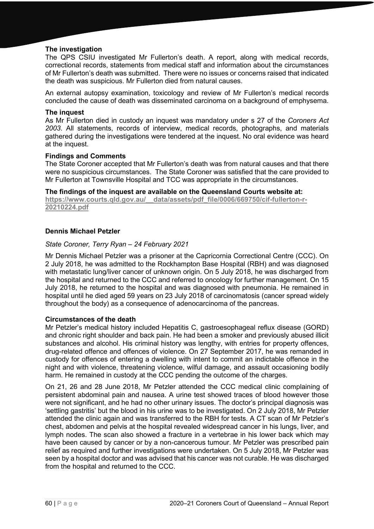# **The investigation**

The QPS CSIU investigated Mr Fullerton's death. A report, along with medical records, correctional records, statements from medical staff and information about the circumstances of Mr Fullerton's death was submitted. There were no issues or concerns raised that indicated the death was suspicious. Mr Fullerton died from natural causes.

An external autopsy examination, toxicology and review of Mr Fullerton's medical records concluded the cause of death was disseminated carcinoma on a background of emphysema.

# **The inquest**

As Mr Fullerton died in custody an inquest was mandatory under s 27 of the *Coroners Act 2003*. All statements, records of interview, medical records, photographs, and materials gathered during the investigations were tendered at the inquest. No oral evidence was heard at the inquest.

# **Findings and Comments**

The State Coroner accepted that Mr Fullerton's death was from natural causes and that there were no suspicious circumstances. The State Coroner was satisfied that the care provided to Mr Fullerton at Townsville Hospital and TCC was appropriate in the circumstances.

# **The findings of the inquest are available on the Queensland Courts website at:**

**[https://www.courts.qld.gov.au/\\_\\_data/assets/pdf\\_file/0006/669750/cif-fullerton-r-](https://www.courts.qld.gov.au/__data/assets/pdf_file/0006/669750/cif-fullerton-r-20210224.pdf)[20210224.pdf](https://www.courts.qld.gov.au/__data/assets/pdf_file/0006/669750/cif-fullerton-r-20210224.pdf)**

# **Dennis Michael Petzler**

# *State Coroner, Terry Ryan – 24 February 2021*

Mr Dennis Michael Petzler was a prisoner at the Capricornia Correctional Centre (CCC). On 2 July 2018, he was admitted to the Rockhampton Base Hospital (RBH) and was diagnosed with metastatic lung/liver cancer of unknown origin. On 5 July 2018, he was discharged from the hospital and returned to the CCC and referred to oncology for further management. On 15 July 2018, he returned to the hospital and was diagnosed with pneumonia. He remained in hospital until he died aged 59 years on 23 July 2018 of carcinomatosis (cancer spread widely throughout the body) as a consequence of adenocarcinoma of the pancreas.

#### **Circumstances of the death**

Mr Petzler's medical history included Hepatitis C, gastroesophageal reflux disease (GORD) and chronic right shoulder and back pain. He had been a smoker and previously abused illicit substances and alcohol. His criminal history was lengthy, with entries for property offences, drug-related offence and offences of violence. On 27 September 2017, he was remanded in custody for offences of entering a dwelling with intent to commit an indictable offence in the night and with violence, threatening violence, wilful damage, and assault occasioning bodily harm. He remained in custody at the CCC pending the outcome of the charges.

On 21, 26 and 28 June 2018, Mr Petzler attended the CCC medical clinic complaining of persistent abdominal pain and nausea. A urine test showed traces of blood however those were not significant, and he had no other urinary issues. The doctor's principal diagnosis was 'settling gastritis' but the blood in his urine was to be investigated. On 2 July 2018, Mr Petzler attended the clinic again and was transferred to the RBH for tests. A CT scan of Mr Petzler's chest, abdomen and pelvis at the hospital revealed widespread cancer in his lungs, liver, and lymph nodes. The scan also showed a fracture in a vertebrae in his lower back which may have been caused by cancer or by a non-cancerous tumour. Mr Petzler was prescribed pain relief as required and further investigations were undertaken. On 5 July 2018, Mr Petzler was seen by a hospital doctor and was advised that his cancer was not curable. He was discharged from the hospital and returned to the CCC.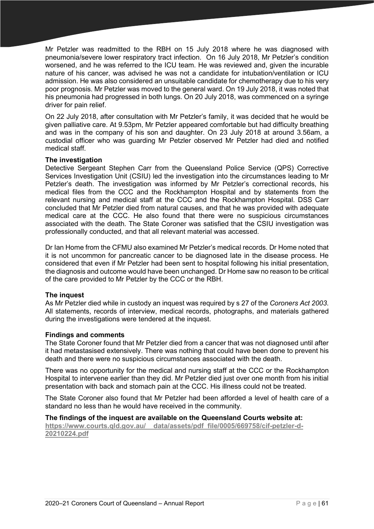Mr Petzler was readmitted to the RBH on 15 July 2018 where he was diagnosed with pneumonia/severe lower respiratory tract infection. On 16 July 2018, Mr Petzler's condition worsened, and he was referred to the ICU team. He was reviewed and, given the incurable nature of his cancer, was advised he was not a candidate for intubation/ventilation or ICU admission. He was also considered an unsuitable candidate for chemotherapy due to his very poor prognosis. Mr Petzler was moved to the general ward. On 19 July 2018, it was noted that his pneumonia had progressed in both lungs. On 20 July 2018, was commenced on a syringe driver for pain relief.

On 22 July 2018, after consultation with Mr Petzler's family, it was decided that he would be given palliative care. At 9.53pm, Mr Petzler appeared comfortable but had difficulty breathing and was in the company of his son and daughter. On 23 July 2018 at around 3.56am, a custodial officer who was guarding Mr Petzler observed Mr Petzler had died and notified medical staff.

# **The investigation**

Detective Sergeant Stephen Carr from the Queensland Police Service (QPS) Corrective Services Investigation Unit (CSIU) led the investigation into the circumstances leading to Mr Petzler's death. The investigation was informed by Mr Petzler's correctional records, his medical files from the CCC and the Rockhampton Hospital and by statements from the relevant nursing and medical staff at the CCC and the Rockhampton Hospital. DSS Carr concluded that Mr Petzler died from natural causes, and that he was provided with adequate medical care at the CCC. He also found that there were no suspicious circumstances associated with the death. The State Coroner was satisfied that the CSIU investigation was professionally conducted, and that all relevant material was accessed.

Dr Ian Home from the CFMU also examined Mr Petzler's medical records. Dr Home noted that it is not uncommon for pancreatic cancer to be diagnosed late in the disease process. He considered that even if Mr Petzler had been sent to hospital following his initial presentation, the diagnosis and outcome would have been unchanged. Dr Home saw no reason to be critical of the care provided to Mr Petzler by the CCC or the RBH.

#### **The inquest**

As Mr Petzler died while in custody an inquest was required by s 27 of the *Coroners Act 2003*. All statements, records of interview, medical records, photographs, and materials gathered during the investigations were tendered at the inquest.

#### **Findings and comments**

The State Coroner found that Mr Petzler died from a cancer that was not diagnosed until after it had metastasised extensively. There was nothing that could have been done to prevent his death and there were no suspicious circumstances associated with the death.

There was no opportunity for the medical and nursing staff at the CCC or the Rockhampton Hospital to intervene earlier than they did. Mr Petzler died just over one month from his initial presentation with back and stomach pain at the CCC. His illness could not be treated.

The State Coroner also found that Mr Petzler had been afforded a level of health care of a standard no less than he would have received in the community.

# **The findings of the inquest are available on the Queensland Courts website at:**

**[https://www.courts.qld.gov.au/\\_\\_data/assets/pdf\\_file/0005/669758/cif-petzler-d-](https://www.courts.qld.gov.au/__data/assets/pdf_file/0005/669758/cif-petzler-d-20210224.pdf)[20210224.pdf](https://www.courts.qld.gov.au/__data/assets/pdf_file/0005/669758/cif-petzler-d-20210224.pdf)**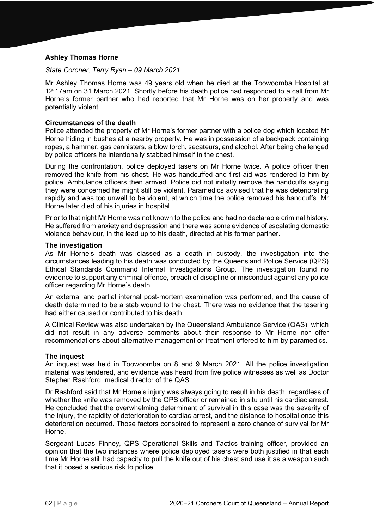# **Ashley Thomas Horne**

## *State Coroner, Terry Ryan – 09 March 2021*

Mr Ashley Thomas Horne was 49 years old when he died at the Toowoomba Hospital at 12:17am on 31 March 2021. Shortly before his death police had responded to a call from Mr Horne's former partner who had reported that Mr Horne was on her property and was potentially violent.

# **Circumstances of the death**

Police attended the property of Mr Horne's former partner with a police dog which located Mr Horne hiding in bushes at a nearby property. He was in possession of a backpack containing ropes, a hammer, gas cannisters, a blow torch, secateurs, and alcohol. After being challenged by police officers he intentionally stabbed himself in the chest.

During the confrontation, police deployed tasers on Mr Horne twice. A police officer then removed the knife from his chest. He was handcuffed and first aid was rendered to him by police. Ambulance officers then arrived. Police did not initially remove the handcuffs saying they were concerned he might still be violent. Paramedics advised that he was deteriorating rapidly and was too unwell to be violent, at which time the police removed his handcuffs. Mr Horne later died of his injuries in hospital.

Prior to that night Mr Horne was not known to the police and had no declarable criminal history. He suffered from anxiety and depression and there was some evidence of escalating domestic violence behaviour, in the lead up to his death, directed at his former partner.

# **The investigation**

As Mr Horne's death was classed as a death in custody, the investigation into the circumstances leading to his death was conducted by the Queensland Police Service (QPS) Ethical Standards Command Internal Investigations Group. The investigation found no evidence to support any criminal offence, breach of discipline or misconduct against any police officer regarding Mr Horne's death.

An external and partial internal post-mortem examination was performed, and the cause of death determined to be a stab wound to the chest. There was no evidence that the tasering had either caused or contributed to his death

A Clinical Review was also undertaken by the Queensland Ambulance Service (QAS), which did not result in any adverse comments about their response to Mr Horne nor offer recommendations about alternative management or treatment offered to him by paramedics.

#### **The inquest**

An inquest was held in Toowoomba on 8 and 9 March 2021. All the police investigation material was tendered, and evidence was heard from five police witnesses as well as Doctor Stephen Rashford, medical director of the QAS.

Dr Rashford said that Mr Horne's injury was always going to result in his death, regardless of whether the knife was removed by the QPS officer or remained in situ until his cardiac arrest. He concluded that the overwhelming determinant of survival in this case was the severity of the injury, the rapidity of deterioration to cardiac arrest, and the distance to hospital once this deterioration occurred. Those factors conspired to represent a zero chance of survival for Mr Horne.

Sergeant Lucas Finney, QPS Operational Skills and Tactics training officer, provided an opinion that the two instances where police deployed tasers were both justified in that each time Mr Horne still had capacity to pull the knife out of his chest and use it as a weapon such that it posed a serious risk to police.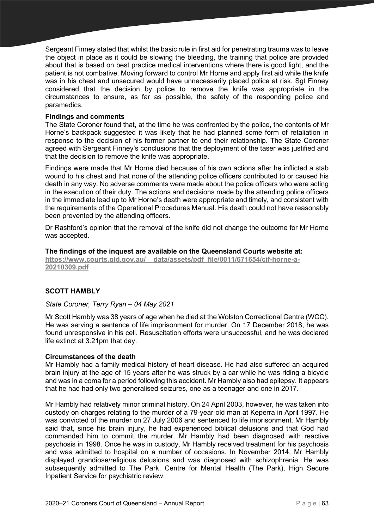Sergeant Finney stated that whilst the basic rule in first aid for penetrating trauma was to leave the object in place as it could be slowing the bleeding, the training that police are provided about that is based on best practice medical interventions where there is good light, and the patient is not combative. Moving forward to control Mr Horne and apply first aid while the knife was in his chest and unsecured would have unnecessarily placed police at risk. Sgt Finney considered that the decision by police to remove the knife was appropriate in the circumstances to ensure, as far as possible, the safety of the responding police and paramedics.

# **Findings and comments**

The State Coroner found that, at the time he was confronted by the police, the contents of Mr Horne's backpack suggested it was likely that he had planned some form of retaliation in response to the decision of his former partner to end their relationship. The State Coroner agreed with Sergeant Finney's conclusions that the deployment of the taser was justified and that the decision to remove the knife was appropriate.

Findings were made that Mr Horne died because of his own actions after he inflicted a stab wound to his chest and that none of the attending police officers contributed to or caused his death in any way. No adverse comments were made about the police officers who were acting in the execution of their duty. The actions and decisions made by the attending police officers in the immediate lead up to Mr Horne's death were appropriate and timely, and consistent with the requirements of the Operational Procedures Manual. His death could not have reasonably been prevented by the attending officers.

Dr Rashford's opinion that the removal of the knife did not change the outcome for Mr Horne was accepted.

#### **The findings of the inquest are available on the Queensland Courts website at:**

**[https://www.courts.qld.gov.au/\\_\\_data/assets/pdf\\_file/0011/671654/cif-horne-a-](https://www.courts.qld.gov.au/__data/assets/pdf_file/0011/671654/cif-horne-a-20210309.pdf)[20210309.pdf](https://www.courts.qld.gov.au/__data/assets/pdf_file/0011/671654/cif-horne-a-20210309.pdf)**

# **SCOTT HAMBLY**

#### *State Coroner, Terry Ryan – 04 May 2021*

Mr Scott Hambly was 38 years of age when he died at the Wolston Correctional Centre (WCC). He was serving a sentence of life imprisonment for murder. On 17 December 2018, he was found unresponsive in his cell. Resuscitation efforts were unsuccessful, and he was declared life extinct at 3.21pm that day.

#### **Circumstances of the death**

Mr Hambly had a family medical history of heart disease. He had also suffered an acquired brain injury at the age of 15 years after he was struck by a car while he was riding a bicycle and was in a coma for a period following this accident. Mr Hambly also had epilepsy. It appears that he had had only two generalised seizures, one as a teenager and one in 2017.

Mr Hambly had relatively minor criminal history. On 24 April 2003, however, he was taken into custody on charges relating to the murder of a 79-year-old man at Keperra in April 1997. He was convicted of the murder on 27 July 2006 and sentenced to life imprisonment. Mr Hambly said that, since his brain injury, he had experienced biblical delusions and that God had commanded him to commit the murder. Mr Hambly had been diagnosed with reactive psychosis in 1998. Once he was in custody, Mr Hambly received treatment for his psychosis and was admitted to hospital on a number of occasions. In November 2014, Mr Hambly displayed grandiose/religious delusions and was diagnosed with schizophrenia. He was subsequently admitted to The Park, Centre for Mental Health (The Park), High Secure Inpatient Service for psychiatric review.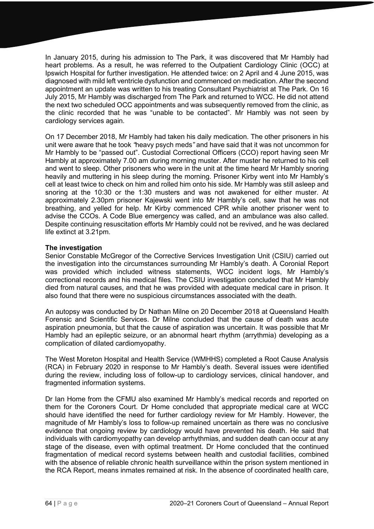In January 2015, during his admission to The Park, it was discovered that Mr Hambly had heart problems. As a result, he was referred to the Outpatient Cardiology Clinic (OCC) at Ipswich Hospital for further investigation. He attended twice: on 2 April and 4 June 2015, was diagnosed with mild left ventricle dysfunction and commenced on medication. After the second appointment an update was written to his treating Consultant Psychiatrist at The Park. On 16 July 2015, Mr Hambly was discharged from The Park and returned to WCC. He did not attend the next two scheduled OCC appointments and was subsequently removed from the clinic, as the clinic recorded that he was "unable to be contacted". Mr Hambly was not seen by cardiology services again.

On 17 December 2018, Mr Hambly had taken his daily medication. The other prisoners in his unit were aware that he took *"*heavy psych meds*"* and have said that it was not uncommon for Mr Hambly to be "passed out". Custodial Correctional Officers (CCO) report having seen Mr Hambly at approximately 7.00 am during morning muster. After muster he returned to his cell and went to sleep. Other prisoners who were in the unit at the time heard Mr Hambly snoring heavily and muttering in his sleep during the morning. Prisoner Kirby went into Mr Hambly's cell at least twice to check on him and rolled him onto his side. Mr Hambly was still asleep and snoring at the 10:30 or the 1:30 musters and was not awakened for either muster. At approximately 2.30pm prisoner Kajewski went into Mr Hambly's cell, saw that he was not breathing, and yelled for help. Mr Kirby commenced CPR while another prisoner went to advise the CCOs. A Code Blue emergency was called, and an ambulance was also called. Despite continuing resuscitation efforts Mr Hambly could not be revived, and he was declared life extinct at 3.21pm.

# **The investigation**

Senior Constable McGregor of the Corrective Services Investigation Unit (CSIU) carried out the investigation into the circumstances surrounding Mr Hambly's death. A Coronial Report was provided which included witness statements, WCC incident logs, Mr Hambly's correctional records and his medical files. The CSIU investigation concluded that Mr Hambly died from natural causes, and that he was provided with adequate medical care in prison. It also found that there were no suspicious circumstances associated with the death.

An autopsy was conducted by Dr Nathan Milne on 20 December 2018 at Queensland Health Forensic and Scientific Services. Dr Milne concluded that the cause of death was acute aspiration pneumonia, but that the cause of aspiration was uncertain. It was possible that Mr Hambly had an epileptic seizure, or an abnormal heart rhythm (arrythmia) developing as a complication of dilated cardiomyopathy.

The West Moreton Hospital and Health Service (WMHHS) completed a Root Cause Analysis (RCA) in February 2020 in response to Mr Hambly's death. Several issues were identified during the review, including loss of follow-up to cardiology services, clinical handover, and fragmented information systems.

Dr Ian Home from the CFMU also examined Mr Hambly's medical records and reported on them for the Coroners Court. Dr Home concluded that appropriate medical care at WCC should have identified the need for further cardiology review for Mr Hambly. However, the magnitude of Mr Hambly's loss to follow-up remained uncertain as there was no conclusive evidence that ongoing review by cardiology would have prevented his death. He said that individuals with cardiomyopathy can develop arrhythmias, and sudden death can occur at any stage of the disease, even with optimal treatment. Dr Home concluded that the continued fragmentation of medical record systems between health and custodial facilities, combined with the absence of reliable chronic health surveillance within the prison system mentioned in the RCA Report, means inmates remained at risk. In the absence of coordinated health care,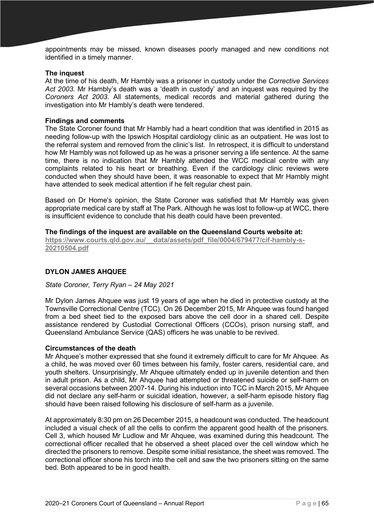appointments may be missed, known diseases poorly managed and new conditions not identified in a timely manner.

#### **The inquest**

At the time of his death, Mr Hambly was a prisoner in custody under the *Corrective Services Act 2003.* Mr Hambly's death was a 'death in custody' and an inquest was required by the *Coroners Act 2003*. All statements, medical records and material gathered during the investigation into Mr Hambly's death were tendered.

## **Findings and comments**

The State Coroner found that Mr Hambly had a heart condition that was identified in 2015 as needing follow-up with the Ipswich Hospital cardiology clinic as an outpatient. He was lost to the referral system and removed from the clinic's list. In retrospect, it is difficult to understand how Mr Hambly was not followed up as he was a prisoner serving a life sentence. At the same time, there is no indication that Mr Hambly attended the WCC medical centre with any complaints related to his heart or breathing. Even if the cardiology clinic reviews were conducted when they should have been, it was reasonable to expect that Mr Hambly might have attended to seek medical attention if he felt regular chest pain.

Based on Dr Home's opinion, the State Coroner was satisfied that Mr Hambly was given appropriate medical care by staff at The Park. Although he was lost to follow-up at WCC, there is insufficient evidence to conclude that his death could have been prevented.

## **The findings of the inquest are available on the Queensland Courts website at:**

**[https://www.courts.qld.gov.au/\\_\\_data/assets/pdf\\_file/0004/679477/cif-hambly-s-](https://www.courts.qld.gov.au/__data/assets/pdf_file/0004/679477/cif-hambly-s-20210504.pdf)[20210504.pdf](https://www.courts.qld.gov.au/__data/assets/pdf_file/0004/679477/cif-hambly-s-20210504.pdf)**

# **DYLON JAMES AHQUEE**

# *State Coroner, Terry Ryan – 24 May 2021*

Mr Dylon James Ahquee was just 19 years of age when he died in protective custody at the Townsville Correctional Centre (TCC). On 26 December 2015, Mr Ahquee was found hanged from a bed sheet tied to the exposed bars above the cell door in a shared cell. Despite assistance rendered by Custodial Correctional Officers (CCOs), prison nursing staff, and Queensland Ambulance Service (QAS) officers he was unable to be revived.

#### **Circumstances of the death**

Mr Ahquee's mother expressed that she found it extremely difficult to care for Mr Ahquee. As a child, he was moved over 60 times between his family, foster carers, residential care, and youth shelters. Unsurprisingly, Mr Ahquee ultimately ended up in juvenile detention and then in adult prison. As a child, Mr Ahquee had attempted or threatened suicide or self-harm on several occasions between 2007-14. During his induction into TCC in March 2015, Mr Ahquee did not declare any self-harm or suicidal ideation, however, a self-harm episode history flag should have been raised following his disclosure of self-harm as a juvenile.

At approximately 8:30 pm on 26 December 2015, a headcount was conducted. The headcount included a visual check of all the cells to confirm the apparent good health of the prisoners. Cell 3, which housed Mr Ludlow and Mr Ahquee, was examined during this headcount. The correctional officer recalled that he observed a sheet placed over the cell window which he directed the prisoners to remove. Despite some initial resistance, the sheet was removed. The correctional officer shone his torch into the cell and saw the two prisoners sitting on the same bed. Both appeared to be in good health.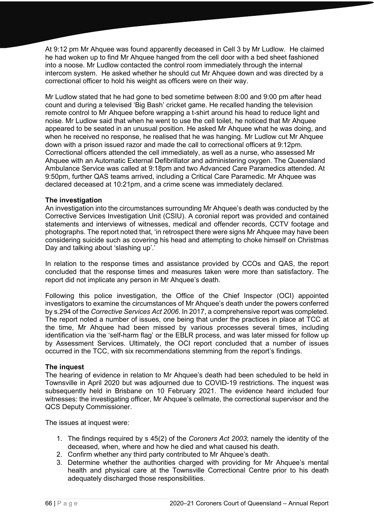At 9:12 pm Mr Ahquee was found apparently deceased in Cell 3 by Mr Ludlow. He claimed he had woken up to find Mr Ahquee hanged from the cell door with a bed sheet fashioned into a noose. Mr Ludlow contacted the control room immediately through the internal intercom system. He asked whether he should cut Mr Ahquee down and was directed by a correctional officer to hold his weight as officers were on their way.

Mr Ludlow stated that he had gone to bed sometime between 8:00 and 9:00 pm after head count and during a televised 'Big Bash' cricket game. He recalled handing the television remote control to Mr Ahquee before wrapping a t-shirt around his head to reduce light and noise. Mr Ludlow said that when he went to use the cell toilet, he noticed that Mr Ahquee appeared to be seated in an unusual position. He asked Mr Ahquee what he was doing, and when he received no response, he realised that he was hanging. Mr Ludlow cut Mr Ahquee down with a prison issued razor and made the call to correctional officers at 9:12pm. Correctional officers attended the cell immediately, as well as a nurse, who assessed Mr Ahquee with an Automatic External Defibrillator and administering oxygen. The Queensland Ambulance Service was called at 9:18pm and two Advanced Care Paramedics attended. At 9:50pm, further QAS teams arrived, including a Critical Care Paramedic. Mr Ahquee was declared deceased at 10:21pm, and a crime scene was immediately declared.

# **The investigation**

An investigation into the circumstances surrounding Mr Ahquee's death was conducted by the Corrective Services Investigation Unit (CSIU). A coronial report was provided and contained statements and interviews of witnesses, medical and offender records, CCTV footage and photographs. The report noted that, 'in retrospect there were signs Mr Ahquee may have been considering suicide such as covering his head and attempting to choke himself on Christmas Day and talking about 'slashing up'.'

In relation to the response times and assistance provided by CCOs and QAS, the report concluded that the response times and measures taken were more than satisfactory. The report did not implicate any person in Mr Ahquee's death.

Following this police investigation, the Office of the Chief Inspector (OCI) appointed investigators to examine the circumstances of Mr Ahquee's death under the powers conferred by s.294 of the *Corrective Services Act 2006*. In 2017, a comprehensive report was completed. The report noted a number of issues, one being that under the practices in place at TCC at the time, Mr Ahquee had been missed by various processes several times, including identification via the 'self-harm flag' or the EBLR process, and was later missed for follow up by Assessment Services. Ultimately, the OCI report concluded that a number of issues occurred in the TCC, with six recommendations stemming from the report's findings.

#### **The inquest**

The hearing of evidence in relation to Mr Ahquee's death had been scheduled to be held in Townsville in April 2020 but was adjourned due to COVID-19 restrictions. The inquest was subsequently held in Brisbane on 10 February 2021. The evidence heard included four witnesses: the investigating officer, Mr Ahquee's cellmate, the correctional supervisor and the QCS Deputy Commissioner.

The issues at inquest were:

- 1. The findings required by s 45(2) of the *Coroners Act 2003*; namely the identity of the deceased, when, where and how he died and what caused his death.
- 2. Confirm whether any third party contributed to Mr Ahquee's death.
- 3. Determine whether the authorities charged with providing for Mr Ahquee's mental health and physical care at the Townsville Correctional Centre prior to his death adequately discharged those responsibilities.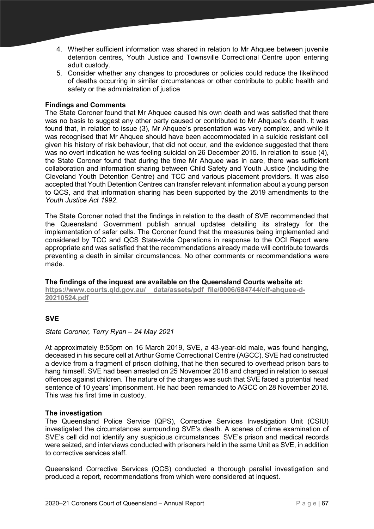- 4. Whether sufficient information was shared in relation to Mr Ahquee between juvenile detention centres, Youth Justice and Townsville Correctional Centre upon entering adult custody.
- 5. Consider whether any changes to procedures or policies could reduce the likelihood of deaths occurring in similar circumstances or other contribute to public health and safety or the administration of justice

# **Findings and Comments**

The State Coroner found that Mr Ahquee caused his own death and was satisfied that there was no basis to suggest any other party caused or contributed to Mr Ahquee's death. It was found that, in relation to issue (3), Mr Ahquee's presentation was very complex, and while it was recognised that Mr Ahquee should have been accommodated in a suicide resistant cell given his history of risk behaviour, that did not occur, and the evidence suggested that there was no overt indication he was feeling suicidal on 26 December 2015. In relation to issue (4), the State Coroner found that during the time Mr Ahquee was in care, there was sufficient collaboration and information sharing between Child Safety and Youth Justice (including the Cleveland Youth Detention Centre) and TCC and various placement providers. It was also accepted that Youth Detention Centres can transfer relevant information about a young person to QCS, and that information sharing has been supported by the 2019 amendments to the *Youth Justice Act 1992*.

The State Coroner noted that the findings in relation to the death of SVE recommended that the Queensland Government publish annual updates detailing its strategy for the implementation of safer cells. The Coroner found that the measures being implemented and considered by TCC and QCS State-wide Operations in response to the OCI Report were appropriate and was satisfied that the recommendations already made will contribute towards preventing a death in similar circumstances. No other comments or recommendations were made.

**The findings of the inquest are available on the Queensland Courts website at:** https://www.courts.gld.gov.au/ data/assets/pdf file/0006/684744/cif-ahquee-d-**[20210524.pdf](https://www.courts.qld.gov.au/__data/assets/pdf_file/0006/684744/cif-ahquee-d-20210524.pdf)**

# **SVE**

# *State Coroner, Terry Ryan – 24 May 2021*

At approximately 8:55pm on 16 March 2019, SVE, a 43-year-old male, was found hanging, deceased in his secure cell at Arthur Gorrie Correctional Centre (AGCC). SVE had constructed a device from a fragment of prison clothing, that he then secured to overhead prison bars to hang himself. SVE had been arrested on 25 November 2018 and charged in relation to sexual offences against children. The nature of the charges was such that SVE faced a potential head sentence of 10 years' imprisonment. He had been remanded to AGCC on 28 November 2018. This was his first time in custody.

# **The investigation**

The Queensland Police Service (QPS), Corrective Services Investigation Unit (CSIU) investigated the circumstances surrounding SVE's death. A scenes of crime examination of SVE's cell did not identify any suspicious circumstances. SVE's prison and medical records were seized, and interviews conducted with prisoners held in the same Unit as SVE, in addition to corrective services staff.

Queensland Corrective Services (QCS) conducted a thorough parallel investigation and produced a report, recommendations from which were considered at inquest.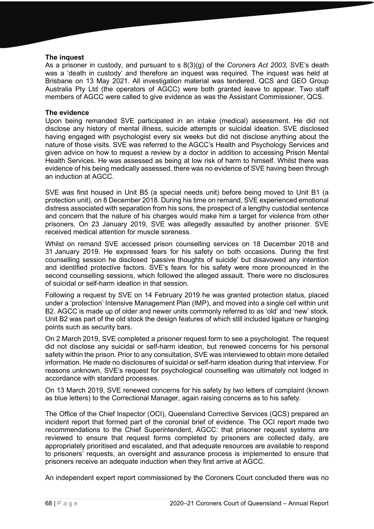## **The inquest**

As a prisoner in custody, and pursuant to s 8(3)(g) of the *Coroners Act 2003*, SVE's death was a 'death in custody' and therefore an inquest was required. The inquest was held at Brisbane on 13 May 2021. All investigation material was tendered. QCS and GEO Group Australia Pty Ltd (the operators of AGCC) were both granted leave to appear. Two staff members of AGCC were called to give evidence as was the Assistant Commissioner, QCS.

#### **The evidence**

Upon being remanded SVE participated in an intake (medical) assessment. He did not disclose any history of mental illness, suicide attempts or suicidal ideation. SVE disclosed having engaged with psychologist every six weeks but did not disclose anything about the nature of those visits. SVE was referred to the AGCC's Health and Psychology Services and given advice on how to request a review by a doctor in addition to accessing Prison Mental Health Services. He was assessed as being at low risk of harm to himself. Whilst there was evidence of his being medically assessed, there was no evidence of SVE having been through an induction at AGCC.

SVE was first housed in Unit B5 (a special needs unit) before being moved to Unit B1 (a protection unit), on 8 December 2018. During his time on remand, SVE experienced emotional distress associated with separation from his sons, the prospect of a lengthy custodial sentence and concern that the nature of his charges would make him a target for violence from other prisoners. On 23 January 2019, SVE was allegedly assaulted by another prisoner. SVE received medical attention for muscle soreness.

Whilst on remand SVE accessed prison counselling services on 18 December 2018 and 31 January 2019. He expressed fears for his safety on both occasions. During the first counselling session he disclosed 'passive thoughts of suicide' but disavowed any intention and identified protective factors. SVE's fears for his safety were more pronounced in the second counselling sessions, which followed the alleged assault. There were no disclosures of suicidal or self-harm ideation in that session.

Following a request by SVE on 14 February 2019 he was granted protection status, placed under a 'protection' Intensive Management Plan (IMP), and moved into a single cell within unit B2. AGCC is made up of older and newer units commonly referred to as 'old' and 'new' stock. Unit B2 was part of the old stock the design features of which still included ligature or hanging points such as security bars.

On 2 March 2019, SVE completed a prisoner request form to see a psychologist. The request did not disclose any suicidal or self-harm ideation, but renewed concerns for his personal safety within the prison. Prior to any consultation, SVE was interviewed to obtain more detailed information. He made no disclosures of suicidal or self-harm ideation during that interview. For reasons unknown, SVE's request for psychological counselling was ultimately not lodged in accordance with standard processes.

On 13 March 2019, SVE renewed concerns for his safety by two letters of complaint (known as blue letters) to the Correctional Manager, again raising concerns as to his safety.

The Office of the Chief Inspector (OCI), Queensland Corrective Services (QCS) prepared an incident report that formed part of the coronial brief of evidence. The OCI report made two recommendations to the Chief Superintendent, AGCC: that prisoner request systems are reviewed to ensure that request forms completed by prisoners are collected daily, are appropriately prioritised and escalated, and that adequate resources are available to respond to prisoners' requests, an oversight and assurance process is implemented to ensure that prisoners receive an adequate induction when they first arrive at AGCC.

An independent expert report commissioned by the Coroners Court concluded there was no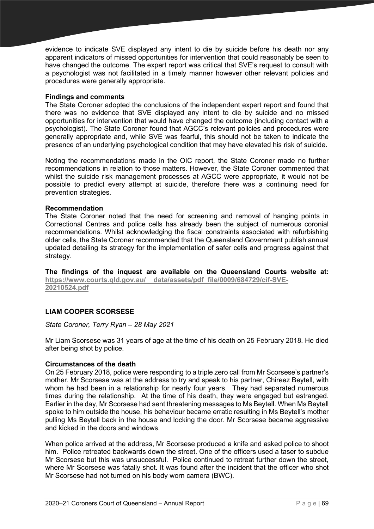evidence to indicate SVE displayed any intent to die by suicide before his death nor any apparent indicators of missed opportunities for intervention that could reasonably be seen to have changed the outcome. The expert report was critical that SVE's request to consult with a psychologist was not facilitated in a timely manner however other relevant policies and procedures were generally appropriate.

# **Findings and comments**

The State Coroner adopted the conclusions of the independent expert report and found that there was no evidence that SVE displayed any intent to die by suicide and no missed opportunities for intervention that would have changed the outcome (including contact with a psychologist). The State Coroner found that AGCC's relevant policies and procedures were generally appropriate and, while SVE was fearful, this should not be taken to indicate the presence of an underlying psychological condition that may have elevated his risk of suicide.

Noting the recommendations made in the OIC report, the State Coroner made no further recommendations in relation to those matters. However, the State Coroner commented that whilst the suicide risk management processes at AGCC were appropriate, it would not be possible to predict every attempt at suicide, therefore there was a continuing need for prevention strategies.

# **Recommendation**

The State Coroner noted that the need for screening and removal of hanging points in Correctional Centres and police cells has already been the subject of numerous coronial recommendations. Whilst acknowledging the fiscal constraints associated with refurbishing older cells, the State Coroner recommended that the Queensland Government publish annual updated detailing its strategy for the implementation of safer cells and progress against that strategy.

**The findings of the inquest are available on the Queensland Courts website at: [https://www.courts.qld.gov.au/\\_\\_data/assets/pdf\\_file/0009/684729/cif-SVE-](https://www.courts.qld.gov.au/__data/assets/pdf_file/0009/684729/cif-SVE-20210524.pdf)[20210524.pdf](https://www.courts.qld.gov.au/__data/assets/pdf_file/0009/684729/cif-SVE-20210524.pdf)**

# **LIAM COOPER SCORSESE**

#### *State Coroner, Terry Ryan – 28 May 2021*

Mr Liam Scorsese was 31 years of age at the time of his death on 25 February 2018. He died after being shot by police.

#### **Circumstances of the death**

On 25 February 2018, police were responding to a triple zero call from Mr Scorsese's partner's mother. Mr Scorsese was at the address to try and speak to his partner, Chireez Beytell, with whom he had been in a relationship for nearly four years. They had separated numerous times during the relationship. At the time of his death, they were engaged but estranged. Earlier in the day, Mr Scorsese had sent threatening messages to Ms Beytell. When Ms Beytell spoke to him outside the house, his behaviour became erratic resulting in Ms Beytell's mother pulling Ms Beytell back in the house and locking the door. Mr Scorsese became aggressive and kicked in the doors and windows.

When police arrived at the address, Mr Scorsese produced a knife and asked police to shoot him. Police retreated backwards down the street. One of the officers used a taser to subdue Mr Scorsese but this was unsuccessful. Police continued to retreat further down the street, where Mr Scorsese was fatally shot. It was found after the incident that the officer who shot Mr Scorsese had not turned on his body worn camera (BWC).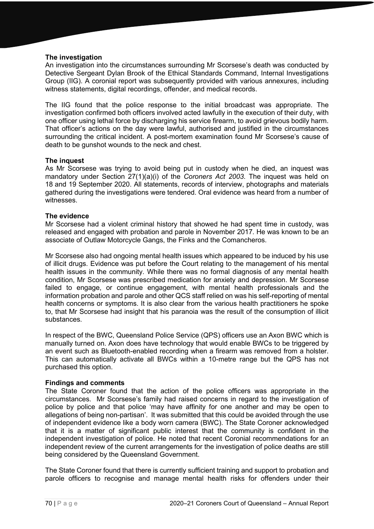# **The investigation**

An investigation into the circumstances surrounding Mr Scorsese's death was conducted by Detective Sergeant Dylan Brook of the Ethical Standards Command, Internal Investigations Group (IIG). A coronial report was subsequently provided with various annexures, including witness statements, digital recordings, offender, and medical records.

The IIG found that the police response to the initial broadcast was appropriate. The investigation confirmed both officers involved acted lawfully in the execution of their duty, with one officer using lethal force by discharging his service firearm, to avoid grievous bodily harm. That officer's actions on the day were lawful, authorised and justified in the circumstances surrounding the critical incident. A post-mortem examination found Mr Scorsese's cause of death to be gunshot wounds to the neck and chest.

# **The inquest**

As Mr Scorsese was trying to avoid being put in custody when he died, an inquest was mandatory under Section 27(1)(a)(i) of the *Coroners Act 2003*. The inquest was held on 18 and 19 September 2020. All statements, records of interview, photographs and materials gathered during the investigations were tendered. Oral evidence was heard from a number of witnesses.

# **The evidence**

Mr Scorsese had a violent criminal history that showed he had spent time in custody, was released and engaged with probation and parole in November 2017. He was known to be an associate of Outlaw Motorcycle Gangs, the Finks and the Comancheros.

Mr Scorsese also had ongoing mental health issues which appeared to be induced by his use of illicit drugs. Evidence was put before the Court relating to the management of his mental health issues in the community. While there was no formal diagnosis of any mental health condition, Mr Scorsese was prescribed medication for anxiety and depression. Mr Scorsese failed to engage, or continue engagement, with mental health professionals and the information probation and parole and other QCS staff relied on was his self-reporting of mental health concerns or symptoms. It is also clear from the various health practitioners he spoke to, that Mr Scorsese had insight that his paranoia was the result of the consumption of illicit substances.

In respect of the BWC, Queensland Police Service (QPS) officers use an Axon BWC which is manually turned on. Axon does have technology that would enable BWCs to be triggered by an event such as Bluetooth-enabled recording when a firearm was removed from a holster. This can automatically activate all BWCs within a 10-metre range but the QPS has not purchased this option.

#### **Findings and comments**

The State Coroner found that the action of the police officers was appropriate in the circumstances. Mr Scorsese's family had raised concerns in regard to the investigation of police by police and that police 'may have affinity for one another and may be open to allegations of being non-partisan'. It was submitted that this could be avoided through the use of independent evidence like a body worn camera (BWC). The State Coroner acknowledged that it is a matter of significant public interest that the community is confident in the independent investigation of police. He noted that recent Coronial recommendations for an independent review of the current arrangements for the investigation of police deaths are still being considered by the Queensland Government.

The State Coroner found that there is currently sufficient training and support to probation and parole officers to recognise and manage mental health risks for offenders under their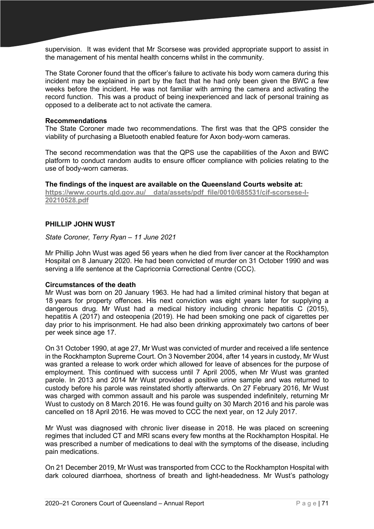supervision. It was evident that Mr Scorsese was provided appropriate support to assist in the management of his mental health concerns whilst in the community.

The State Coroner found that the officer's failure to activate his body worn camera during this incident may be explained in part by the fact that he had only been given the BWC a few weeks before the incident. He was not familiar with arming the camera and activating the record function. This was a product of being inexperienced and lack of personal training as opposed to a deliberate act to not activate the camera.

#### **Recommendations**

The State Coroner made two recommendations. The first was that the QPS consider the viability of purchasing a Bluetooth enabled feature for Axon body-worn cameras.

The second recommendation was that the QPS use the capabilities of the Axon and BWC platform to conduct random audits to ensure officer compliance with policies relating to the use of body-worn cameras.

**The findings of the inquest are available on the Queensland Courts website at: [https://www.courts.qld.gov.au/\\_\\_data/assets/pdf\\_file/0010/685531/cif-scorsese-l-](https://www.courts.qld.gov.au/__data/assets/pdf_file/0010/685531/cif-scorsese-l-20210528.pdf)[20210528.pdf](https://www.courts.qld.gov.au/__data/assets/pdf_file/0010/685531/cif-scorsese-l-20210528.pdf)**

# **PHILLIP JOHN WUST**

*State Coroner, Terry Ryan – 11 June 2021*

Mr Phillip John Wust was aged 56 years when he died from liver cancer at the Rockhampton Hospital on 8 January 2020. He had been convicted of murder on 31 October 1990 and was serving a life sentence at the Capricornia Correctional Centre (CCC).

# **Circumstances of the death**

Mr Wust was born on 20 January 1963. He had had a limited criminal history that began at 18 years for property offences. His next conviction was eight years later for supplying a dangerous drug. Mr Wust had a medical history including chronic hepatitis C (2015), hepatitis A (2017) and osteopenia (2019). He had been smoking one pack of cigarettes per day prior to his imprisonment. He had also been drinking approximately two cartons of beer per week since age 17.

On 31 October 1990, at age 27, Mr Wust was convicted of murder and received a life sentence in the Rockhampton Supreme Court. On 3 November 2004, after 14 years in custody, Mr Wust was granted a release to work order which allowed for leave of absences for the purpose of employment. This continued with success until 7 April 2005, when Mr Wust was granted parole. In 2013 and 2014 Mr Wust provided a positive urine sample and was returned to custody before his parole was reinstated shortly afterwards. On 27 February 2016, Mr Wust was charged with common assault and his parole was suspended indefinitely, returning Mr Wust to custody on 8 March 2016. He was found guilty on 30 March 2016 and his parole was cancelled on 18 April 2016. He was moved to CCC the next year, on 12 July 2017.

Mr Wust was diagnosed with chronic liver disease in 2018. He was placed on screening regimes that included CT and MRI scans every few months at the Rockhampton Hospital. He was prescribed a number of medications to deal with the symptoms of the disease, including pain medications.

On 21 December 2019, Mr Wust was transported from CCC to the Rockhampton Hospital with dark coloured diarrhoea, shortness of breath and light-headedness. Mr Wust's pathology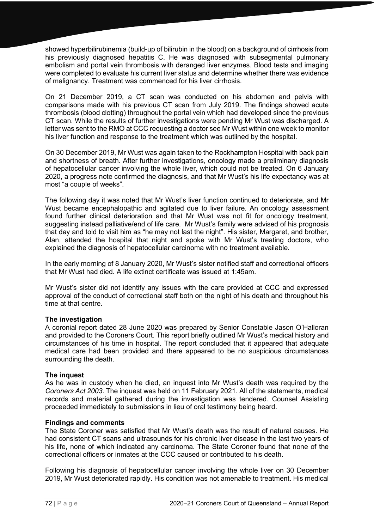showed hyperbilirubinemia (build-up of bilirubin in the blood) on a background of cirrhosis from his previously diagnosed hepatitis C. He was diagnosed with subsegmental pulmonary embolism and portal vein thrombosis with deranged liver enzymes. Blood tests and imaging were completed to evaluate his current liver status and determine whether there was evidence of malignancy. Treatment was commenced for his liver cirrhosis.

On 21 December 2019, a CT scan was conducted on his abdomen and pelvis with comparisons made with his previous CT scan from July 2019. The findings showed acute thrombosis (blood clotting) throughout the portal vein which had developed since the previous CT scan. While the results of further investigations were pending Mr Wust was discharged. A letter was sent to the RMO at CCC requesting a doctor see Mr Wust within one week to monitor his liver function and response to the treatment which was outlined by the hospital.

On 30 December 2019, Mr Wust was again taken to the Rockhampton Hospital with back pain and shortness of breath. After further investigations, oncology made a preliminary diagnosis of hepatocellular cancer involving the whole liver, which could not be treated. On 6 January 2020, a progress note confirmed the diagnosis, and that Mr Wust's his life expectancy was at most "a couple of weeks".

The following day it was noted that Mr Wust's liver function continued to deteriorate, and Mr Wust became encephalopathic and agitated due to liver failure. An oncology assessment found further clinical deterioration and that Mr Wust was not fit for oncology treatment, suggesting instead palliative/end of life care. Mr Wust's family were advised of his prognosis that day and told to visit him as "he may not last the night". His sister, Margaret, and brother, Alan, attended the hospital that night and spoke with Mr Wust's treating doctors, who explained the diagnosis of hepatocellular carcinoma with no treatment available.

In the early morning of 8 January 2020, Mr Wust's sister notified staff and correctional officers that Mr Wust had died. A life extinct certificate was issued at 1:45am.

Mr Wust's sister did not identify any issues with the care provided at CCC and expressed approval of the conduct of correctional staff both on the night of his death and throughout his time at that centre.

#### **The investigation**

A coronial report dated 28 June 2020 was prepared by Senior Constable Jason O'Halloran and provided to the Coroners Court. This report briefly outlined Mr Wust's medical history and circumstances of his time in hospital. The report concluded that it appeared that adequate medical care had been provided and there appeared to be no suspicious circumstances surrounding the death.

#### **The inquest**

As he was in custody when he died, an inquest into Mr Wust's death was required by the *Coroners Act 2003*. The inquest was held on 11 February 2021. All of the statements, medical records and material gathered during the investigation was tendered. Counsel Assisting proceeded immediately to submissions in lieu of oral testimony being heard.

#### **Findings and comments**

The State Coroner was satisfied that Mr Wust's death was the result of natural causes. He had consistent CT scans and ultrasounds for his chronic liver disease in the last two years of his life, none of which indicated any carcinoma. The State Coroner found that none of the correctional officers or inmates at the CCC caused or contributed to his death.

Following his diagnosis of hepatocellular cancer involving the whole liver on 30 December 2019, Mr Wust deteriorated rapidly. His condition was not amenable to treatment. His medical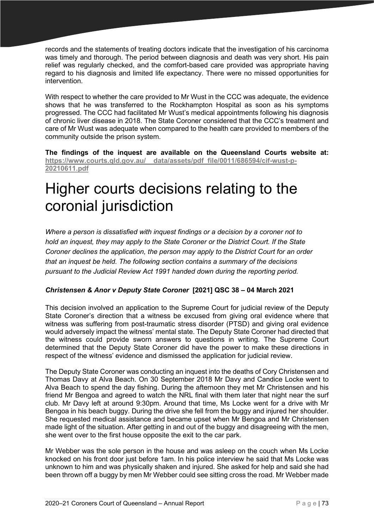records and the statements of treating doctors indicate that the investigation of his carcinoma was timely and thorough. The period between diagnosis and death was very short. His pain relief was regularly checked, and the comfort-based care provided was appropriate having regard to his diagnosis and limited life expectancy. There were no missed opportunities for intervention.

With respect to whether the care provided to Mr Wust in the CCC was adequate, the evidence shows that he was transferred to the Rockhampton Hospital as soon as his symptoms progressed. The CCC had facilitated Mr Wust's medical appointments following his diagnosis of chronic liver disease in 2018. The State Coroner considered that the CCC's treatment and care of Mr Wust was adequate when compared to the health care provided to members of the community outside the prison system.

**The findings of the inquest are available on the Queensland Courts website at: [https://www.courts.qld.gov.au/\\_\\_data/assets/pdf\\_file/0011/686594/cif-wust-p-](https://www.courts.qld.gov.au/__data/assets/pdf_file/0011/686594/cif-wust-p-20210611.pdf)[20210611.pdf](https://www.courts.qld.gov.au/__data/assets/pdf_file/0011/686594/cif-wust-p-20210611.pdf)**

## Higher courts decisions relating to the coronial jurisdiction

*Where a person is dissatisfied with inquest findings or a decision by a coroner not to hold an inquest, they may apply to the State Coroner or the District Court. If the State Coroner declines the application, the person may apply to the District Court for an order that an inquest be held. The following section contains a summary of the decisions pursuant to the Judicial Review Act 1991 handed down during the reporting period.*

## *Christensen & Anor v Deputy State Coroner* **[2021] QSC 38 – 04 March 2021**

This decision involved an application to the Supreme Court for judicial review of the Deputy State Coroner's direction that a witness be excused from giving oral evidence where that witness was suffering from post-traumatic stress disorder (PTSD) and giving oral evidence would adversely impact the witness' mental state. The Deputy State Coroner had directed that the witness could provide sworn answers to questions in writing. The Supreme Court determined that the Deputy State Coroner did have the power to make these directions in respect of the witness' evidence and dismissed the application for judicial review.

The Deputy State Coroner was conducting an inquest into the deaths of Cory Christensen and Thomas Davy at Alva Beach. On 30 September 2018 Mr Davy and Candice Locke went to Alva Beach to spend the day fishing. During the afternoon they met Mr Christensen and his friend Mr Bengoa and agreed to watch the NRL final with them later that night near the surf club. Mr Davy left at around 9:30pm. Around that time, Ms Locke went for a drive with Mr Bengoa in his beach buggy. During the drive she fell from the buggy and injured her shoulder. She requested medical assistance and became upset when Mr Bengoa and Mr Christensen made light of the situation. After getting in and out of the buggy and disagreeing with the men, she went over to the first house opposite the exit to the car park.

Mr Webber was the sole person in the house and was asleep on the couch when Ms Locke knocked on his front door just before 1am. In his police interview he said that Ms Locke was unknown to him and was physically shaken and injured. She asked for help and said she had been thrown off a buggy by men Mr Webber could see sitting cross the road. Mr Webber made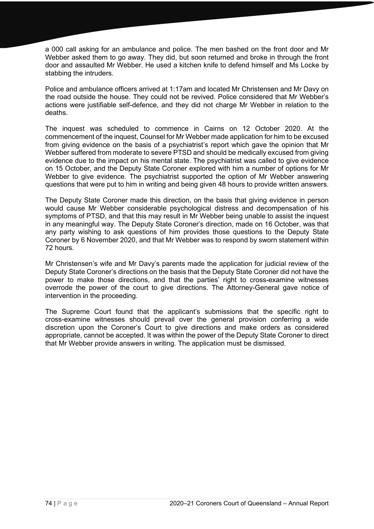a 000 call asking for an ambulance and police. The men bashed on the front door and Mr Webber asked them to go away. They did, but soon returned and broke in through the front door and assaulted Mr Webber. He used a kitchen knife to defend himself and Ms Locke by stabbing the intruders.

Police and ambulance officers arrived at 1:17am and located Mr Christensen and Mr Davy on the road outside the house. They could not be revived. Police considered that Mr Webber's actions were justifiable self-defence, and they did not charge Mr Webber in relation to the deaths.

The inquest was scheduled to commence in Cairns on 12 October 2020. At the commencement of the inquest, Counsel for Mr Webber made application for him to be excused from giving evidence on the basis of a psychiatrist's report which gave the opinion that Mr Webber suffered from moderate to severe PTSD and should be medically excused from giving evidence due to the impact on his mental state. The psychiatrist was called to give evidence on 15 October, and the Deputy State Coroner explored with him a number of options for Mr Webber to give evidence. The psychiatrist supported the option of Mr Webber answering questions that were put to him in writing and being given 48 hours to provide written answers.

The Deputy State Coroner made this direction, on the basis that giving evidence in person would cause Mr Webber considerable psychological distress and decompensation of his symptoms of PTSD, and that this may result in Mr Webber being unable to assist the inquest in any meaningful way. The Deputy State Coroner's direction, made on 16 October, was that any party wishing to ask questions of him provides those questions to the Deputy State Coroner by 6 November 2020, and that Mr Webber was to respond by sworn statement within 72 hours.

Mr Christensen's wife and Mr Davy's parents made the application for judicial review of the Deputy State Coroner's directions on the basis that the Deputy State Coroner did not have the power to make those directions, and that the parties' right to cross-examine witnesses overrode the power of the court to give directions. The Attorney-General gave notice of intervention in the proceeding.

The Supreme Court found that the applicant's submissions that the specific right to cross-examine witnesses should prevail over the general provision conferring a wide discretion upon the Coroner's Court to give directions and make orders as considered appropriate, cannot be accepted. It was within the power of the Deputy State Coroner to direct that Mr Webber provide answers in writing. The application must be dismissed.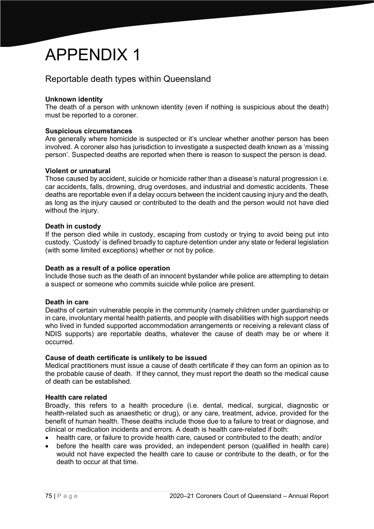# APPENDIX 1

## Reportable death types within Queensland

## **Unknown identity**

The death of a person with unknown identity (even if nothing is suspicious about the death) must be reported to a coroner.

## **Suspicious circumstances**

Are generally where homicide is suspected or it's unclear whether another person has been involved. A coroner also has jurisdiction to investigate a suspected death known as a 'missing person'. Suspected deaths are reported when there is reason to suspect the person is dead.

## **Violent or unnatural**

Those caused by accident, suicide or homicide rather than a disease's natural progression i.e. car accidents, falls, drowning, drug overdoses, and industrial and domestic accidents. These deaths are reportable even if a delay occurs between the incident causing injury and the death, as long as the injury caused or contributed to the death and the person would not have died without the injury.

## **Death in custody**

If the person died while in custody, escaping from custody or trying to avoid being put into custody. 'Custody' is defined broadly to capture detention under any state or federal legislation (with some limited exceptions) whether or not by police.

#### **Death as a result of a police operation**

Include those such as the death of an innocent bystander while police are attempting to detain a suspect or someone who commits suicide while police are present.

## **Death in care**

Deaths of certain vulnerable people in the community (namely children under guardianship or in care, involuntary mental health patients, and people with disabilities with high support needs who lived in funded supported accommodation arrangements or receiving a relevant class of NDIS supports) are reportable deaths, whatever the cause of death may be or where it occurred.

#### **Cause of death certificate is unlikely to be issued**

Medical practitioners must issue a cause of death certificate if they can form an opinion as to the probable cause of death. If they cannot, they must report the death so the medical cause of death can be established.

#### **Health care related**

Broadly, this refers to a health procedure (i.e. dental, medical, surgical, diagnostic or health-related such as anaesthetic or drug), or any care, treatment, advice, provided for the benefit of human health. These deaths include those due to a failure to treat or diagnose, and clinical or medication incidents and errors. A death is health care-related if both:

- health care, or failure to provide health care, caused or contributed to the death; and/or
- before the health care was provided, an independent person (qualified in health care) would not have expected the health care to cause or contribute to the death, or for the death to occur at that time.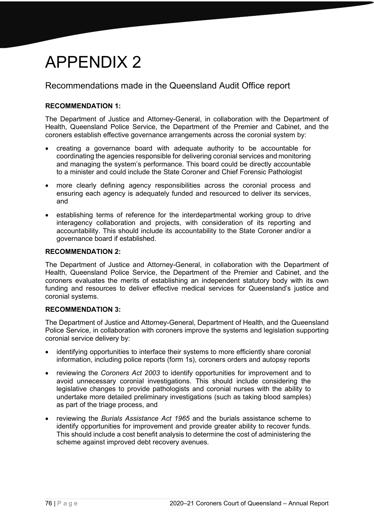# APPENDIX 2

## Recommendations made in the Queensland Audit Office report

## **RECOMMENDATION 1:**

The Department of Justice and Attorney-General, in collaboration with the Department of Health, Queensland Police Service, the Department of the Premier and Cabinet, and the coroners establish effective governance arrangements across the coronial system by:

- creating a governance board with adequate authority to be accountable for coordinating the agencies responsible for delivering coronial services and monitoring and managing the system's performance. This board could be directly accountable to a minister and could include the State Coroner and Chief Forensic Pathologist
- more clearly defining agency responsibilities across the coronial process and ensuring each agency is adequately funded and resourced to deliver its services, and
- establishing terms of reference for the interdepartmental working group to drive interagency collaboration and projects, with consideration of its reporting and accountability. This should include its accountability to the State Coroner and/or a governance board if established.

## **RECOMMENDATION 2:**

The Department of Justice and Attorney-General, in collaboration with the Department of Health, Queensland Police Service, the Department of the Premier and Cabinet, and the coroners evaluates the merits of establishing an independent statutory body with its own funding and resources to deliver effective medical services for Queensland's justice and coronial systems.

## **RECOMMENDATION 3:**

The Department of Justice and Attorney-General, Department of Health, and the Queensland Police Service, in collaboration with coroners improve the systems and legislation supporting coronial service delivery by:

- identifying opportunities to interface their systems to more efficiently share coronial information, including police reports (form 1s), coroners orders and autopsy reports
- reviewing the *Coroners Act 2003* to identify opportunities for improvement and to avoid unnecessary coronial investigations. This should include considering the legislative changes to provide pathologists and coronial nurses with the ability to undertake more detailed preliminary investigations (such as taking blood samples) as part of the triage process, and
- reviewing the *Burials Assistance Act 1965* and the burials assistance scheme to identify opportunities for improvement and provide greater ability to recover funds. This should include a cost benefit analysis to determine the cost of administering the scheme against improved debt recovery avenues.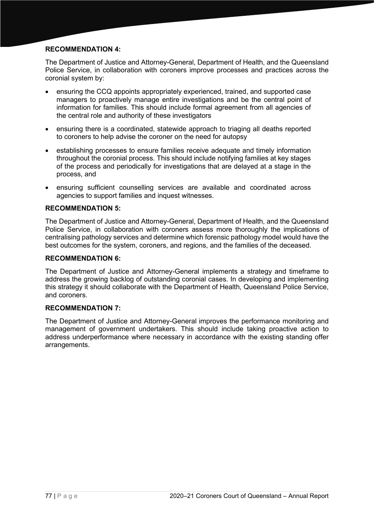## **RECOMMENDATION 4:**

The Department of Justice and Attorney-General, Department of Health, and the Queensland Police Service, in collaboration with coroners improve processes and practices across the coronial system by:

- ensuring the CCQ appoints appropriately experienced, trained, and supported case managers to proactively manage entire investigations and be the central point of information for families. This should include formal agreement from all agencies of the central role and authority of these investigators
- ensuring there is a coordinated, statewide approach to triaging all deaths reported to coroners to help advise the coroner on the need for autopsy
- establishing processes to ensure families receive adequate and timely information throughout the coronial process. This should include notifying families at key stages of the process and periodically for investigations that are delayed at a stage in the process, and
- ensuring sufficient counselling services are available and coordinated across agencies to support families and inquest witnesses.

## **RECOMMENDATION 5:**

The Department of Justice and Attorney-General, Department of Health, and the Queensland Police Service, in collaboration with coroners assess more thoroughly the implications of centralising pathology services and determine which forensic pathology model would have the best outcomes for the system, coroners, and regions, and the families of the deceased.

### **RECOMMENDATION 6:**

The Department of Justice and Attorney-General implements a strategy and timeframe to address the growing backlog of outstanding coronial cases. In developing and implementing this strategy it should collaborate with the Department of Health, Queensland Police Service, and coroners.

## **RECOMMENDATION 7:**

The Department of Justice and Attorney-General improves the performance monitoring and management of government undertakers. This should include taking proactive action to address underperformance where necessary in accordance with the existing standing offer arrangements.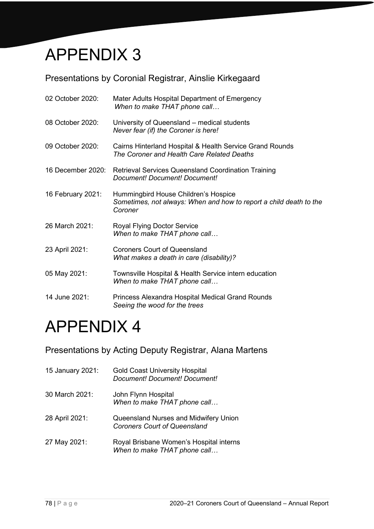

## Presentations by Coronial Registrar, Ainslie Kirkegaard

| 02 October 2020:  | Mater Adults Hospital Department of Emergency<br>When to make THAT phone call                                         |
|-------------------|-----------------------------------------------------------------------------------------------------------------------|
| 08 October 2020:  | University of Queensland – medical students<br>Never fear (if) the Coroner is here!                                   |
| 09 October 2020:  | Cairns Hinterland Hospital & Health Service Grand Rounds<br>The Coroner and Health Care Related Deaths                |
| 16 December 2020: | <b>Retrieval Services Queensland Coordination Training</b><br>Document! Document! Document!                           |
| 16 February 2021: | Hummingbird House Children's Hospice<br>Sometimes, not always: When and how to report a child death to the<br>Coroner |
| 26 March 2021:    | <b>Royal Flying Doctor Service</b><br>When to make THAT phone call                                                    |
| 23 April 2021:    | <b>Coroners Court of Queensland</b><br>What makes a death in care (disability)?                                       |
| 05 May 2021:      | Townsville Hospital & Health Service intern education<br>When to make THAT phone call                                 |
| 14 June 2021:     | Princess Alexandra Hospital Medical Grand Rounds<br>Seeing the wood for the trees                                     |

## APPENDIX 4

Presentations by Acting Deputy Registrar, Alana Martens

| 15 January 2021: | <b>Gold Coast University Hospital</b><br>Document! Document! Document!       |
|------------------|------------------------------------------------------------------------------|
| 30 March 2021:   | John Flynn Hospital<br>When to make THAT phone call                          |
| 28 April 2021:   | Queensland Nurses and Midwifery Union<br><b>Coroners Court of Queensland</b> |
| 27 May 2021:     | Royal Brisbane Women's Hospital interns<br>When to make THAT phone call      |